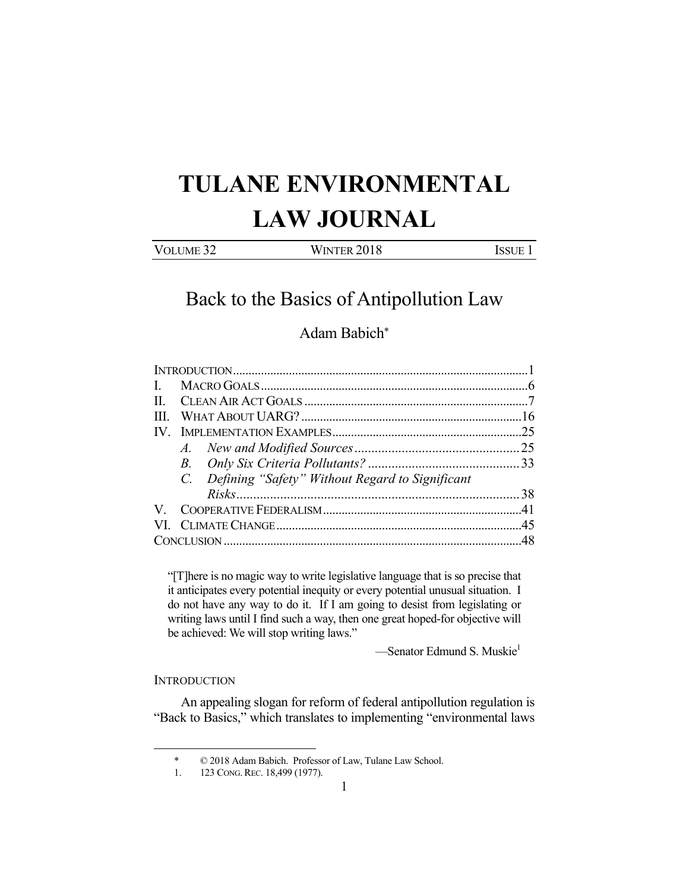# **TULANE ENVIRONMENTAL LAW JOURNAL**

| VOLUME <sub>32</sub> | WINTER 2018 | <b>ISSUE</b> |
|----------------------|-------------|--------------|
|                      |             |              |

## Back to the Basics of Antipollution Law

### Adam Babich\*

| $\mathbf{H}$ |  |                                                    |  |
|--------------|--|----------------------------------------------------|--|
|              |  |                                                    |  |
|              |  |                                                    |  |
|              |  |                                                    |  |
|              |  |                                                    |  |
|              |  | C. Defining "Safety" Without Regard to Significant |  |
|              |  |                                                    |  |
|              |  |                                                    |  |
|              |  |                                                    |  |
|              |  |                                                    |  |

"[T]here is no magic way to write legislative language that is so precise that it anticipates every potential inequity or every potential unusual situation. I do not have any way to do it. If I am going to desist from legislating or writing laws until I find such a way, then one great hoped-for objective will be achieved: We will stop writing laws."

—Senator Edmund S. Muskie<sup>1</sup>

#### **INTRODUCTION**

1

 An appealing slogan for reform of federal antipollution regulation is "Back to Basics," which translates to implementing "environmental laws

 <sup>\* © 2018</sup> Adam Babich. Professor of Law, Tulane Law School.

 <sup>1. 123</sup> CONG. REC. 18,499 (1977).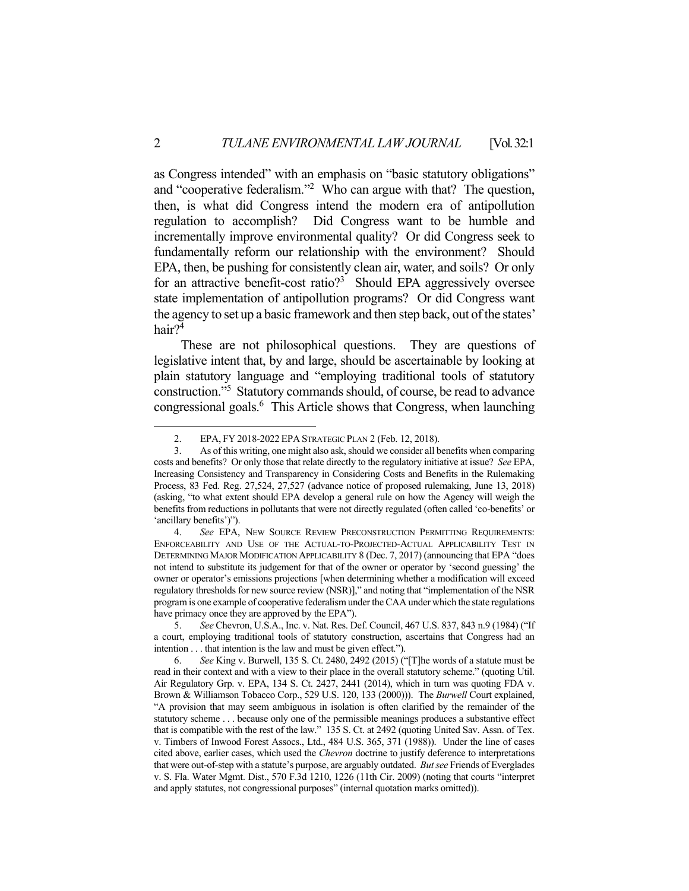as Congress intended" with an emphasis on "basic statutory obligations" and "cooperative federalism."<sup>2</sup> Who can argue with that? The question, then, is what did Congress intend the modern era of antipollution regulation to accomplish? Did Congress want to be humble and incrementally improve environmental quality? Or did Congress seek to fundamentally reform our relationship with the environment? Should EPA, then, be pushing for consistently clean air, water, and soils? Or only for an attractive benefit-cost ratio?<sup>3</sup> Should EPA aggressively oversee state implementation of antipollution programs? Or did Congress want the agency to set up a basic framework and then step back, out of the states' hair?4

 These are not philosophical questions. They are questions of legislative intent that, by and large, should be ascertainable by looking at plain statutory language and "employing traditional tools of statutory construction."5 Statutory commands should, of course, be read to advance congressional goals.<sup>6</sup> This Article shows that Congress, when launching

 <sup>2.</sup> EPA, FY 2018-2022 EPA STRATEGIC PLAN 2 (Feb. 12, 2018).

 <sup>3.</sup> As of this writing, one might also ask, should we consider all benefits when comparing costs and benefits? Or only those that relate directly to the regulatory initiative at issue? *See* EPA, Increasing Consistency and Transparency in Considering Costs and Benefits in the Rulemaking Process, 83 Fed. Reg. 27,524, 27,527 (advance notice of proposed rulemaking, June 13, 2018) (asking, "to what extent should EPA develop a general rule on how the Agency will weigh the benefits from reductions in pollutants that were not directly regulated (often called 'co-benefits' or 'ancillary benefits')").

 <sup>4.</sup> *See* EPA, NEW SOURCE REVIEW PRECONSTRUCTION PERMITTING REQUIREMENTS: ENFORCEABILITY AND USE OF THE ACTUAL-TO-PROJECTED-ACTUAL APPLICABILITY TEST IN DETERMINING MAJOR MODIFICATION APPLICABILITY 8 (Dec. 7, 2017) (announcing that EPA "does not intend to substitute its judgement for that of the owner or operator by 'second guessing' the owner or operator's emissions projections [when determining whether a modification will exceed regulatory thresholds for new source review (NSR)]," and noting that "implementation of the NSR program is one example of cooperative federalism under the CAA under which the state regulations have primacy once they are approved by the EPA").

 <sup>5.</sup> *See* Chevron, U.S.A., Inc. v. Nat. Res. Def. Council, 467 U.S. 837, 843 n.9 (1984) ("If a court, employing traditional tools of statutory construction, ascertains that Congress had an intention . . . that intention is the law and must be given effect.").

 <sup>6.</sup> *See* King v. Burwell, 135 S. Ct. 2480, 2492 (2015) ("[T]he words of a statute must be read in their context and with a view to their place in the overall statutory scheme." (quoting Util. Air Regulatory Grp. v. EPA, 134 S. Ct. 2427, 2441 (2014), which in turn was quoting FDA v. Brown & Williamson Tobacco Corp., 529 U.S. 120, 133 (2000))). The *Burwell* Court explained, "A provision that may seem ambiguous in isolation is often clarified by the remainder of the statutory scheme . . . because only one of the permissible meanings produces a substantive effect that is compatible with the rest of the law." 135 S. Ct. at 2492 (quoting United Sav. Assn. of Tex. v. Timbers of Inwood Forest Assocs., Ltd., 484 U.S. 365, 371 (1988)). Under the line of cases cited above, earlier cases, which used the *Chevron* doctrine to justify deference to interpretations that were out-of-step with a statute's purpose, are arguably outdated. *But see* Friends of Everglades v. S. Fla. Water Mgmt. Dist., 570 F.3d 1210, 1226 (11th Cir. 2009) (noting that courts "interpret and apply statutes, not congressional purposes" (internal quotation marks omitted)).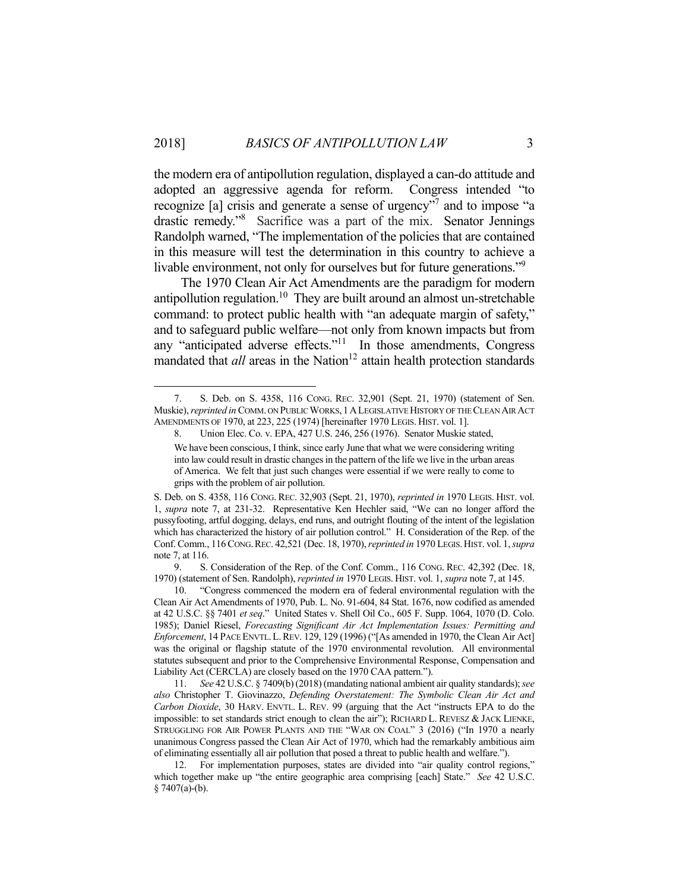1

the modern era of antipollution regulation, displayed a can-do attitude and adopted an aggressive agenda for reform. Congress intended "to recognize [a] crisis and generate a sense of urgency"<sup>7</sup> and to impose "a drastic remedy."8 Sacrifice was a part of the mix. Senator Jennings Randolph warned, "The implementation of the policies that are contained in this measure will test the determination in this country to achieve a livable environment, not only for ourselves but for future generations."<sup>9</sup>

 The 1970 Clean Air Act Amendments are the paradigm for modern antipollution regulation.<sup>10</sup> They are built around an almost un-stretchable command: to protect public health with "an adequate margin of safety," and to safeguard public welfare—not only from known impacts but from any "anticipated adverse effects."11 In those amendments, Congress mandated that *all* areas in the Nation<sup>12</sup> attain health protection standards

 9. S. Consideration of the Rep. of the Conf. Comm., 116 CONG. REC. 42,392 (Dec. 18, 1970) (statement of Sen. Randolph), *reprinted in* 1970 LEGIS. HIST. vol. 1, *supra* note 7, at 145.

 <sup>7.</sup> S. Deb. on S. 4358, 116 CONG. REC. 32,901 (Sept. 21, 1970) (statement of Sen. Muskie), *reprinted in* COMM. ON PUBLIC WORKS, 1ALEGISLATIVE HISTORY OF THE CLEAN AIR ACT AMENDMENTS OF 1970, at 223, 225 (1974) [hereinafter 1970 LEGIS. HIST. vol. 1].

 <sup>8.</sup> Union Elec. Co. v. EPA, 427 U.S. 246, 256 (1976). Senator Muskie stated, We have been conscious, I think, since early June that what we were considering writing into law could result in drastic changes in the pattern of the life we live in the urban areas of America. We felt that just such changes were essential if we were really to come to grips with the problem of air pollution.

S. Deb. on S. 4358, 116 CONG. REC. 32,903 (Sept. 21, 1970), *reprinted in* 1970 LEGIS. HIST. vol. 1, *supra* note 7, at 231-32. Representative Ken Hechler said, "We can no longer afford the pussyfooting, artful dogging, delays, end runs, and outright flouting of the intent of the legislation which has characterized the history of air pollution control." H. Consideration of the Rep. of the Conf. Comm., 116 CONG.REC. 42,521 (Dec. 18, 1970), *reprinted in* 1970 LEGIS.HIST. vol. 1, *supra* note 7, at 116.

 <sup>10. &</sup>quot;Congress commenced the modern era of federal environmental regulation with the Clean Air Act Amendments of 1970, Pub. L. No. 91-604, 84 Stat. 1676, now codified as amended at 42 U.S.C. §§ 7401 *et seq*." United States v. Shell Oil Co., 605 F. Supp. 1064, 1070 (D. Colo. 1985); Daniel Riesel, *Forecasting Significant Air Act Implementation Issues: Permitting and Enforcement*, 14 PACE ENVTL.L.REV. 129, 129 (1996) ("[As amended in 1970, the Clean Air Act] was the original or flagship statute of the 1970 environmental revolution. All environmental statutes subsequent and prior to the Comprehensive Environmental Response, Compensation and Liability Act (CERCLA) are closely based on the 1970 CAA pattern.").

 <sup>11.</sup> *See* 42 U.S.C. § 7409(b) (2018) (mandating national ambient air quality standards); *see also* Christopher T. Giovinazzo, *Defending Overstatement: The Symbolic Clean Air Act and Carbon Dioxide*, 30 HARV. ENVTL. L. REV. 99 (arguing that the Act "instructs EPA to do the impossible: to set standards strict enough to clean the air"); RICHARD L. REVESZ & JACK LIENKE, STRUGGLING FOR AIR POWER PLANTS AND THE "WAR ON COAL" 3 (2016) ("In 1970 a nearly unanimous Congress passed the Clean Air Act of 1970, which had the remarkably ambitious aim of eliminating essentially all air pollution that posed a threat to public health and welfare.").

 <sup>12.</sup> For implementation purposes, states are divided into "air quality control regions," which together make up "the entire geographic area comprising [each] State." *See* 42 U.S.C. § 7407(a)-(b).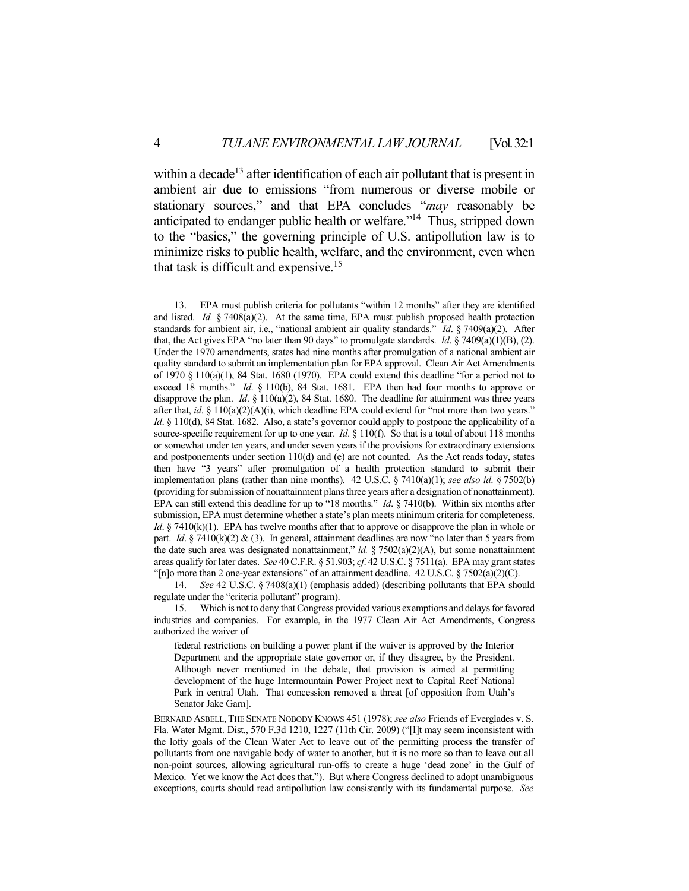within a decade<sup>13</sup> after identification of each air pollutant that is present in ambient air due to emissions "from numerous or diverse mobile or stationary sources," and that EPA concludes "*may* reasonably be anticipated to endanger public health or welfare."14 Thus, stripped down to the "basics," the governing principle of U.S. antipollution law is to minimize risks to public health, welfare, and the environment, even when that task is difficult and expensive.15

 14. *See* 42 U.S.C. § 7408(a)(1) (emphasis added) (describing pollutants that EPA should regulate under the "criteria pollutant" program).

 15. Which is not to deny that Congress provided various exemptions and delays for favored industries and companies. For example, in the 1977 Clean Air Act Amendments, Congress authorized the waiver of

federal restrictions on building a power plant if the waiver is approved by the Interior Department and the appropriate state governor or, if they disagree, by the President. Although never mentioned in the debate, that provision is aimed at permitting development of the huge Intermountain Power Project next to Capital Reef National Park in central Utah. That concession removed a threat [of opposition from Utah's Senator Jake Garn].

BERNARD ASBELL, THE SENATE NOBODY KNOWS 451 (1978); *see also* Friends of Everglades v. S. Fla. Water Mgmt. Dist., 570 F.3d 1210, 1227 (11th Cir. 2009) ("[I]t may seem inconsistent with the lofty goals of the Clean Water Act to leave out of the permitting process the transfer of pollutants from one navigable body of water to another, but it is no more so than to leave out all non-point sources, allowing agricultural run-offs to create a huge 'dead zone' in the Gulf of Mexico. Yet we know the Act does that."). But where Congress declined to adopt unambiguous exceptions, courts should read antipollution law consistently with its fundamental purpose. *See* 

<u>.</u>

 <sup>13.</sup> EPA must publish criteria for pollutants "within 12 months" after they are identified and listed. *Id.*  $\frac{5}{4}$  7408(a)(2). At the same time, EPA must publish proposed health protection standards for ambient air, i.e., "national ambient air quality standards." *Id.* § 7409(a)(2). After that, the Act gives EPA "no later than 90 days" to promulgate standards. *Id*. § 7409(a)(1)(B), (2). Under the 1970 amendments, states had nine months after promulgation of a national ambient air quality standard to submit an implementation plan for EPA approval. Clean Air Act Amendments of 1970 § 110(a)(1), 84 Stat. 1680 (1970). EPA could extend this deadline "for a period not to exceed 18 months." *Id*. § 110(b), 84 Stat. 1681. EPA then had four months to approve or disapprove the plan. *Id.* § 110(a)(2), 84 Stat. 1680. The deadline for attainment was three years after that,  $id$ . §  $110(a)(2)(A)(i)$ , which deadline EPA could extend for "not more than two years." *Id.* § 110(d), 84 Stat. 1682. Also, a state's governor could apply to postpone the applicability of a source-specific requirement for up to one year. *Id*. § 110(f). So that is a total of about 118 months or somewhat under ten years, and under seven years if the provisions for extraordinary extensions and postponements under section 110(d) and (e) are not counted. As the Act reads today, states then have "3 years" after promulgation of a health protection standard to submit their implementation plans (rather than nine months). 42 U.S.C. § 7410(a)(1); *see also id*. § 7502(b) (providing for submission of nonattainment plans three years after a designation of nonattainment). EPA can still extend this deadline for up to "18 months." *Id*. § 7410(b). Within six months after submission, EPA must determine whether a state's plan meets minimum criteria for completeness. *Id*. § 7410(k)(1). EPA has twelve months after that to approve or disapprove the plan in whole or part. *Id.* § 7410(k)(2) & (3). In general, attainment deadlines are now "no later than 5 years from the date such area was designated nonattainment," *id.* § 7502(a)(2)(A), but some nonattainment areas qualify for later dates. *See* 40 C.F.R. § 51.903; *cf*. 42 U.S.C. § 7511(a). EPA may grant states "[n]o more than 2 one-year extensions" of an attainment deadline.  $42 \text{ U.S.C.} \$   $7502(a)(2)(C)$ .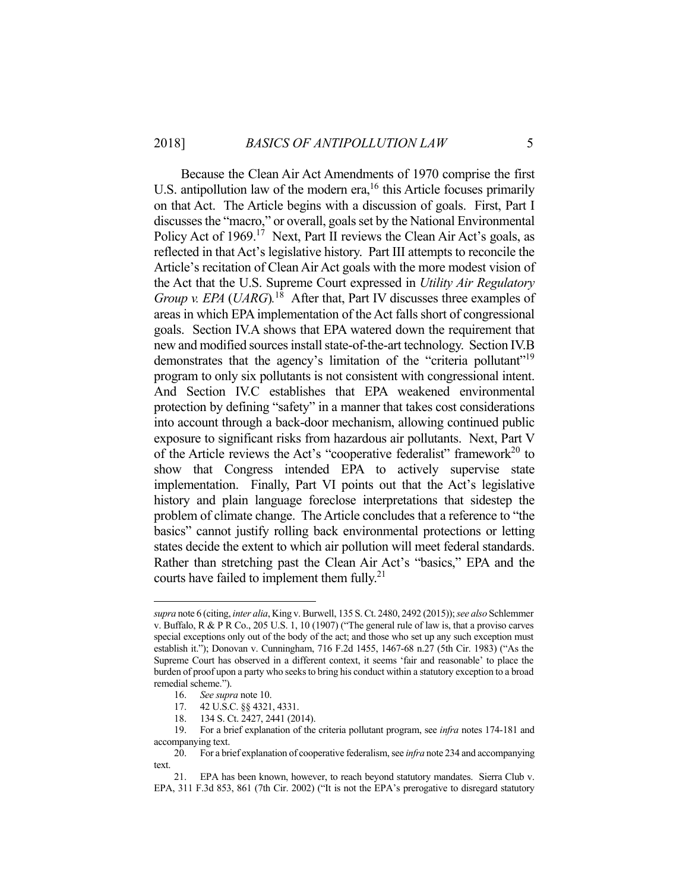Because the Clean Air Act Amendments of 1970 comprise the first U.S. antipollution law of the modern era,<sup>16</sup> this Article focuses primarily on that Act. The Article begins with a discussion of goals. First, Part I discusses the "macro," or overall, goals set by the National Environmental Policy Act of 1969.<sup>17</sup> Next, Part II reviews the Clean Air Act's goals, as reflected in that Act's legislative history. Part III attempts to reconcile the Article's recitation of Clean Air Act goals with the more modest vision of the Act that the U.S. Supreme Court expressed in *Utility Air Regulatory Group v. EPA* (*UARG*).<sup>18</sup> After that, Part IV discusses three examples of areas in which EPA implementation of the Act falls short of congressional goals. Section IV.A shows that EPA watered down the requirement that new and modified sources install state-of-the-art technology. Section IV.B demonstrates that the agency's limitation of the "criteria pollutant"<sup>19</sup> program to only six pollutants is not consistent with congressional intent. And Section IV.C establishes that EPA weakened environmental protection by defining "safety" in a manner that takes cost considerations into account through a back-door mechanism, allowing continued public exposure to significant risks from hazardous air pollutants. Next, Part V of the Article reviews the Act's "cooperative federalist" framework<sup>20</sup> to show that Congress intended EPA to actively supervise state implementation. Finally, Part VI points out that the Act's legislative history and plain language foreclose interpretations that sidestep the problem of climate change. The Article concludes that a reference to "the basics" cannot justify rolling back environmental protections or letting states decide the extent to which air pollution will meet federal standards. Rather than stretching past the Clean Air Act's "basics," EPA and the courts have failed to implement them fully.<sup>21</sup>

*supra* note 6 (citing, *inter alia*, King v. Burwell, 135 S. Ct. 2480, 2492 (2015)); *see also* Schlemmer v. Buffalo, R & P R Co., 205 U.S. 1, 10 (1907) ("The general rule of law is, that a proviso carves special exceptions only out of the body of the act; and those who set up any such exception must establish it."); Donovan v. Cunningham, 716 F.2d 1455, 1467-68 n.27 (5th Cir. 1983) ("As the Supreme Court has observed in a different context, it seems 'fair and reasonable' to place the burden of proof upon a party who seeks to bring his conduct within a statutory exception to a broad remedial scheme.").

 <sup>16.</sup> *See supra* note 10.

 <sup>17. 42</sup> U.S.C. §§ 4321, 4331.

 <sup>18. 134</sup> S. Ct. 2427, 2441 (2014).

 <sup>19.</sup> For a brief explanation of the criteria pollutant program, see *infra* notes 174-181 and accompanying text.

 <sup>20.</sup> For a brief explanation of cooperative federalism, see *infra* note 234 and accompanying text.

 <sup>21.</sup> EPA has been known, however, to reach beyond statutory mandates. Sierra Club v. EPA, 311 F.3d 853, 861 (7th Cir. 2002) ("It is not the EPA's prerogative to disregard statutory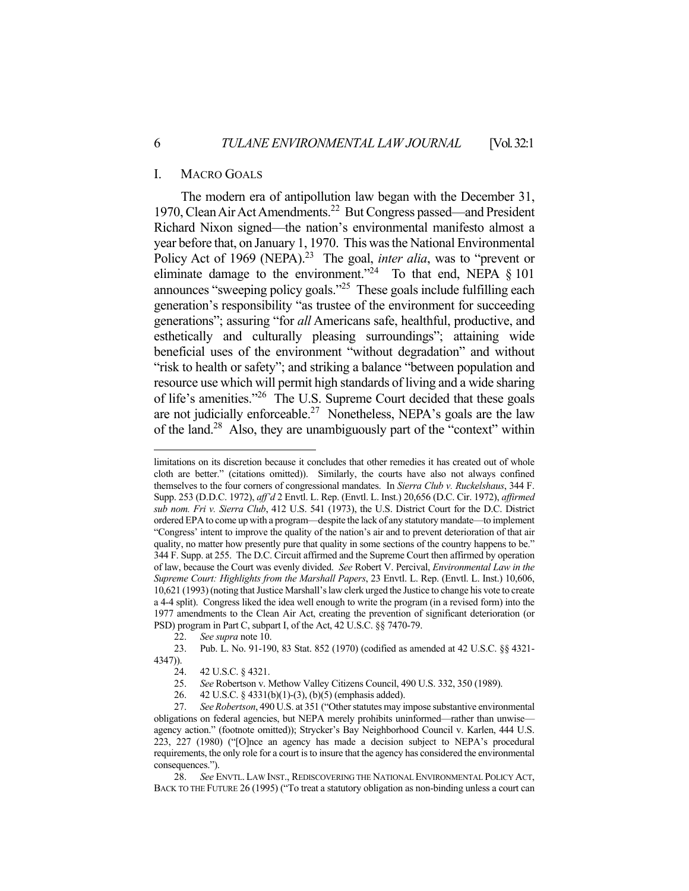#### I. MACRO GOALS

 The modern era of antipollution law began with the December 31, 1970, Clean Air Act Amendments.22 But Congress passed—and President Richard Nixon signed—the nation's environmental manifesto almost a year before that, on January 1, 1970. This was the National Environmental Policy Act of 1969 (NEPA).<sup>23</sup> The goal, *inter alia*, was to "prevent or eliminate damage to the environment."<sup>24</sup> To that end, NEPA  $\S$  101 announces "sweeping policy goals."25 These goals include fulfilling each generation's responsibility "as trustee of the environment for succeeding generations"; assuring "for *all* Americans safe, healthful, productive, and esthetically and culturally pleasing surroundings"; attaining wide beneficial uses of the environment "without degradation" and without "risk to health or safety"; and striking a balance "between population and resource use which will permit high standards of living and a wide sharing of life's amenities."26 The U.S. Supreme Court decided that these goals are not judicially enforceable.<sup>27</sup> Nonetheless, NEPA's goals are the law of the land.28 Also, they are unambiguously part of the "context" within

limitations on its discretion because it concludes that other remedies it has created out of whole cloth are better." (citations omitted)). Similarly, the courts have also not always confined themselves to the four corners of congressional mandates. In *Sierra Club v. Ruckelshaus*, 344 F. Supp. 253 (D.D.C. 1972), *aff'd* 2 Envtl. L. Rep. (Envtl. L. Inst.) 20,656 (D.C. Cir. 1972), *affirmed sub nom. Fri v. Sierra Club*, 412 U.S. 541 (1973), the U.S. District Court for the D.C. District ordered EPA to come up with a program—despite the lack of any statutory mandate—to implement "Congress' intent to improve the quality of the nation's air and to prevent deterioration of that air quality, no matter how presently pure that quality in some sections of the country happens to be." 344 F. Supp. at 255. The D.C. Circuit affirmed and the Supreme Court then affirmed by operation of law, because the Court was evenly divided. *See* Robert V. Percival, *Environmental Law in the Supreme Court: Highlights from the Marshall Papers*, 23 Envtl. L. Rep. (Envtl. L. Inst.) 10,606, 10,621 (1993) (noting that Justice Marshall's law clerk urged the Justice to change his vote to create a 4-4 split). Congress liked the idea well enough to write the program (in a revised form) into the 1977 amendments to the Clean Air Act, creating the prevention of significant deterioration (or PSD) program in Part C, subpart I, of the Act, 42 U.S.C. §§ 7470-79.

 <sup>22.</sup> *See supra* note 10.

 <sup>23.</sup> Pub. L. No. 91-190, 83 Stat. 852 (1970) (codified as amended at 42 U.S.C. §§ 4321- 4347)).

 <sup>24. 42</sup> U.S.C. § 4321.

 <sup>25.</sup> *See* Robertson v. Methow Valley Citizens Council, 490 U.S. 332, 350 (1989).

 <sup>26. 42</sup> U.S.C. § 4331(b)(1)-(3), (b)(5) (emphasis added).

 <sup>27.</sup> *See Robertson*, 490 U.S. at 351 ("Other statutes may impose substantive environmental obligations on federal agencies, but NEPA merely prohibits uninformed—rather than unwise agency action." (footnote omitted)); Strycker's Bay Neighborhood Council v. Karlen, 444 U.S. 223, 227 (1980) ("[O]nce an agency has made a decision subject to NEPA's procedural requirements, the only role for a court is to insure that the agency has considered the environmental consequences.").

 <sup>28.</sup> *See* ENVTL. LAW INST., REDISCOVERING THE NATIONAL ENVIRONMENTAL POLICY ACT, BACK TO THE FUTURE 26 (1995) ("To treat a statutory obligation as non-binding unless a court can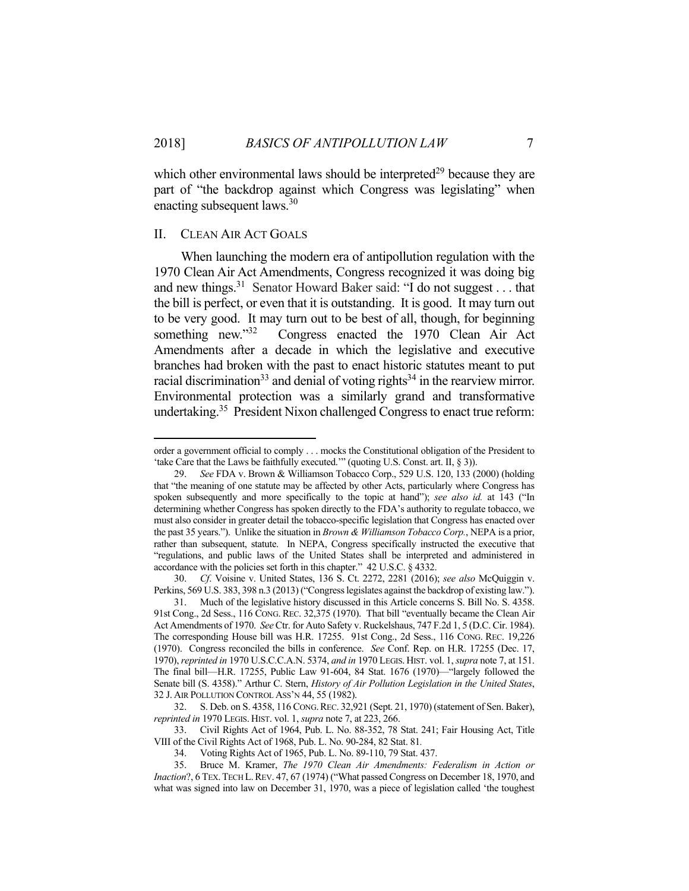which other environmental laws should be interpreted<sup>29</sup> because they are part of "the backdrop against which Congress was legislating" when enacting subsequent laws.30

#### II. CLEAN AIR ACT GOALS

1

 When launching the modern era of antipollution regulation with the 1970 Clean Air Act Amendments, Congress recognized it was doing big and new things.<sup>31</sup> Senator Howard Baker said: "I do not suggest . . . that the bill is perfect, or even that it is outstanding. It is good. It may turn out to be very good. It may turn out to be best of all, though, for beginning something new."<sup>32</sup> Congress enacted the 1970 Clean Air Act Amendments after a decade in which the legislative and executive branches had broken with the past to enact historic statutes meant to put racial discrimination<sup>33</sup> and denial of voting rights<sup>34</sup> in the rearview mirror. Environmental protection was a similarly grand and transformative undertaking.<sup>35</sup> President Nixon challenged Congress to enact true reform:

 33. Civil Rights Act of 1964, Pub. L. No. 88-352, 78 Stat. 241; Fair Housing Act, Title VIII of the Civil Rights Act of 1968, Pub. L. No. 90-284, 82 Stat. 81*.*

34. Voting Rights Act of 1965, Pub. L. No. 89-110, 79 Stat. 437.<br>35. Bruce M. Kramer, *The 1970 Clean Air Amendments: F* 

order a government official to comply . . . mocks the Constitutional obligation of the President to 'take Care that the Laws be faithfully executed."" (quoting U.S. Const. art. II, § 3)).

 <sup>29.</sup> *See* FDA v. Brown & Williamson Tobacco Corp., 529 U.S. 120, 133 (2000) (holding that "the meaning of one statute may be affected by other Acts, particularly where Congress has spoken subsequently and more specifically to the topic at hand"); *see also id.* at 143 ("In determining whether Congress has spoken directly to the FDA's authority to regulate tobacco, we must also consider in greater detail the tobacco-specific legislation that Congress has enacted over the past 35 years."). Unlike the situation in *Brown & Williamson Tobacco Corp.*, NEPA is a prior, rather than subsequent, statute. In NEPA, Congress specifically instructed the executive that "regulations, and public laws of the United States shall be interpreted and administered in accordance with the policies set forth in this chapter." 42 U.S.C. § 4332.

 <sup>30.</sup> *Cf*. Voisine v. United States, 136 S. Ct. 2272, 2281 (2016); *see also* McQuiggin v. Perkins, 569 U.S. 383, 398 n.3 (2013) ("Congress legislates against the backdrop of existing law.").

 <sup>31.</sup> Much of the legislative history discussed in this Article concerns S. Bill No. S. 4358. 91st Cong., 2d Sess., 116 CONG. REC. 32,375 (1970). That bill "eventually became the Clean Air Act Amendments of 1970. *See* Ctr. for Auto Safety v. Ruckelshaus, 747 F.2d 1, 5 (D.C. Cir. 1984). The corresponding House bill was H.R. 17255. 91st Cong., 2d Sess., 116 CONG. REC. 19,226 (1970). Congress reconciled the bills in conference. *See* Conf. Rep. on H.R. 17255 (Dec. 17, 1970), *reprinted in* 1970 U.S.C.C.A.N. 5374, *and in* 1970 LEGIS. HIST. vol. 1, *supra* note 7, at 151. The final bill—H.R. 17255, Public Law 91-604, 84 Stat. 1676 (1970)—"largely followed the Senate bill (S. 4358)." Arthur C. Stern, *History of Air Pollution Legislation in the United States*, 32 J. AIR POLLUTION CONTROL ASS'N 44, 55 (1982).

 <sup>32.</sup> S. Deb. on S. 4358, 116 CONG.REC. 32,921 (Sept. 21, 1970) (statement of Sen. Baker), *reprinted in* 1970 LEGIS. HIST. vol. 1, *supra* note 7, at 223, 266.

 <sup>35.</sup> Bruce M. Kramer, *The 1970 Clean Air Amendments: Federalism in Action or Inaction*?, 6 TEX. TECH L. REV. 47, 67 (1974) ("What passed Congress on December 18, 1970, and what was signed into law on December 31, 1970, was a piece of legislation called 'the toughest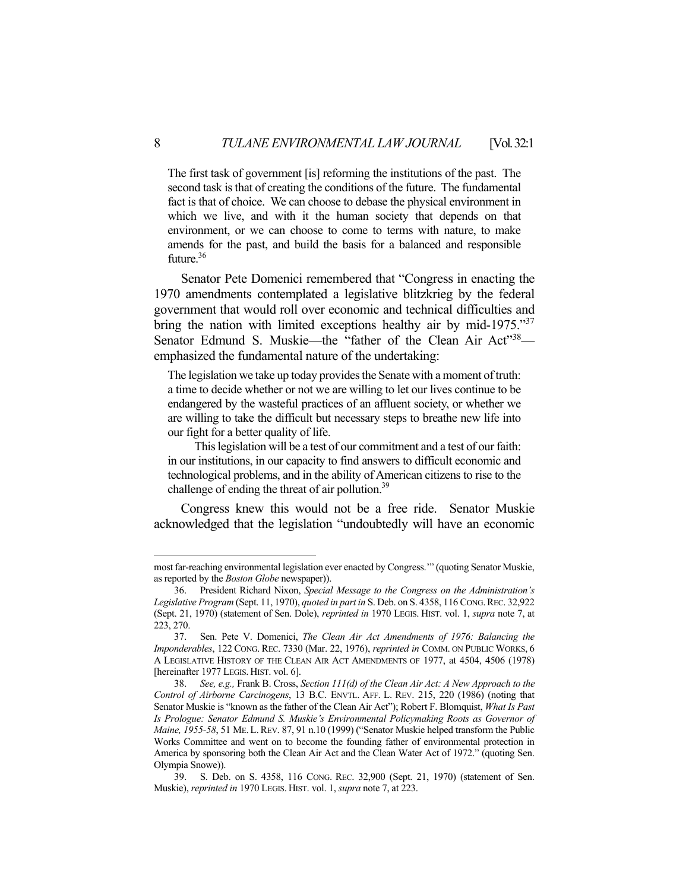The first task of government [is] reforming the institutions of the past. The second task is that of creating the conditions of the future. The fundamental fact is that of choice. We can choose to debase the physical environment in which we live, and with it the human society that depends on that environment, or we can choose to come to terms with nature, to make amends for the past, and build the basis for a balanced and responsible future.<sup>36</sup>

 Senator Pete Domenici remembered that "Congress in enacting the 1970 amendments contemplated a legislative blitzkrieg by the federal government that would roll over economic and technical difficulties and bring the nation with limited exceptions healthy air by mid-1975."<sup>37</sup> Senator Edmund S. Muskie—the "father of the Clean Air Act"<sup>38</sup> emphasized the fundamental nature of the undertaking:

The legislation we take up today provides the Senate with a moment of truth: a time to decide whether or not we are willing to let our lives continue to be endangered by the wasteful practices of an affluent society, or whether we are willing to take the difficult but necessary steps to breathe new life into our fight for a better quality of life.

 This legislation will be a test of our commitment and a test of our faith: in our institutions, in our capacity to find answers to difficult economic and technological problems, and in the ability of American citizens to rise to the challenge of ending the threat of air pollution.<sup>39</sup>

 Congress knew this would not be a free ride. Senator Muskie acknowledged that the legislation "undoubtedly will have an economic

most far-reaching environmental legislation ever enacted by Congress.'" (quoting Senator Muskie, as reported by the *Boston Globe* newspaper)).

 <sup>36.</sup> President Richard Nixon, *Special Message to the Congress on the Administration's Legislative Program* (Sept. 11, 1970), *quoted in part in* S. Deb. on S. 4358, 116 CONG.REC. 32,922 (Sept. 21, 1970) (statement of Sen. Dole), *reprinted in* 1970 LEGIS. HIST. vol. 1, *supra* note 7, at 223, 270.

 <sup>37.</sup> Sen. Pete V. Domenici, *The Clean Air Act Amendments of 1976: Balancing the Imponderables*, 122 CONG. REC. 7330 (Mar. 22, 1976), *reprinted in* COMM. ON PUBLIC WORKS, 6 A LEGISLATIVE HISTORY OF THE CLEAN AIR ACT AMENDMENTS OF 1977, at 4504, 4506 (1978) [hereinafter 1977 LEGIS. HIST. vol. 6].

 <sup>38.</sup> *See, e.g.,* Frank B. Cross, *Section 111(d) of the Clean Air Act: A New Approach to the Control of Airborne Carcinogens*, 13 B.C. ENVTL. AFF. L. REV. 215, 220 (1986) (noting that Senator Muskie is "known as the father of the Clean Air Act"); Robert F. Blomquist, *What Is Past Is Prologue: Senator Edmund S. Muskie's Environmental Policymaking Roots as Governor of Maine, 1955-58*, 51 ME. L.REV. 87, 91 n.10 (1999) ("Senator Muskie helped transform the Public Works Committee and went on to become the founding father of environmental protection in America by sponsoring both the Clean Air Act and the Clean Water Act of 1972." (quoting Sen. Olympia Snowe)).

 <sup>39.</sup> S. Deb. on S. 4358, 116 CONG. REC. 32,900 (Sept. 21, 1970) (statement of Sen. Muskie), *reprinted in* 1970 LEGIS. HIST. vol. 1, *supra* note 7, at 223.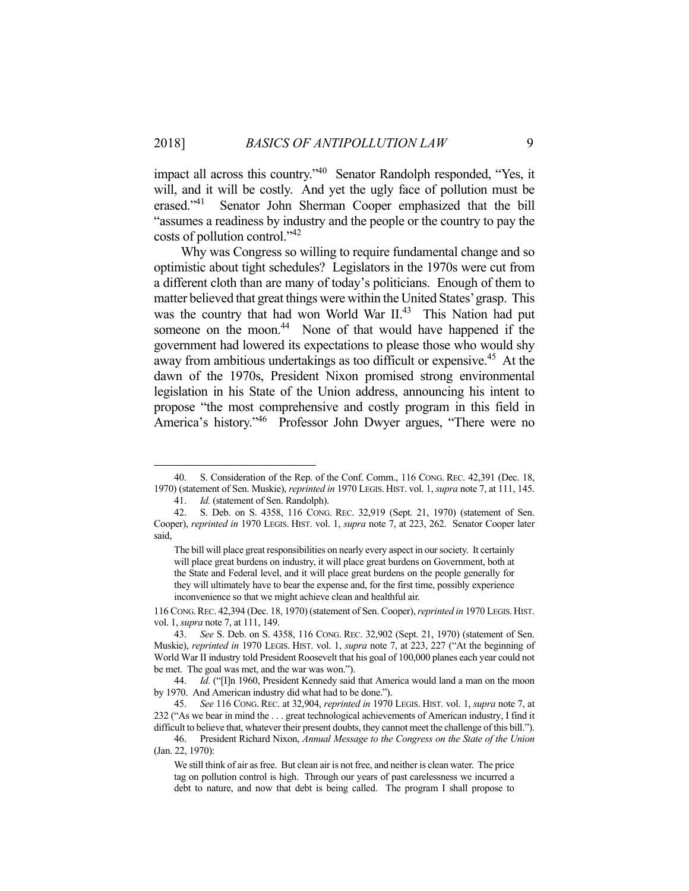impact all across this country."40 Senator Randolph responded, "Yes, it will, and it will be costly. And yet the ugly face of pollution must be erased."41 Senator John Sherman Cooper emphasized that the bill "assumes a readiness by industry and the people or the country to pay the costs of pollution control."<sup>42</sup>

 Why was Congress so willing to require fundamental change and so optimistic about tight schedules? Legislators in the 1970s were cut from a different cloth than are many of today's politicians. Enough of them to matter believed that great things were within the United States' grasp. This was the country that had won World War II.<sup>43</sup> This Nation had put someone on the moon.<sup>44</sup> None of that would have happened if the government had lowered its expectations to please those who would shy away from ambitious undertakings as too difficult or expensive.<sup>45</sup> At the dawn of the 1970s, President Nixon promised strong environmental legislation in his State of the Union address, announcing his intent to propose "the most comprehensive and costly program in this field in America's history."46 Professor John Dwyer argues, "There were no

1

116 CONG.REC. 42,394 (Dec. 18, 1970) (statement of Sen. Cooper), *reprinted in* 1970 LEGIS.HIST. vol. 1, *supra* note 7, at 111, 149.

 <sup>40.</sup> S. Consideration of the Rep. of the Conf. Comm., 116 CONG. REC. 42,391 (Dec. 18, 1970) (statement of Sen. Muskie), *reprinted in* 1970 LEGIS. HIST. vol. 1, *supra* note 7, at 111, 145.

 <sup>41.</sup> *Id.* (statement of Sen. Randolph).

 <sup>42.</sup> S. Deb. on S. 4358, 116 CONG. REC. 32,919 (Sept. 21, 1970) (statement of Sen. Cooper), *reprinted in* 1970 LEGIS. HIST. vol. 1, *supra* note 7, at 223, 262. Senator Cooper later said,

The bill will place great responsibilities on nearly every aspect in our society. It certainly will place great burdens on industry, it will place great burdens on Government, both at the State and Federal level, and it will place great burdens on the people generally for they will ultimately have to bear the expense and, for the first time, possibly experience inconvenience so that we might achieve clean and healthful air.

 <sup>43.</sup> *See* S. Deb. on S. 4358, 116 CONG. REC. 32,902 (Sept. 21, 1970) (statement of Sen. Muskie), *reprinted in* 1970 LEGIS. HIST. vol. 1, *supra* note 7, at 223, 227 ("At the beginning of World War II industry told President Roosevelt that his goal of 100,000 planes each year could not be met. The goal was met, and the war was won.").

 <sup>44.</sup> *Id.* ("[I]n 1960, President Kennedy said that America would land a man on the moon by 1970. And American industry did what had to be done.").

 <sup>45.</sup> *See* 116 CONG. REC. at 32,904, *reprinted in* 1970 LEGIS. HIST. vol. 1, *supra* note 7, at 232 ("As we bear in mind the . . . great technological achievements of American industry, I find it difficult to believe that, whatever their present doubts, they cannot meet the challenge of this bill.").

 <sup>46.</sup> President Richard Nixon, *Annual Message to the Congress on the State of the Union* (Jan. 22, 1970):

We still think of air as free. But clean air is not free, and neither is clean water. The price tag on pollution control is high. Through our years of past carelessness we incurred a debt to nature, and now that debt is being called. The program I shall propose to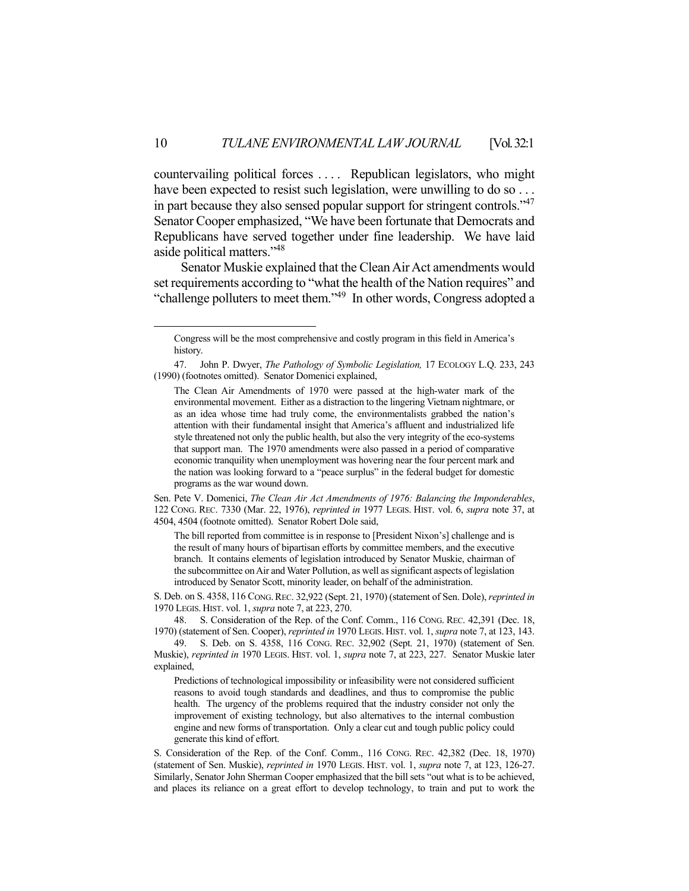countervailing political forces . . . . Republican legislators, who might have been expected to resist such legislation, were unwilling to do so ... in part because they also sensed popular support for stringent controls."<sup>47</sup> Senator Cooper emphasized, "We have been fortunate that Democrats and Republicans have served together under fine leadership. We have laid aside political matters."48

 Senator Muskie explained that the Clean Air Act amendments would set requirements according to "what the health of the Nation requires" and "challenge polluters to meet them."49 In other words, Congress adopted a

Sen. Pete V. Domenici, *The Clean Air Act Amendments of 1976: Balancing the Imponderables*, 122 CONG. REC. 7330 (Mar. 22, 1976), *reprinted in* 1977 LEGIS. HIST. vol. 6, *supra* note 37, at 4504, 4504 (footnote omitted). Senator Robert Dole said,

The bill reported from committee is in response to [President Nixon's] challenge and is the result of many hours of bipartisan efforts by committee members, and the executive branch. It contains elements of legislation introduced by Senator Muskie, chairman of the subcommittee on Air and Water Pollution, as well as significant aspects of legislation introduced by Senator Scott, minority leader, on behalf of the administration.

S. Deb. on S. 4358, 116 CONG.REC. 32,922 (Sept. 21, 1970) (statement of Sen. Dole), *reprinted in* 1970 LEGIS. HIST. vol. 1, *supra* note 7, at 223, 270.

 48. S. Consideration of the Rep. of the Conf. Comm., 116 CONG. REC. 42,391 (Dec. 18, 1970) (statement of Sen. Cooper), *reprinted in* 1970 LEGIS. HIST. vol. 1, *supra* note 7, at 123, 143.

 49. S. Deb. on S. 4358, 116 CONG. REC. 32,902 (Sept. 21, 1970) (statement of Sen. Muskie), *reprinted in* 1970 LEGIS. HIST. vol. 1, *supra* note 7, at 223, 227. Senator Muskie later explained,

Predictions of technological impossibility or infeasibility were not considered sufficient reasons to avoid tough standards and deadlines, and thus to compromise the public health. The urgency of the problems required that the industry consider not only the improvement of existing technology, but also alternatives to the internal combustion engine and new forms of transportation. Only a clear cut and tough public policy could generate this kind of effort.

S. Consideration of the Rep. of the Conf. Comm., 116 CONG. REC. 42,382 (Dec. 18, 1970) (statement of Sen. Muskie), *reprinted in* 1970 LEGIS. HIST. vol. 1, *supra* note 7, at 123, 126-27. Similarly, Senator John Sherman Cooper emphasized that the bill sets "out what is to be achieved, and places its reliance on a great effort to develop technology, to train and put to work the

Congress will be the most comprehensive and costly program in this field in America's history.

 <sup>47.</sup> John P. Dwyer, *The Pathology of Symbolic Legislation,* 17 ECOLOGY L.Q. 233, 243 (1990) (footnotes omitted). Senator Domenici explained,

The Clean Air Amendments of 1970 were passed at the high-water mark of the environmental movement. Either as a distraction to the lingering Vietnam nightmare, or as an idea whose time had truly come, the environmentalists grabbed the nation's attention with their fundamental insight that America's affluent and industrialized life style threatened not only the public health, but also the very integrity of the eco-systems that support man. The 1970 amendments were also passed in a period of comparative economic tranquility when unemployment was hovering near the four percent mark and the nation was looking forward to a "peace surplus" in the federal budget for domestic programs as the war wound down.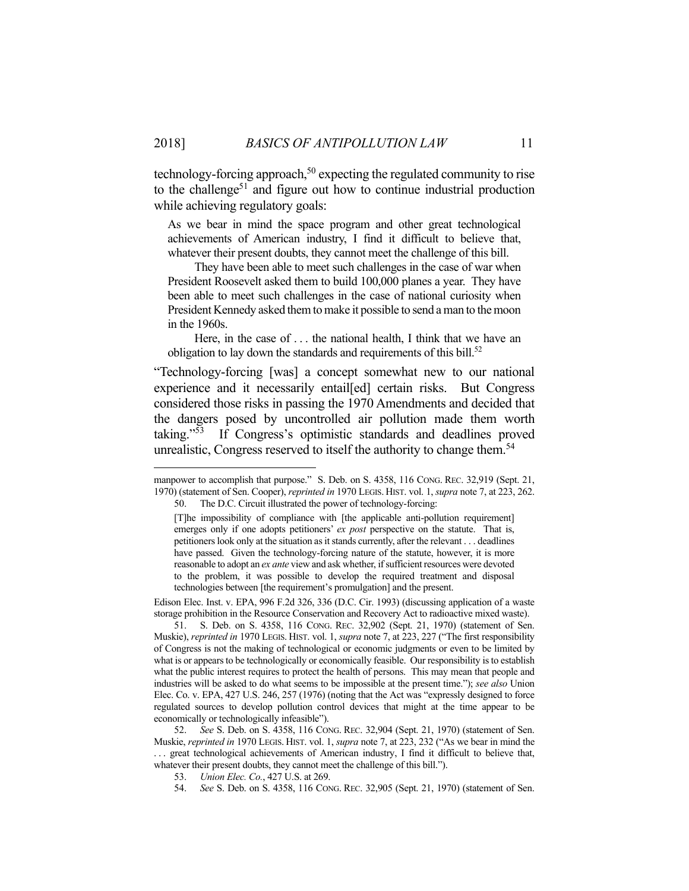technology-forcing approach,<sup>50</sup> expecting the regulated community to rise to the challenge<sup>51</sup> and figure out how to continue industrial production while achieving regulatory goals:

As we bear in mind the space program and other great technological achievements of American industry, I find it difficult to believe that, whatever their present doubts, they cannot meet the challenge of this bill.

 They have been able to meet such challenges in the case of war when President Roosevelt asked them to build 100,000 planes a year. They have been able to meet such challenges in the case of national curiosity when President Kennedy asked them to make it possible to send a man to the moon in the 1960s.

 Here, in the case of . . . the national health, I think that we have an obligation to lay down the standards and requirements of this bill.<sup>52</sup>

"Technology-forcing [was] a concept somewhat new to our national experience and it necessarily entail[ed] certain risks. But Congress considered those risks in passing the 1970 Amendments and decided that the dangers posed by uncontrolled air pollution made them worth taking."53 If Congress's optimistic standards and deadlines proved unrealistic, Congress reserved to itself the authority to change them.<sup>54</sup>

<u>.</u>

Edison Elec. Inst. v. EPA, 996 F.2d 326, 336 (D.C. Cir. 1993) (discussing application of a waste storage prohibition in the Resource Conservation and Recovery Act to radioactive mixed waste).

 51. S. Deb. on S. 4358, 116 CONG. REC. 32,902 (Sept. 21, 1970) (statement of Sen. Muskie), *reprinted in* 1970 LEGIS. HIST. vol. 1, *supra* note 7, at 223, 227 ("The first responsibility of Congress is not the making of technological or economic judgments or even to be limited by what is or appears to be technologically or economically feasible. Our responsibility is to establish what the public interest requires to protect the health of persons. This may mean that people and industries will be asked to do what seems to be impossible at the present time."); *see also* Union Elec. Co. v. EPA, 427 U.S. 246, 257 (1976) (noting that the Act was "expressly designed to force regulated sources to develop pollution control devices that might at the time appear to be economically or technologically infeasible").

 52. *See* S. Deb. on S. 4358, 116 CONG. REC. 32,904 (Sept. 21, 1970) (statement of Sen. Muskie, *reprinted in* 1970 LEGIS. HIST. vol. 1, *supra* note 7, at 223, 232 ("As we bear in mind the . . . great technological achievements of American industry, I find it difficult to believe that, whatever their present doubts, they cannot meet the challenge of this bill.").

manpower to accomplish that purpose." S. Deb. on S. 4358, 116 CONG. REC. 32,919 (Sept. 21, 1970) (statement of Sen. Cooper), *reprinted in* 1970 LEGIS. HIST. vol. 1, *supra* note 7, at 223, 262.

 <sup>50.</sup> The D.C. Circuit illustrated the power of technology-forcing:

<sup>[</sup>T]he impossibility of compliance with [the applicable anti-pollution requirement] emerges only if one adopts petitioners' *ex post* perspective on the statute. That is, petitioners look only at the situation as it stands currently, after the relevant . . . deadlines have passed. Given the technology-forcing nature of the statute, however, it is more reasonable to adopt an *ex ante* view and ask whether, if sufficient resources were devoted to the problem, it was possible to develop the required treatment and disposal technologies between [the requirement's promulgation] and the present.

 <sup>53.</sup> *Union Elec. Co.*, 427 U.S. at 269.

 <sup>54.</sup> *See* S. Deb. on S. 4358, 116 CONG. REC. 32,905 (Sept. 21, 1970) (statement of Sen.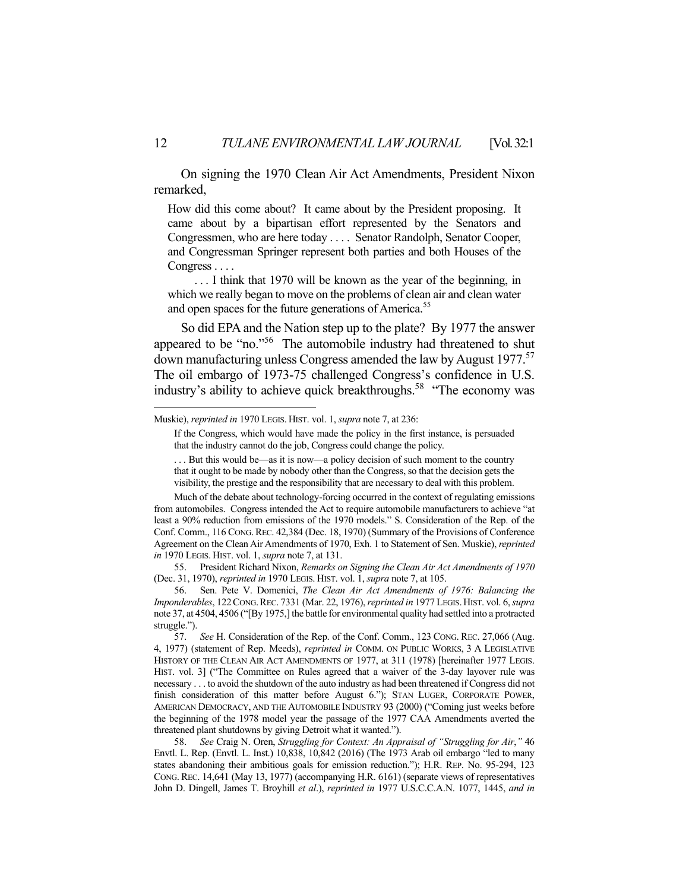On signing the 1970 Clean Air Act Amendments, President Nixon remarked,

How did this come about? It came about by the President proposing. It came about by a bipartisan effort represented by the Senators and Congressmen, who are here today . . . . Senator Randolph, Senator Cooper, and Congressman Springer represent both parties and both Houses of the Congress . . . .

 . . . I think that 1970 will be known as the year of the beginning, in which we really began to move on the problems of clean air and clean water and open spaces for the future generations of America.<sup>55</sup>

 So did EPA and the Nation step up to the plate? By 1977 the answer appeared to be "no."<sup>56</sup> The automobile industry had threatened to shut down manufacturing unless Congress amended the law by August 1977.<sup>57</sup> The oil embargo of 1973-75 challenged Congress's confidence in U.S. industry's ability to achieve quick breakthroughs.<sup>58</sup> "The economy was

 55. President Richard Nixon, *Remarks on Signing the Clean Air Act Amendments of 1970* (Dec. 31, 1970), *reprinted in* 1970 LEGIS. HIST. vol. 1, *supra* note 7, at 105.

 56. Sen. Pete V. Domenici, *The Clean Air Act Amendments of 1976: Balancing the Imponderables*, 122CONG.REC. 7331 (Mar. 22, 1976), *reprinted in* 1977 LEGIS.HIST. vol. 6, *supra* note 37, at 4504, 4506 ("[By 1975,] the battle for environmental quality had settled into a protracted struggle.").

Muskie), *reprinted in* 1970 LEGIS. HIST. vol. 1, *supra* note 7, at 236:

If the Congress, which would have made the policy in the first instance, is persuaded that the industry cannot do the job, Congress could change the policy.

<sup>. . .</sup> But this would be—as it is now—a policy decision of such moment to the country that it ought to be made by nobody other than the Congress, so that the decision gets the visibility, the prestige and the responsibility that are necessary to deal with this problem.

Much of the debate about technology-forcing occurred in the context of regulating emissions from automobiles. Congress intended the Act to require automobile manufacturers to achieve "at least a 90% reduction from emissions of the 1970 models." S. Consideration of the Rep. of the Conf. Comm., 116 CONG.REC. 42,384 (Dec. 18, 1970) (Summary of the Provisions of Conference Agreement on the Clean Air Amendments of 1970, Exh. 1 to Statement of Sen. Muskie), *reprinted in* 1970 LEGIS. HIST. vol. 1, *supra* note 7, at 131.

 <sup>57.</sup> *See* H. Consideration of the Rep. of the Conf. Comm., 123 CONG. REC. 27,066 (Aug. 4, 1977) (statement of Rep. Meeds), *reprinted in* COMM. ON PUBLIC WORKS, 3 A LEGISLATIVE HISTORY OF THE CLEAN AIR ACT AMENDMENTS OF 1977, at 311 (1978) [hereinafter 1977 LEGIS. HIST. vol. 3] ("The Committee on Rules agreed that a waiver of the 3-day layover rule was necessary . . . to avoid the shutdown of the auto industry as had been threatened if Congress did not finish consideration of this matter before August 6."); STAN LUGER, CORPORATE POWER, AMERICAN DEMOCRACY, AND THE AUTOMOBILE INDUSTRY 93 (2000) ("Coming just weeks before the beginning of the 1978 model year the passage of the 1977 CAA Amendments averted the threatened plant shutdowns by giving Detroit what it wanted.").

 <sup>58.</sup> *See* Craig N. Oren, *Struggling for Context: An Appraisal of "Struggling for Air*,*"* 46 Envtl. L. Rep. (Envtl. L. Inst.) 10,838, 10,842 (2016) (The 1973 Arab oil embargo "led to many states abandoning their ambitious goals for emission reduction."); H.R. REP. No. 95-294, 123 CONG.REC. 14,641 (May 13, 1977) (accompanying H.R. 6161) (separate views of representatives John D. Dingell, James T. Broyhill *et al*.), *reprinted in* 1977 U.S.C.C.A.N. 1077, 1445, *and in*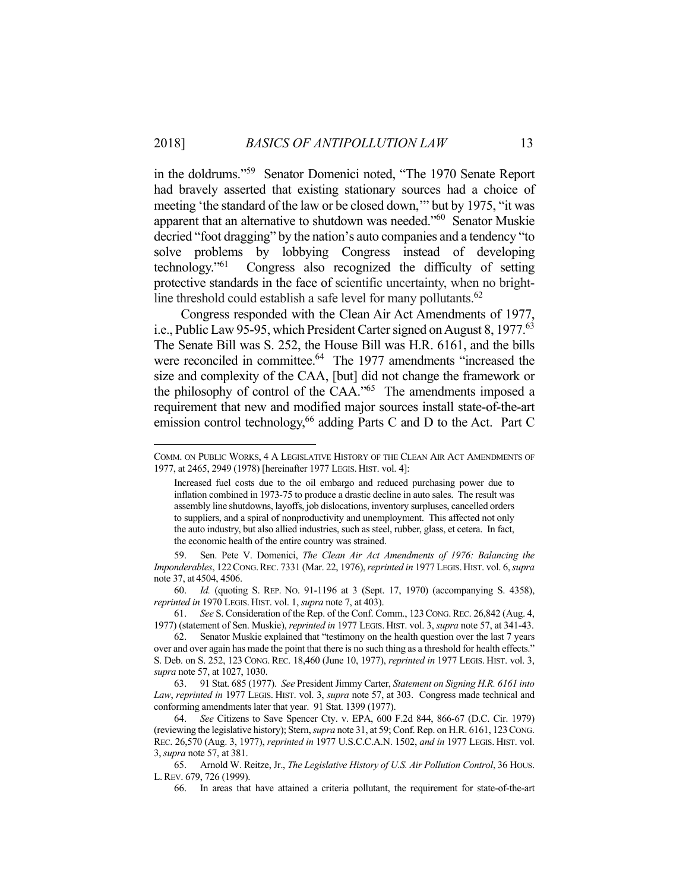in the doldrums."59 Senator Domenici noted, "The 1970 Senate Report had bravely asserted that existing stationary sources had a choice of meeting 'the standard of the law or be closed down,'" but by 1975, "it was apparent that an alternative to shutdown was needed."<sup>60</sup> Senator Muskie decried "foot dragging" by the nation's auto companies and a tendency "to solve problems by lobbying Congress instead of developing technology."61 Congress also recognized the difficulty of setting protective standards in the face of scientific uncertainty, when no brightline threshold could establish a safe level for many pollutants. 62

 Congress responded with the Clean Air Act Amendments of 1977, i.e., Public Law 95-95, which President Carter signed on August 8, 1977.<sup>63</sup> The Senate Bill was S. 252, the House Bill was H.R. 6161, and the bills were reconciled in committee.<sup>64</sup> The 1977 amendments "increased the size and complexity of the CAA, [but] did not change the framework or the philosophy of control of the CAA."65 The amendments imposed a requirement that new and modified major sources install state-of-the-art emission control technology,<sup>66</sup> adding Parts C and D to the Act. Part C

1

 59. Sen. Pete V. Domenici, *The Clean Air Act Amendments of 1976: Balancing the Imponderables*, 122CONG.REC. 7331 (Mar. 22, 1976), *reprinted in* 1977 LEGIS.HIST. vol. 6, *supra* note 37, at 4504, 4506.

 60. *Id.* (quoting S. REP. NO. 91-1196 at 3 (Sept. 17, 1970) (accompanying S. 4358), *reprinted in* 1970 LEGIS. HIST. vol. 1, *supra* note 7, at 403).

 61. *See* S. Consideration of the Rep. of the Conf. Comm., 123CONG.REC. 26,842 (Aug. 4, 1977) (statement of Sen. Muskie), *reprinted in* 1977 LEGIS. HIST. vol. 3, *supra* note 57, at 341-43.

 63. 91 Stat. 685 (1977). *See* President Jimmy Carter, *Statement on Signing H.R. 6161 into Law*, *reprinted in* 1977 LEGIS. HIST. vol. 3, *supra* note 57, at 303. Congress made technical and conforming amendments later that year. 91 Stat. 1399 (1977).

COMM. ON PUBLIC WORKS, 4 A LEGISLATIVE HISTORY OF THE CLEAN AIR ACT AMENDMENTS OF 1977, at 2465, 2949 (1978) [hereinafter 1977 LEGIS. HIST. vol. 4]:

Increased fuel costs due to the oil embargo and reduced purchasing power due to inflation combined in 1973-75 to produce a drastic decline in auto sales. The result was assembly line shutdowns, layoffs, job dislocations, inventory surpluses, cancelled orders to suppliers, and a spiral of nonproductivity and unemployment. This affected not only the auto industry, but also allied industries, such as steel, rubber, glass, et cetera. In fact, the economic health of the entire country was strained.

 <sup>62.</sup> Senator Muskie explained that "testimony on the health question over the last 7 years over and over again has made the point that there is no such thing as a threshold for health effects." S. Deb. on S. 252, 123 CONG. REC. 18,460 (June 10, 1977), *reprinted in* 1977 LEGIS. HIST. vol. 3, *supra* note 57, at 1027, 1030.

 <sup>64.</sup> *See* Citizens to Save Spencer Cty. v. EPA, 600 F.2d 844, 866-67 (D.C. Cir. 1979) (reviewing the legislative history); Stern, *supra* note 31, at 59; Conf. Rep. on H.R. 6161, 123CONG. REC. 26,570 (Aug. 3, 1977), *reprinted in* 1977 U.S.C.C.A.N. 1502, *and in* 1977 LEGIS. HIST. vol. 3, *supra* note 57, at 381.

 <sup>65.</sup> Arnold W. Reitze, Jr., *The Legislative History of U.S. Air Pollution Control*, 36 HOUS. L.REV. 679, 726 (1999).

 <sup>66.</sup> In areas that have attained a criteria pollutant, the requirement for state-of-the-art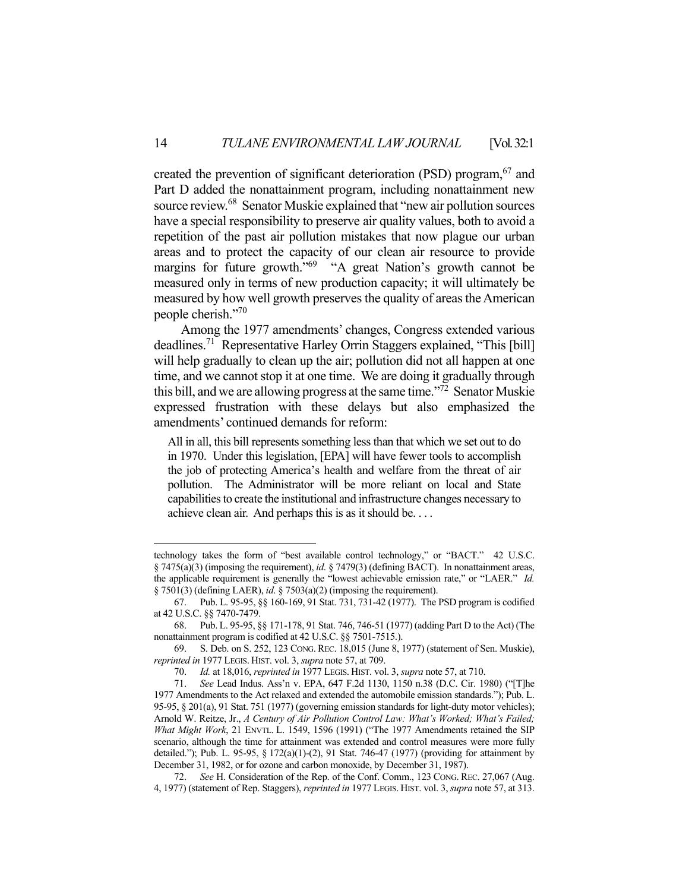created the prevention of significant deterioration (PSD) program, <sup>67</sup> and Part D added the nonattainment program, including nonattainment new source review.<sup>68</sup> Senator Muskie explained that "new air pollution sources have a special responsibility to preserve air quality values, both to avoid a repetition of the past air pollution mistakes that now plague our urban areas and to protect the capacity of our clean air resource to provide margins for future growth."<sup>69</sup> "A great Nation's growth cannot be measured only in terms of new production capacity; it will ultimately be measured by how well growth preserves the quality of areas the American people cherish."70

 Among the 1977 amendments' changes, Congress extended various deadlines.71 Representative Harley Orrin Staggers explained, "This [bill] will help gradually to clean up the air; pollution did not all happen at one time, and we cannot stop it at one time. We are doing it gradually through this bill, and we are allowing progress at the same time."<sup>72</sup> Senator Muskie expressed frustration with these delays but also emphasized the amendments' continued demands for reform:

All in all, this bill represents something less than that which we set out to do in 1970. Under this legislation, [EPA] will have fewer tools to accomplish the job of protecting America's health and welfare from the threat of air pollution. The Administrator will be more reliant on local and State capabilities to create the institutional and infrastructure changes necessary to achieve clean air. And perhaps this is as it should be. . . .

technology takes the form of "best available control technology," or "BACT." 42 U.S.C. § 7475(a)(3) (imposing the requirement), *id*. § 7479(3) (defining BACT). In nonattainment areas, the applicable requirement is generally the "lowest achievable emission rate," or "LAER." *Id.* § 7501(3) (defining LAER), *id*. § 7503(a)(2) (imposing the requirement).

 <sup>67.</sup> Pub. L. 95-95, §§ 160-169, 91 Stat. 731, 731-42 (1977). The PSD program is codified at 42 U.S.C. §§ 7470-7479.

 <sup>68.</sup> Pub. L. 95-95, §§ 171-178, 91 Stat. 746, 746-51 (1977) (adding Part D to the Act) (The nonattainment program is codified at 42 U.S.C. §§ 7501-7515.).

 <sup>69.</sup> S. Deb. on S. 252, 123 CONG. REC. 18,015 (June 8, 1977) (statement of Sen. Muskie), *reprinted in* 1977 LEGIS. HIST. vol. 3, *supra* note 57, at 709.

 <sup>70.</sup> *Id.* at 18,016, *reprinted in* 1977 LEGIS. HIST. vol. 3, *supra* note 57, at 710.

 <sup>71.</sup> *See* Lead Indus. Ass'n v. EPA, 647 F.2d 1130, 1150 n.38 (D.C. Cir. 1980) ("[T]he 1977 Amendments to the Act relaxed and extended the automobile emission standards."); Pub. L. 95-95, § 201(a), 91 Stat. 751 (1977) (governing emission standards for light-duty motor vehicles); Arnold W. Reitze, Jr., *A Century of Air Pollution Control Law: What's Worked; What's Failed; What Might Work*, 21 ENVTL. L. 1549, 1596 (1991) ("The 1977 Amendments retained the SIP scenario, although the time for attainment was extended and control measures were more fully detailed."); Pub. L. 95-95, § 172(a)(1)-(2), 91 Stat. 746-47 (1977) (providing for attainment by December 31, 1982, or for ozone and carbon monoxide, by December 31, 1987).

 <sup>72.</sup> *See* H. Consideration of the Rep. of the Conf. Comm., 123 CONG. REC. 27,067 (Aug. 4, 1977) (statement of Rep. Staggers), *reprinted in* 1977 LEGIS. HIST. vol. 3, *supra* note 57, at 313.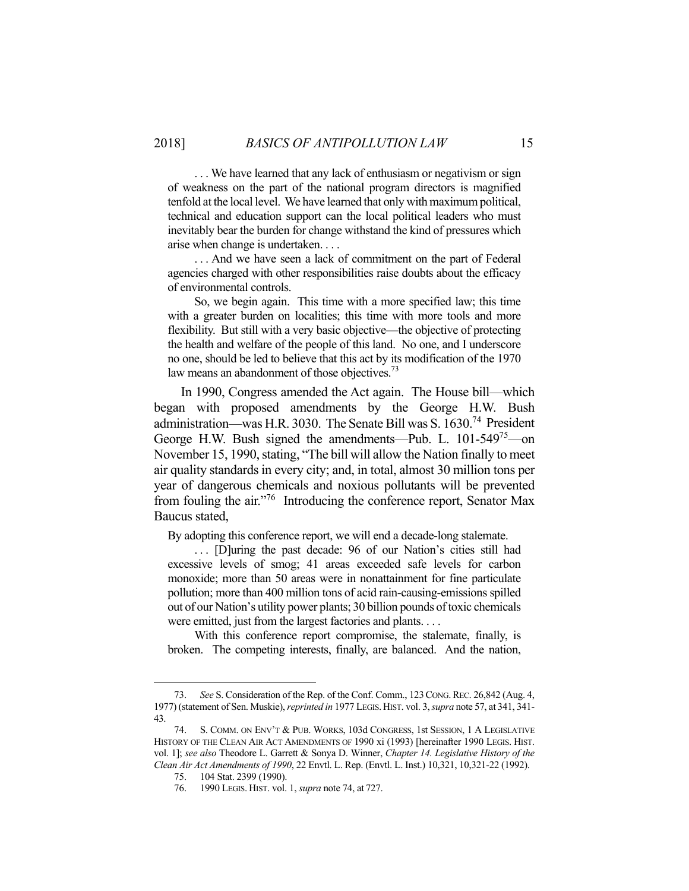. . . We have learned that any lack of enthusiasm or negativism or sign of weakness on the part of the national program directors is magnified tenfold at the local level. We have learned that only with maximum political, technical and education support can the local political leaders who must inevitably bear the burden for change withstand the kind of pressures which arise when change is undertaken. . . .

 . . . And we have seen a lack of commitment on the part of Federal agencies charged with other responsibilities raise doubts about the efficacy of environmental controls.

 So, we begin again. This time with a more specified law; this time with a greater burden on localities; this time with more tools and more flexibility. But still with a very basic objective—the objective of protecting the health and welfare of the people of this land. No one, and I underscore no one, should be led to believe that this act by its modification of the 1970 law means an abandonment of those objectives.<sup>73</sup>

 In 1990, Congress amended the Act again. The House bill—which began with proposed amendments by the George H.W. Bush administration—was H.R. 3030. The Senate Bill was S. 1630.74 President George H.W. Bush signed the amendments—Pub. L. 101-549<sup>75</sup>—on November 15, 1990, stating, "The bill will allow the Nation finally to meet air quality standards in every city; and, in total, almost 30 million tons per year of dangerous chemicals and noxious pollutants will be prevented from fouling the air."<sup>76</sup> Introducing the conference report, Senator Max Baucus stated,

By adopting this conference report, we will end a decade-long stalemate.

 . . . [D]uring the past decade: 96 of our Nation's cities still had excessive levels of smog; 41 areas exceeded safe levels for carbon monoxide; more than 50 areas were in nonattainment for fine particulate pollution; more than 400 million tons of acid rain-causing-emissions spilled out of our Nation's utility power plants; 30 billion pounds of toxic chemicals were emitted, just from the largest factories and plants. . . .

 With this conference report compromise, the stalemate, finally, is broken. The competing interests, finally, are balanced. And the nation,

 <sup>73.</sup> *See* S. Consideration of the Rep. of the Conf. Comm., 123CONG.REC. 26,842 (Aug. 4, 1977) (statement of Sen. Muskie), *reprinted in* 1977 LEGIS.HIST. vol. 3, *supra* note 57, at 341, 341- 43.

S. COMM. ON ENV'T & PUB. WORKS, 103d CONGRESS, 1st SESSION, 1 A LEGISLATIVE HISTORY OF THE CLEAN AIR ACT AMENDMENTS OF 1990 xi (1993) [hereinafter 1990 LEGIS. HIST. vol. 1]; *see also* Theodore L. Garrett & Sonya D. Winner, *Chapter 14. Legislative History of the Clean Air Act Amendments of 1990*, 22 Envtl. L. Rep. (Envtl. L. Inst.) 10,321, 10,321-22 (1992).

 <sup>75. 104</sup> Stat. 2399 (1990).

 <sup>76. 1990</sup> LEGIS. HIST. vol. 1, *supra* note 74, at 727.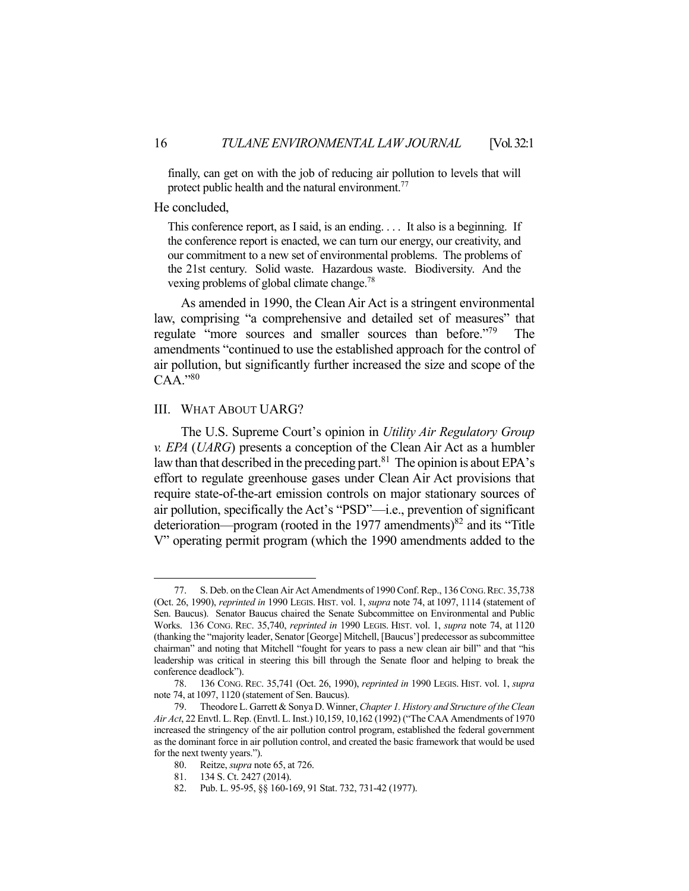finally, can get on with the job of reducing air pollution to levels that will protect public health and the natural environment.<sup>77</sup>

#### He concluded,

This conference report, as I said, is an ending. . . . It also is a beginning. If the conference report is enacted, we can turn our energy, our creativity, and our commitment to a new set of environmental problems. The problems of the 21st century. Solid waste. Hazardous waste. Biodiversity. And the vexing problems of global climate change.<sup>78</sup>

 As amended in 1990, the Clean Air Act is a stringent environmental law, comprising "a comprehensive and detailed set of measures" that regulate "more sources and smaller sources than before."<sup>79</sup> The amendments "continued to use the established approach for the control of air pollution, but significantly further increased the size and scope of the  $CAA$ ."80

#### III. WHAT ABOUT UARG?

 The U.S. Supreme Court's opinion in *Utility Air Regulatory Group v. EPA* (*UARG*) presents a conception of the Clean Air Act as a humbler law than that described in the preceding part.<sup>81</sup> The opinion is about EPA's effort to regulate greenhouse gases under Clean Air Act provisions that require state-of-the-art emission controls on major stationary sources of air pollution, specifically the Act's "PSD"—i.e., prevention of significant deterioration—program (rooted in the 1977 amendments)<sup>82</sup> and its "Title" V" operating permit program (which the 1990 amendments added to the

<u>.</u>

<sup>77.</sup> S. Deb. on the Clean Air Act Amendments of 1990 Conf. Rep., 136 Cong. REC. 35,738 (Oct. 26, 1990), *reprinted in* 1990 LEGIS. HIST. vol. 1, *supra* note 74, at 1097, 1114 (statement of Sen. Baucus). Senator Baucus chaired the Senate Subcommittee on Environmental and Public Works. 136 CONG. REC. 35,740, *reprinted in* 1990 LEGIS. HIST. vol. 1, *supra* note 74, at 1120 (thanking the "majority leader, Senator [George] Mitchell, [Baucus'] predecessor as subcommittee chairman" and noting that Mitchell "fought for years to pass a new clean air bill" and that "his leadership was critical in steering this bill through the Senate floor and helping to break the conference deadlock").

 <sup>78. 136</sup> CONG. REC. 35,741 (Oct. 26, 1990), *reprinted in* 1990 LEGIS. HIST. vol. 1, *supra* note 74, at 1097, 1120 (statement of Sen. Baucus).

 <sup>79.</sup> Theodore L. Garrett & Sonya D. Winner, *Chapter 1. History and Structure of the Clean Air Act*, 22 Envtl. L. Rep. (Envtl. L. Inst.) 10,159, 10,162 (1992) ("The CAA Amendments of 1970 increased the stringency of the air pollution control program, established the federal government as the dominant force in air pollution control, and created the basic framework that would be used for the next twenty years.").

 <sup>80.</sup> Reitze, *supra* note 65, at 726.

 <sup>81. 134</sup> S. Ct. 2427 (2014).

 <sup>82.</sup> Pub. L. 95-95, §§ 160-169, 91 Stat. 732, 731-42 (1977).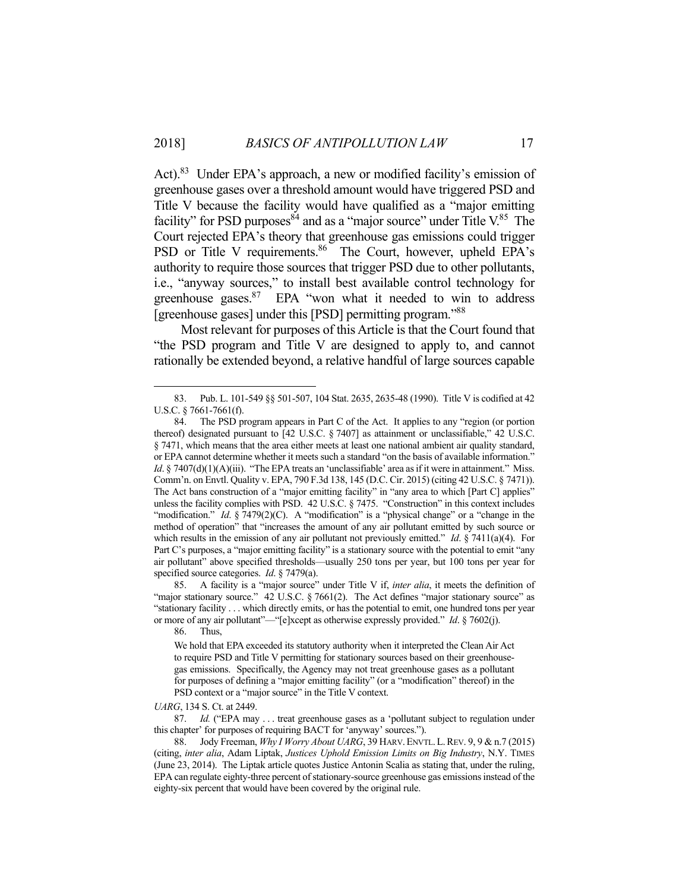Act).<sup>83</sup> Under EPA's approach, a new or modified facility's emission of greenhouse gases over a threshold amount would have triggered PSD and Title V because the facility would have qualified as a "major emitting facility" for PSD purposes  $84$  and as a "major source" under Title V. $85$  The Court rejected EPA's theory that greenhouse gas emissions could trigger PSD or Title V requirements.<sup>86</sup> The Court, however, upheld EPA's authority to require those sources that trigger PSD due to other pollutants, i.e., "anyway sources," to install best available control technology for greenhouse gases. $87$  EPA "won what it needed to win to address [greenhouse gases] under this [PSD] permitting program."<sup>88</sup>

 Most relevant for purposes of this Article is that the Court found that "the PSD program and Title V are designed to apply to, and cannot rationally be extended beyond, a relative handful of large sources capable

86. Thus,

1

*UARG*, 134 S. Ct. at 2449.

 87. *Id.* ("EPA may . . . treat greenhouse gases as a 'pollutant subject to regulation under this chapter' for purposes of requiring BACT for 'anyway' sources.").

 <sup>83.</sup> Pub. L. 101-549 §§ 501-507, 104 Stat. 2635, 2635-48 (1990). Title V is codified at 42 U.S.C. § 7661-7661(f).

 <sup>84.</sup> The PSD program appears in Part C of the Act. It applies to any "region (or portion thereof) designated pursuant to [42 U.S.C. § 7407] as attainment or unclassifiable," 42 U.S.C. § 7471, which means that the area either meets at least one national ambient air quality standard, or EPA cannot determine whether it meets such a standard "on the basis of available information." *Id*. § 7407(d)(1)(A)(iii). "The EPA treats an 'unclassifiable' area as if it were in attainment." Miss. Comm'n. on Envtl. Quality v. EPA, 790 F.3d 138, 145 (D.C. Cir. 2015) (citing 42 U.S.C. § 7471)). The Act bans construction of a "major emitting facility" in "any area to which [Part C] applies" unless the facility complies with PSD. 42 U.S.C. § 7475. "Construction" in this context includes "modification." *Id.* § 7479(2)(C). A "modification" is a "physical change" or a "change in the method of operation" that "increases the amount of any air pollutant emitted by such source or which results in the emission of any air pollutant not previously emitted." *Id*. § 7411(a)(4). For Part C's purposes, a "major emitting facility" is a stationary source with the potential to emit "any air pollutant" above specified thresholds—usually 250 tons per year, but 100 tons per year for specified source categories. *Id*. § 7479(a).

 <sup>85.</sup> A facility is a "major source" under Title V if, *inter alia*, it meets the definition of "major stationary source." 42 U.S.C. § 7661(2). The Act defines "major stationary source" as "stationary facility . . . which directly emits, or has the potential to emit, one hundred tons per year or more of any air pollutant"—"[e]xcept as otherwise expressly provided." *Id*. § 7602(j).

We hold that EPA exceeded its statutory authority when it interpreted the Clean Air Act to require PSD and Title V permitting for stationary sources based on their greenhousegas emissions. Specifically, the Agency may not treat greenhouse gases as a pollutant for purposes of defining a "major emitting facility" (or a "modification" thereof) in the PSD context or a "major source" in the Title V context.

 <sup>88.</sup> Jody Freeman, *Why I Worry About UARG*, 39 HARV.ENVTL.L.REV. 9, 9 & n.7 (2015) (citing, *inter alia*, Adam Liptak, *Justices Uphold Emission Limits on Big Industry*, N.Y. TIMES (June 23, 2014). The Liptak article quotes Justice Antonin Scalia as stating that, under the ruling, EPA can regulate eighty-three percent of stationary-source greenhouse gas emissions instead of the eighty-six percent that would have been covered by the original rule.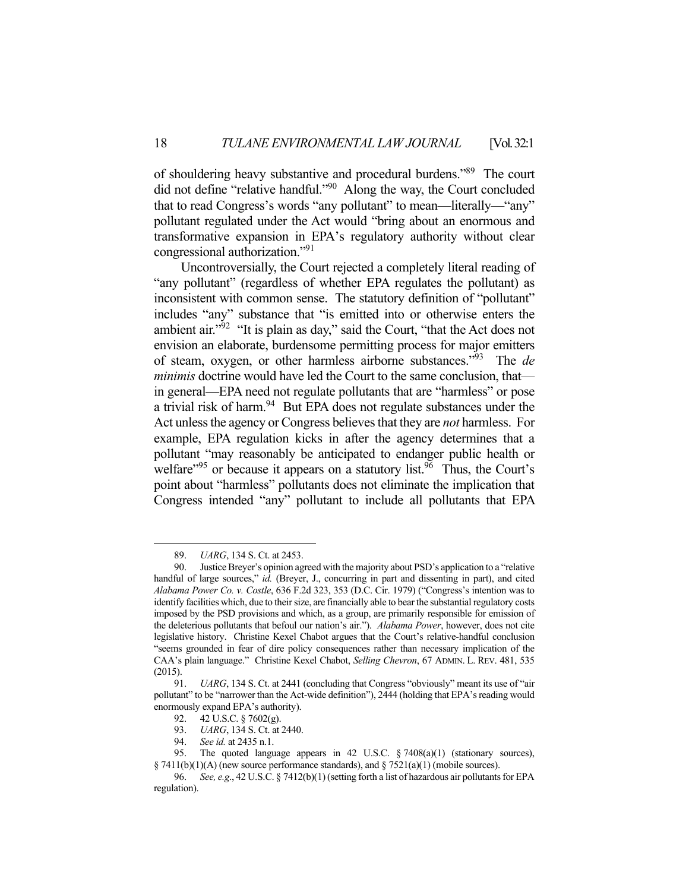of shouldering heavy substantive and procedural burdens."89 The court did not define "relative handful."90 Along the way, the Court concluded that to read Congress's words "any pollutant" to mean—literally—"any" pollutant regulated under the Act would "bring about an enormous and transformative expansion in EPA's regulatory authority without clear congressional authorization."91

 Uncontroversially, the Court rejected a completely literal reading of "any pollutant" (regardless of whether EPA regulates the pollutant) as inconsistent with common sense. The statutory definition of "pollutant" includes "any" substance that "is emitted into or otherwise enters the ambient air." $92$  "It is plain as day," said the Court, "that the Act does not envision an elaborate, burdensome permitting process for major emitters of steam, oxygen, or other harmless airborne substances."93 The *de minimis* doctrine would have led the Court to the same conclusion, that in general—EPA need not regulate pollutants that are "harmless" or pose a trivial risk of harm.<sup>94</sup> But EPA does not regulate substances under the Act unless the agency or Congress believes that they are *not* harmless. For example, EPA regulation kicks in after the agency determines that a pollutant "may reasonably be anticipated to endanger public health or welfare<sup> $95$ </sup> or because it appears on a statutory list.<sup>96</sup> Thus, the Court's point about "harmless" pollutants does not eliminate the implication that Congress intended "any" pollutant to include all pollutants that EPA

 <sup>89.</sup> *UARG*, 134 S. Ct. at 2453.

 <sup>90.</sup> Justice Breyer's opinion agreed with the majority about PSD's application to a "relative handful of large sources," *id.* (Breyer, J., concurring in part and dissenting in part), and cited *Alabama Power Co. v. Costle*, 636 F.2d 323, 353 (D.C. Cir. 1979) ("Congress's intention was to identify facilities which, due to their size, are financially able to bear the substantial regulatory costs imposed by the PSD provisions and which, as a group, are primarily responsible for emission of the deleterious pollutants that befoul our nation's air."). *Alabama Power*, however, does not cite legislative history. Christine Kexel Chabot argues that the Court's relative-handful conclusion "seems grounded in fear of dire policy consequences rather than necessary implication of the CAA's plain language." Christine Kexel Chabot, *Selling Chevron*, 67 ADMIN. L. REV. 481, 535 (2015).

 <sup>91.</sup> *UARG*, 134 S. Ct. at 2441 (concluding that Congress "obviously" meant its use of "air pollutant" to be "narrower than the Act-wide definition"), 2444 (holding that EPA's reading would enormously expand EPA's authority).

<sup>92. 42</sup> U.S.C. § 7602(g).<br>93. *UARG*, 134 S. Ct. at

*UARG*, 134 S. Ct. at 2440.

 <sup>94.</sup> *See id.* at 2435 n.1.

 <sup>95.</sup> The quoted language appears in 42 U.S.C. § 7408(a)(1) (stationary sources), § 7411(b)(1)(A) (new source performance standards), and § 7521(a)(1) (mobile sources).

 <sup>96.</sup> *See, e.g*., 42 U.S.C. § 7412(b)(1) (setting forth a list of hazardous air pollutants for EPA regulation).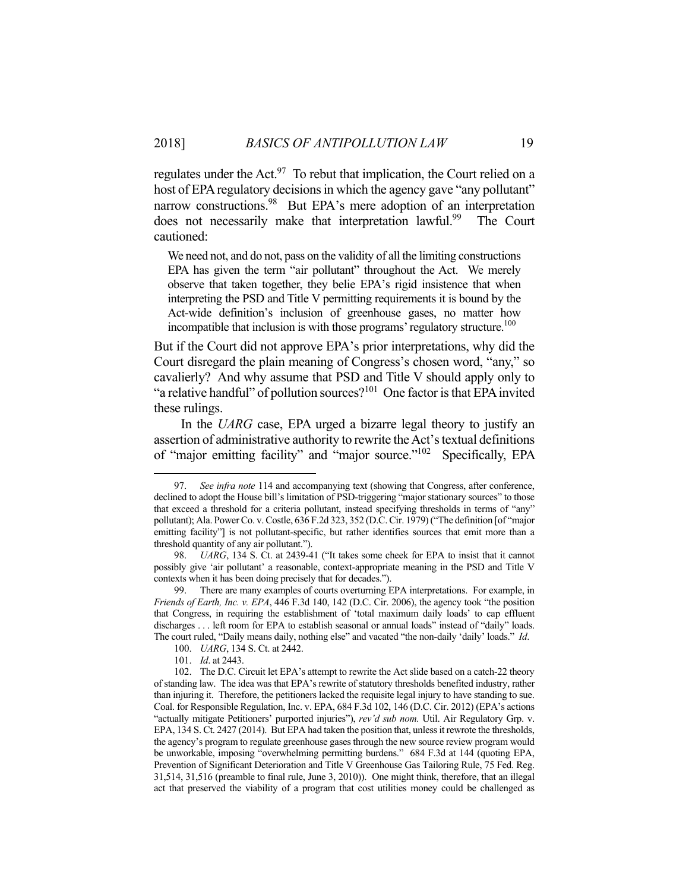regulates under the Act.<sup>97</sup> To rebut that implication, the Court relied on a host of EPA regulatory decisions in which the agency gave "any pollutant" narrow constructions.<sup>98</sup> But EPA's mere adoption of an interpretation does not necessarily make that interpretation lawful.<sup>99</sup> The Court cautioned:

We need not, and do not, pass on the validity of all the limiting constructions EPA has given the term "air pollutant" throughout the Act. We merely observe that taken together, they belie EPA's rigid insistence that when interpreting the PSD and Title V permitting requirements it is bound by the Act-wide definition's inclusion of greenhouse gases, no matter how incompatible that inclusion is with those programs' regulatory structure.<sup>100</sup>

But if the Court did not approve EPA's prior interpretations, why did the Court disregard the plain meaning of Congress's chosen word, "any," so cavalierly? And why assume that PSD and Title V should apply only to "a relative handful" of pollution sources?<sup>101</sup> One factor is that EPA invited these rulings.

 In the *UARG* case, EPA urged a bizarre legal theory to justify an assertion of administrative authority to rewrite the Act's textual definitions of "major emitting facility" and "major source."102 Specifically, EPA

 <sup>97.</sup> *See infra note* 114 and accompanying text (showing that Congress, after conference, declined to adopt the House bill's limitation of PSD-triggering "major stationary sources" to those that exceed a threshold for a criteria pollutant, instead specifying thresholds in terms of "any" pollutant); Ala. Power Co. v. Costle, 636 F.2d 323, 352 (D.C. Cir. 1979) ("The definition [of "major emitting facility"] is not pollutant-specific, but rather identifies sources that emit more than a threshold quantity of any air pollutant.").

 <sup>98.</sup> *UARG*, 134 S. Ct. at 2439-41 ("It takes some cheek for EPA to insist that it cannot possibly give 'air pollutant' a reasonable, context-appropriate meaning in the PSD and Title V contexts when it has been doing precisely that for decades.").

 <sup>99.</sup> There are many examples of courts overturning EPA interpretations. For example, in *Friends of Earth, Inc. v. EPA*, 446 F.3d 140, 142 (D.C. Cir. 2006), the agency took "the position that Congress, in requiring the establishment of 'total maximum daily loads' to cap effluent discharges . . . left room for EPA to establish seasonal or annual loads" instead of "daily" loads. The court ruled, "Daily means daily, nothing else" and vacated "the non-daily 'daily' loads." *Id*.

 <sup>100.</sup> *UARG*, 134 S. Ct. at 2442.

 <sup>101.</sup> *Id*. at 2443.

 <sup>102.</sup> The D.C. Circuit let EPA's attempt to rewrite the Act slide based on a catch-22 theory of standing law. The idea was that EPA's rewrite of statutory thresholds benefited industry, rather than injuring it. Therefore, the petitioners lacked the requisite legal injury to have standing to sue. Coal. for Responsible Regulation, Inc. v. EPA, 684 F.3d 102, 146 (D.C. Cir. 2012) (EPA's actions "actually mitigate Petitioners' purported injuries"), *rev'd sub nom.* Util. Air Regulatory Grp. v. EPA, 134 S. Ct. 2427 (2014). But EPA had taken the position that, unless it rewrote the thresholds, the agency's program to regulate greenhouse gases through the new source review program would be unworkable, imposing "overwhelming permitting burdens." 684 F.3d at 144 (quoting EPA, Prevention of Significant Deterioration and Title V Greenhouse Gas Tailoring Rule, 75 Fed. Reg. 31,514, 31,516 (preamble to final rule, June 3, 2010)). One might think, therefore, that an illegal act that preserved the viability of a program that cost utilities money could be challenged as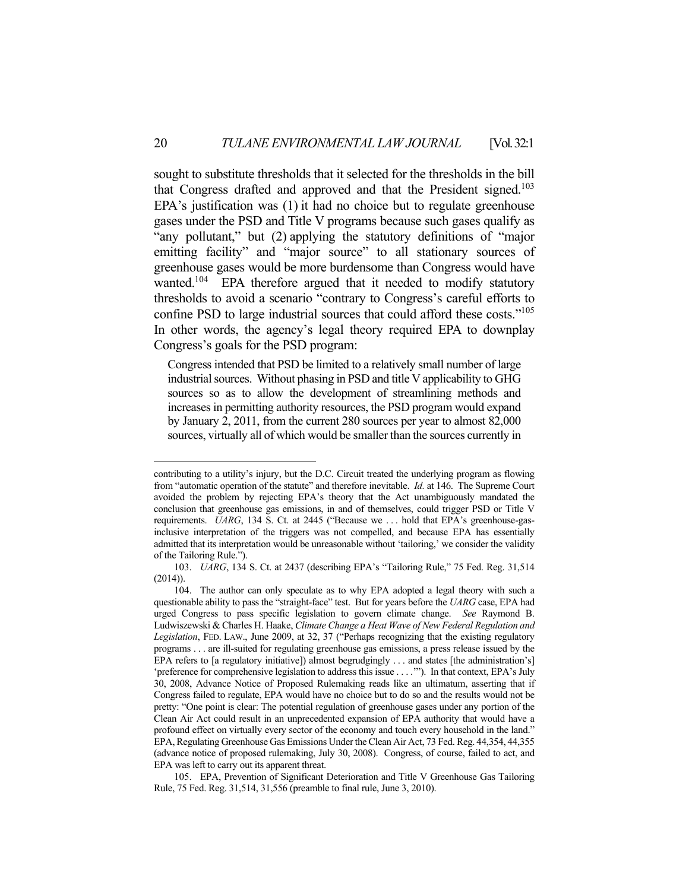sought to substitute thresholds that it selected for the thresholds in the bill that Congress drafted and approved and that the President signed.<sup>103</sup> EPA's justification was (1) it had no choice but to regulate greenhouse gases under the PSD and Title V programs because such gases qualify as "any pollutant," but (2) applying the statutory definitions of "major emitting facility" and "major source" to all stationary sources of greenhouse gases would be more burdensome than Congress would have wanted.<sup>104</sup> EPA therefore argued that it needed to modify statutory thresholds to avoid a scenario "contrary to Congress's careful efforts to confine PSD to large industrial sources that could afford these costs."105 In other words, the agency's legal theory required EPA to downplay Congress's goals for the PSD program:

Congress intended that PSD be limited to a relatively small number of large industrial sources. Without phasing in PSD and title V applicability to GHG sources so as to allow the development of streamlining methods and increases in permitting authority resources, the PSD program would expand by January 2, 2011, from the current 280 sources per year to almost 82,000 sources, virtually all of which would be smaller than the sources currently in

<u>.</u>

contributing to a utility's injury, but the D.C. Circuit treated the underlying program as flowing from "automatic operation of the statute" and therefore inevitable. *Id.* at 146. The Supreme Court avoided the problem by rejecting EPA's theory that the Act unambiguously mandated the conclusion that greenhouse gas emissions, in and of themselves, could trigger PSD or Title V requirements. *UARG*, 134 S. Ct. at 2445 ("Because we ... hold that EPA's greenhouse-gasinclusive interpretation of the triggers was not compelled, and because EPA has essentially admitted that its interpretation would be unreasonable without 'tailoring,' we consider the validity of the Tailoring Rule.").

 <sup>103.</sup> *UARG*, 134 S. Ct. at 2437 (describing EPA's "Tailoring Rule," 75 Fed. Reg. 31,514 (2014)).

 <sup>104.</sup> The author can only speculate as to why EPA adopted a legal theory with such a questionable ability to pass the "straight-face" test. But for years before the *UARG* case, EPA had urged Congress to pass specific legislation to govern climate change. *See* Raymond B. Ludwiszewski & Charles H. Haake, *Climate Change a Heat Wave of New Federal Regulation and Legislation*, FED. LAW., June 2009, at 32, 37 ("Perhaps recognizing that the existing regulatory programs . . . are ill-suited for regulating greenhouse gas emissions, a press release issued by the EPA refers to [a regulatory initiative]) almost begrudgingly . . . and states [the administration's] 'preference for comprehensive legislation to address this issue . . . .'"). In that context, EPA's July 30, 2008, Advance Notice of Proposed Rulemaking reads like an ultimatum, asserting that if Congress failed to regulate, EPA would have no choice but to do so and the results would not be pretty: "One point is clear: The potential regulation of greenhouse gases under any portion of the Clean Air Act could result in an unprecedented expansion of EPA authority that would have a profound effect on virtually every sector of the economy and touch every household in the land." EPA, Regulating Greenhouse Gas Emissions Under the Clean Air Act, 73 Fed. Reg. 44,354, 44,355 (advance notice of proposed rulemaking, July 30, 2008). Congress, of course, failed to act, and EPA was left to carry out its apparent threat.

 <sup>105.</sup> EPA, Prevention of Significant Deterioration and Title V Greenhouse Gas Tailoring Rule, 75 Fed. Reg. 31,514, 31,556 (preamble to final rule, June 3, 2010).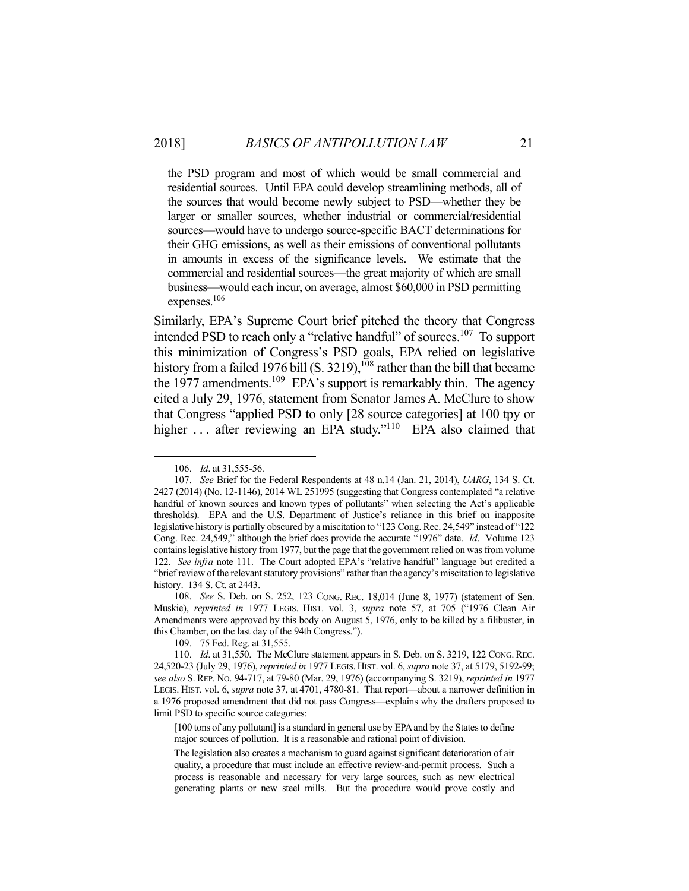the PSD program and most of which would be small commercial and residential sources. Until EPA could develop streamlining methods, all of the sources that would become newly subject to PSD—whether they be larger or smaller sources, whether industrial or commercial/residential sources—would have to undergo source-specific BACT determinations for their GHG emissions, as well as their emissions of conventional pollutants in amounts in excess of the significance levels. We estimate that the commercial and residential sources—the great majority of which are small business—would each incur, on average, almost \$60,000 in PSD permitting expenses.<sup>106</sup>

Similarly, EPA's Supreme Court brief pitched the theory that Congress intended PSD to reach only a "relative handful" of sources.107 To support this minimization of Congress's PSD goals, EPA relied on legislative history from a failed 1976 bill (S. 3219),<sup>108</sup> rather than the bill that became the 1977 amendments.<sup>109</sup> EPA's support is remarkably thin. The agency cited a July 29, 1976, statement from Senator James A. McClure to show that Congress "applied PSD to only [28 source categories] at 100 tpy or higher  $\ldots$  after reviewing an EPA study."<sup>110</sup> EPA also claimed that

1

109. 75 Fed. Reg. at 31,555.

 <sup>106.</sup> *Id*. at 31,555-56.

 <sup>107.</sup> *See* Brief for the Federal Respondents at 48 n.14 (Jan. 21, 2014), *UARG*, 134 S. Ct. 2427 (2014) (No. 12-1146), 2014 WL 251995 (suggesting that Congress contemplated "a relative handful of known sources and known types of pollutants" when selecting the Act's applicable thresholds). EPA and the U.S. Department of Justice's reliance in this brief on inapposite legislative history is partially obscured by a miscitation to "123 Cong. Rec. 24,549" instead of "122 Cong. Rec. 24,549," although the brief does provide the accurate "1976" date. *Id*. Volume 123 contains legislative history from 1977, but the page that the government relied on was from volume 122. *See infra* note 111. The Court adopted EPA's "relative handful" language but credited a "brief review of the relevant statutory provisions" rather than the agency's miscitation to legislative history. 134 S. Ct. at 2443.

 <sup>108.</sup> *See* S. Deb. on S. 252, 123 CONG. REC. 18,014 (June 8, 1977) (statement of Sen. Muskie), *reprinted in* 1977 LEGIS. HIST. vol. 3, *supra* note 57, at 705 ("1976 Clean Air Amendments were approved by this body on August 5, 1976, only to be killed by a filibuster, in this Chamber, on the last day of the 94th Congress.").

 <sup>110.</sup> *Id*. at 31,550. The McClure statement appears in S. Deb. on S. 3219, 122 CONG. REC. 24,520-23 (July 29, 1976), *reprinted in* 1977 LEGIS. HIST. vol. 6, *supra* note 37, at 5179, 5192-99; *see also* S. REP. NO. 94-717, at 79-80 (Mar. 29, 1976) (accompanying S. 3219), *reprinted in* 1977 LEGIS. HIST. vol. 6, *supra* note 37, at 4701, 4780-81. That report—about a narrower definition in a 1976 proposed amendment that did not pass Congress—explains why the drafters proposed to limit PSD to specific source categories:

<sup>[100</sup> tons of any pollutant] is a standard in general use by EPA and by the States to define major sources of pollution. It is a reasonable and rational point of division.

The legislation also creates a mechanism to guard against significant deterioration of air quality, a procedure that must include an effective review-and-permit process. Such a process is reasonable and necessary for very large sources, such as new electrical generating plants or new steel mills. But the procedure would prove costly and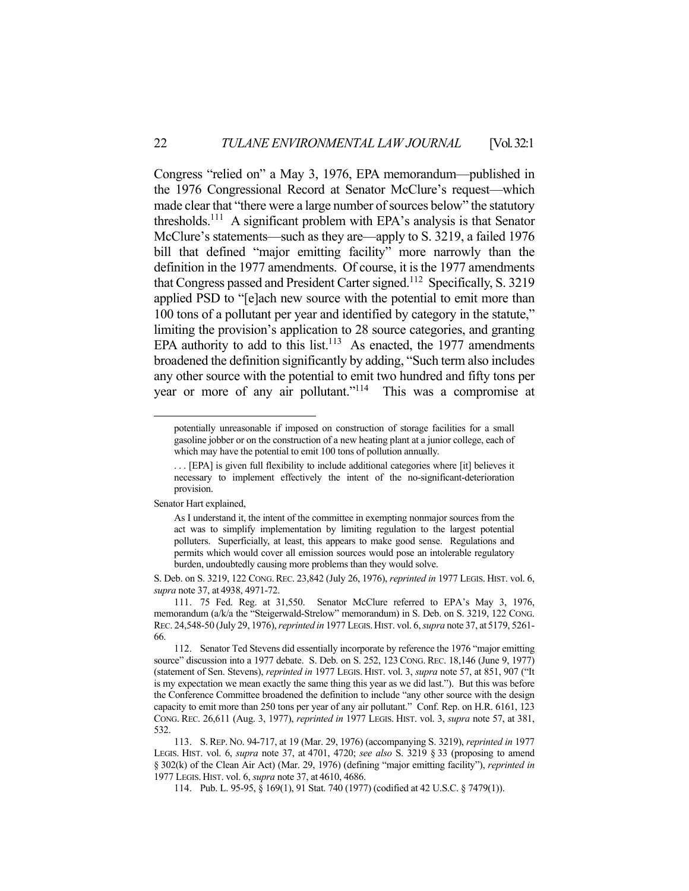Congress "relied on" a May 3, 1976, EPA memorandum—published in the 1976 Congressional Record at Senator McClure's request—which made clear that "there were a large number of sources below" the statutory thresholds.111 A significant problem with EPA's analysis is that Senator McClure's statements—such as they are—apply to S. 3219, a failed 1976 bill that defined "major emitting facility" more narrowly than the definition in the 1977 amendments. Of course, it is the 1977 amendments that Congress passed and President Carter signed.<sup>112</sup> Specifically, S. 3219 applied PSD to "[e]ach new source with the potential to emit more than 100 tons of a pollutant per year and identified by category in the statute," limiting the provision's application to 28 source categories, and granting EPA authority to add to this list.<sup>113</sup> As enacted, the 1977 amendments broadened the definition significantly by adding, "Such term also includes any other source with the potential to emit two hundred and fifty tons per year or more of any air pollutant."114 This was a compromise at

Senator Hart explained,

potentially unreasonable if imposed on construction of storage facilities for a small gasoline jobber or on the construction of a new heating plant at a junior college, each of which may have the potential to emit 100 tons of pollution annually.

<sup>. . . [</sup>EPA] is given full flexibility to include additional categories where [it] believes it necessary to implement effectively the intent of the no-significant-deterioration provision.

As I understand it, the intent of the committee in exempting nonmajor sources from the act was to simplify implementation by limiting regulation to the largest potential polluters. Superficially, at least, this appears to make good sense. Regulations and permits which would cover all emission sources would pose an intolerable regulatory burden, undoubtedly causing more problems than they would solve.

S. Deb. on S. 3219, 122 CONG.REC. 23,842 (July 26, 1976), *reprinted in* 1977 LEGIS. HIST. vol. 6, *supra* note 37, at 4938, 4971-72.

 <sup>111. 75</sup> Fed. Reg. at 31,550. Senator McClure referred to EPA's May 3, 1976, memorandum (a/k/a the "Steigerwald-Strelow" memorandum) in S. Deb. on S. 3219, 122 CONG. REC. 24,548-50 (July 29, 1976), *reprinted in* 1977 LEGIS.HIST. vol. 6, *supra* note 37, at 5179, 5261- 66.

 <sup>112.</sup> Senator Ted Stevens did essentially incorporate by reference the 1976 "major emitting source" discussion into a 1977 debate. S. Deb. on S. 252, 123 CONG. REC. 18,146 (June 9, 1977) (statement of Sen. Stevens), *reprinted in* 1977 LEGIS. HIST. vol. 3, *supra* note 57, at 851, 907 ("It is my expectation we mean exactly the same thing this year as we did last."). But this was before the Conference Committee broadened the definition to include "any other source with the design capacity to emit more than 250 tons per year of any air pollutant." Conf. Rep. on H.R. 6161, 123 CONG. REC. 26,611 (Aug. 3, 1977), *reprinted in* 1977 LEGIS. HIST. vol. 3, *supra* note 57, at 381, 532.

 <sup>113.</sup> S. REP. NO. 94-717, at 19 (Mar. 29, 1976) (accompanying S. 3219), *reprinted in* 1977 LEGIS. HIST. vol. 6, *supra* note 37, at 4701, 4720; *see also* S. 3219 § 33 (proposing to amend § 302(k) of the Clean Air Act) (Mar. 29, 1976) (defining "major emitting facility"), *reprinted in* 1977 LEGIS. HIST. vol. 6, *supra* note 37, at 4610, 4686.

 <sup>114.</sup> Pub. L. 95-95, § 169(1), 91 Stat. 740 (1977) (codified at 42 U.S.C. § 7479(1)).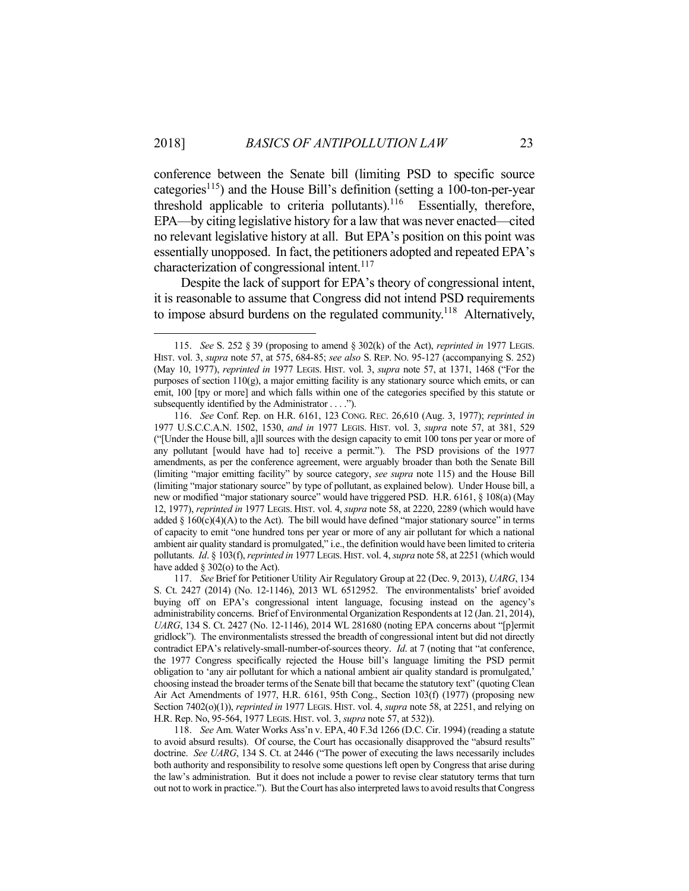1

conference between the Senate bill (limiting PSD to specific source categories<sup>115</sup>) and the House Bill's definition (setting a 100-ton-per-year threshold applicable to criteria pollutants).<sup>116</sup> Essentially, therefore, EPA—by citing legislative history for a law that was never enacted—cited no relevant legislative history at all. But EPA's position on this point was essentially unopposed. In fact, the petitioners adopted and repeated EPA's characterization of congressional intent.<sup>117</sup>

 Despite the lack of support for EPA's theory of congressional intent, it is reasonable to assume that Congress did not intend PSD requirements to impose absurd burdens on the regulated community.<sup>118</sup> Alternatively,

 <sup>115.</sup> *See* S. 252 § 39 (proposing to amend § 302(k) of the Act), *reprinted in* 1977 LEGIS. HIST. vol. 3, *supra* note 57, at 575, 684-85; *see also* S. REP. NO. 95-127 (accompanying S. 252) (May 10, 1977), *reprinted in* 1977 LEGIS. HIST. vol. 3, *supra* note 57, at 1371, 1468 ("For the purposes of section  $110(g)$ , a major emitting facility is any stationary source which emits, or can emit, 100 [tpy or more] and which falls within one of the categories specified by this statute or subsequently identified by the Administrator . . . .").

 <sup>116.</sup> *See* Conf. Rep. on H.R. 6161, 123 CONG. REC. 26,610 (Aug. 3, 1977); *reprinted in* 1977 U.S.C.C.A.N. 1502, 1530, *and in* 1977 LEGIS. HIST. vol. 3, *supra* note 57, at 381, 529 ("[Under the House bill, a]ll sources with the design capacity to emit 100 tons per year or more of any pollutant [would have had to] receive a permit."). The PSD provisions of the 1977 amendments, as per the conference agreement, were arguably broader than both the Senate Bill (limiting "major emitting facility" by source category, *see supra* note 115) and the House Bill (limiting "major stationary source" by type of pollutant, as explained below). Under House bill, a new or modified "major stationary source" would have triggered PSD. H.R. 6161, § 108(a) (May 12, 1977), *reprinted in* 1977 LEGIS. HIST. vol. 4, *supra* note 58, at 2220, 2289 (which would have added  $\S$  160(c)(4)(A) to the Act). The bill would have defined "major stationary source" in terms of capacity to emit "one hundred tons per year or more of any air pollutant for which a national ambient air quality standard is promulgated," i.e., the definition would have been limited to criteria pollutants. *Id*. § 103(f), *reprinted in* 1977 LEGIS. HIST. vol. 4, *supra* note 58, at 2251 (which would have added  $\S 302$ (o) to the Act).

 <sup>117.</sup> *See* Brief for Petitioner Utility Air Regulatory Group at 22 (Dec. 9, 2013), *UARG*, 134 S. Ct. 2427 (2014) (No. 12-1146), 2013 WL 6512952. The environmentalists' brief avoided buying off on EPA's congressional intent language, focusing instead on the agency's administrability concerns. Brief of Environmental Organization Respondents at 12 (Jan. 21, 2014), *UARG*, 134 S. Ct. 2427 (No. 12-1146), 2014 WL 281680 (noting EPA concerns about "[p]ermit gridlock"). The environmentalists stressed the breadth of congressional intent but did not directly contradict EPA's relatively-small-number-of-sources theory. *Id*. at 7 (noting that "at conference, the 1977 Congress specifically rejected the House bill's language limiting the PSD permit obligation to 'any air pollutant for which a national ambient air quality standard is promulgated,' choosing instead the broader terms of the Senate bill that became the statutory text" (quoting Clean Air Act Amendments of 1977, H.R. 6161, 95th Cong., Section 103(f) (1977) (proposing new Section 7402(o)(1)), *reprinted in* 1977 LEGIS. HIST. vol. 4, *supra* note 58, at 2251, and relying on H.R. Rep. No, 95-564, 1977 LEGIS. HIST. vol. 3, *supra* note 57, at 532)).

 <sup>118.</sup> *See* Am. Water Works Ass'n v. EPA, 40 F.3d 1266 (D.C. Cir. 1994) (reading a statute to avoid absurd results). Of course, the Court has occasionally disapproved the "absurd results" doctrine. *See UARG*, 134 S. Ct. at 2446 ("The power of executing the laws necessarily includes both authority and responsibility to resolve some questions left open by Congress that arise during the law's administration. But it does not include a power to revise clear statutory terms that turn out not to work in practice."). But the Court has also interpreted laws to avoid results that Congress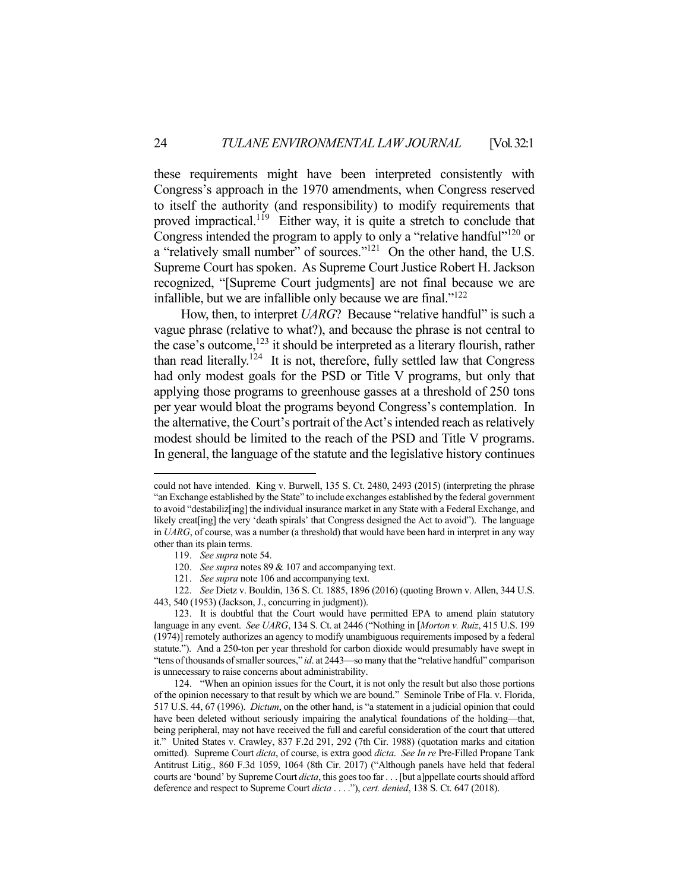these requirements might have been interpreted consistently with Congress's approach in the 1970 amendments, when Congress reserved to itself the authority (and responsibility) to modify requirements that proved impractical.<sup>119</sup> Either way, it is quite a stretch to conclude that Congress intended the program to apply to only a "relative handful"<sup>120</sup> or a "relatively small number" of sources."<sup>121</sup> On the other hand, the U.S. Supreme Court has spoken. As Supreme Court Justice Robert H. Jackson recognized, "[Supreme Court judgments] are not final because we are infallible, but we are infallible only because we are final."122

 How, then, to interpret *UARG*? Because "relative handful" is such a vague phrase (relative to what?), and because the phrase is not central to the case's outcome,<sup>123</sup> it should be interpreted as a literary flourish, rather than read literally.<sup>124</sup> It is not, therefore, fully settled law that Congress had only modest goals for the PSD or Title V programs, but only that applying those programs to greenhouse gasses at a threshold of 250 tons per year would bloat the programs beyond Congress's contemplation. In the alternative, the Court's portrait of the Act's intended reach as relatively modest should be limited to the reach of the PSD and Title V programs. In general, the language of the statute and the legislative history continues

could not have intended. King v. Burwell, 135 S. Ct. 2480, 2493 (2015) (interpreting the phrase "an Exchange established by the State" to include exchanges established by the federal government to avoid "destabiliz[ing] the individual insurance market in any State with a Federal Exchange, and likely creat[ing] the very 'death spirals' that Congress designed the Act to avoid"). The language in *UARG*, of course, was a number (a threshold) that would have been hard in interpret in any way other than its plain terms.

 <sup>119.</sup> *See supra* note 54.

 <sup>120.</sup> *See supra* notes 89 & 107 and accompanying text.

 <sup>121.</sup> *See supra* note 106 and accompanying text.

 <sup>122.</sup> *See* Dietz v. Bouldin, 136 S. Ct. 1885, 1896 (2016) (quoting Brown v. Allen, 344 U.S. 443, 540 (1953) (Jackson, J., concurring in judgment)).

 <sup>123.</sup> It is doubtful that the Court would have permitted EPA to amend plain statutory language in any event. *See UARG*, 134 S. Ct. at 2446 ("Nothing in [*Morton v. Ruiz*, 415 U.S. 199 (1974)] remotely authorizes an agency to modify unambiguous requirements imposed by a federal statute."). And a 250-ton per year threshold for carbon dioxide would presumably have swept in "tens of thousands of smaller sources," *id*. at 2443—so many that the "relative handful" comparison is unnecessary to raise concerns about administrability.

 <sup>124. &</sup>quot;When an opinion issues for the Court, it is not only the result but also those portions of the opinion necessary to that result by which we are bound." Seminole Tribe of Fla. v. Florida, 517 U.S. 44, 67 (1996). *Dictum*, on the other hand, is "a statement in a judicial opinion that could have been deleted without seriously impairing the analytical foundations of the holding—that, being peripheral, may not have received the full and careful consideration of the court that uttered it." United States v. Crawley, 837 F.2d 291, 292 (7th Cir. 1988) (quotation marks and citation omitted). Supreme Court *dicta*, of course, is extra good *dicta*. *See In re* Pre-Filled Propane Tank Antitrust Litig., 860 F.3d 1059, 1064 (8th Cir. 2017) ("Although panels have held that federal courts are 'bound' by Supreme Court *dicta*, this goes too far . . . [but a]ppellate courts should afford deference and respect to Supreme Court *dicta* . . . ."), *cert. denied*, 138 S. Ct. 647 (2018).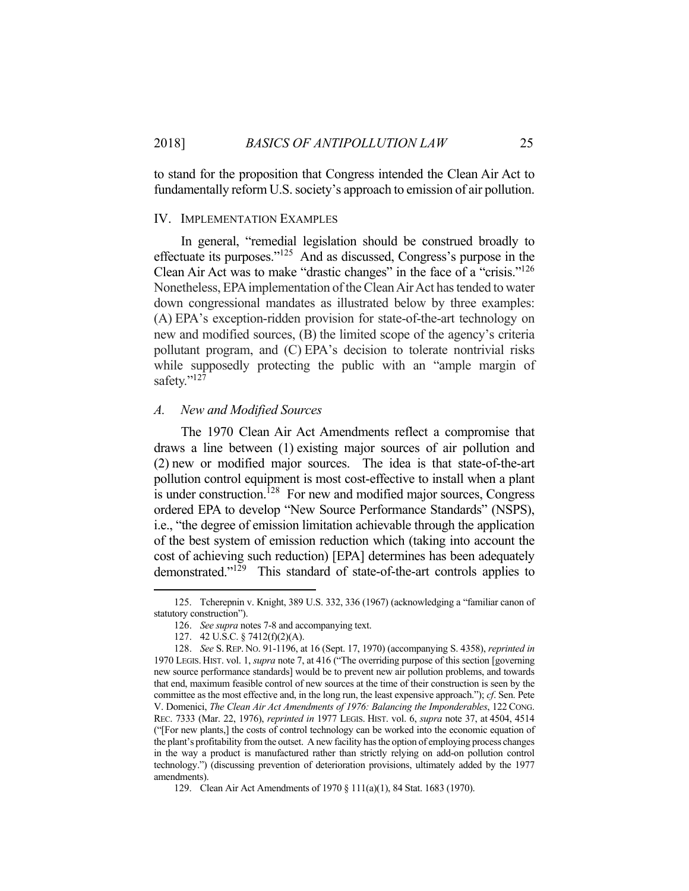to stand for the proposition that Congress intended the Clean Air Act to fundamentally reform U.S. society's approach to emission of air pollution.

#### IV. IMPLEMENTATION EXAMPLES

 In general, "remedial legislation should be construed broadly to effectuate its purposes."125 And as discussed, Congress's purpose in the Clean Air Act was to make "drastic changes" in the face of a "crisis."126 Nonetheless, EPA implementation of the Clean Air Act has tended to water down congressional mandates as illustrated below by three examples: (A) EPA's exception-ridden provision for state-of-the-art technology on new and modified sources, (B) the limited scope of the agency's criteria pollutant program, and (C) EPA's decision to tolerate nontrivial risks while supposedly protecting the public with an "ample margin of safety."<sup>127</sup>

#### *A. New and Modified Sources*

 The 1970 Clean Air Act Amendments reflect a compromise that draws a line between (1) existing major sources of air pollution and (2) new or modified major sources. The idea is that state-of-the-art pollution control equipment is most cost-effective to install when a plant is under construction.<sup>128</sup> For new and modified major sources, Congress ordered EPA to develop "New Source Performance Standards" (NSPS), i.e., "the degree of emission limitation achievable through the application of the best system of emission reduction which (taking into account the cost of achieving such reduction) [EPA] determines has been adequately demonstrated."129 This standard of state-of-the-art controls applies to

 <sup>125.</sup> Tcherepnin v. Knight, 389 U.S. 332, 336 (1967) (acknowledging a "familiar canon of statutory construction").

 <sup>126.</sup> *See supra* notes 7-8 and accompanying text.

 <sup>127. 42</sup> U.S.C. § 7412(f)(2)(A).

 <sup>128.</sup> *See* S. REP. NO. 91-1196, at 16 (Sept. 17, 1970) (accompanying S. 4358), *reprinted in*  1970 LEGIS. HIST. vol. 1, *supra* note 7, at 416 ("The overriding purpose of this section [governing new source performance standards] would be to prevent new air pollution problems, and towards that end, maximum feasible control of new sources at the time of their construction is seen by the committee as the most effective and, in the long run, the least expensive approach."); *cf*. Sen. Pete V. Domenici, *The Clean Air Act Amendments of 1976: Balancing the Imponderables*, 122 CONG. REC. 7333 (Mar. 22, 1976), *reprinted in* 1977 LEGIS. HIST. vol. 6, *supra* note 37, at 4504, 4514 ("[For new plants,] the costs of control technology can be worked into the economic equation of the plant's profitability from the outset. A new facility has the option of employing process changes in the way a product is manufactured rather than strictly relying on add-on pollution control technology.") (discussing prevention of deterioration provisions, ultimately added by the 1977 amendments).

 <sup>129.</sup> Clean Air Act Amendments of 1970 § 111(a)(1), 84 Stat. 1683 (1970).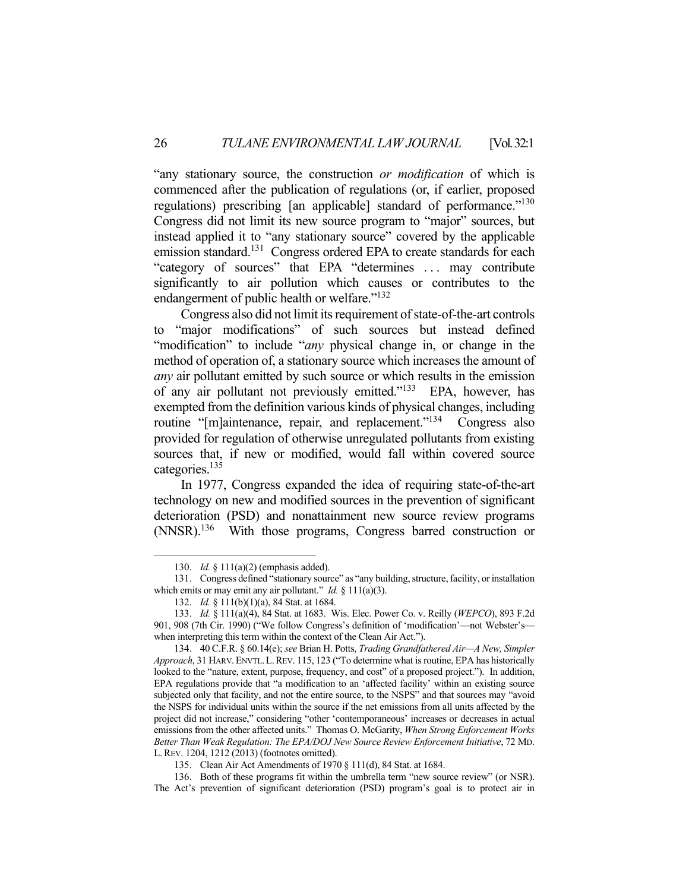"any stationary source, the construction *or modification* of which is commenced after the publication of regulations (or, if earlier, proposed regulations) prescribing [an applicable] standard of performance."<sup>130</sup> Congress did not limit its new source program to "major" sources, but instead applied it to "any stationary source" covered by the applicable emission standard.<sup>131</sup> Congress ordered EPA to create standards for each "category of sources" that EPA "determines . . . may contribute significantly to air pollution which causes or contributes to the endangerment of public health or welfare."132

 Congress also did not limit its requirement of state-of-the-art controls to "major modifications" of such sources but instead defined "modification" to include "*any* physical change in, or change in the method of operation of, a stationary source which increases the amount of *any* air pollutant emitted by such source or which results in the emission of any air pollutant not previously emitted."133 EPA, however, has exempted from the definition various kinds of physical changes, including routine "[m]aintenance, repair, and replacement."<sup>134</sup> Congress also provided for regulation of otherwise unregulated pollutants from existing sources that, if new or modified, would fall within covered source categories.135

 In 1977, Congress expanded the idea of requiring state-of-the-art technology on new and modified sources in the prevention of significant deterioration (PSD) and nonattainment new source review programs (NNSR).136 With those programs, Congress barred construction or

 <sup>130.</sup> *Id.* § 111(a)(2) (emphasis added).

 <sup>131.</sup> Congress defined "stationary source" as "any building, structure, facility, or installation which emits or may emit any air pollutant." *Id.* § 111(a)(3).

 <sup>132.</sup> *Id.* § 111(b)(1)(a), 84 Stat. at 1684.

 <sup>133.</sup> *Id.* § 111(a)(4), 84 Stat. at 1683. Wis. Elec. Power Co. v. Reilly (*WEPCO*), 893 F.2d 901, 908 (7th Cir. 1990) ("We follow Congress's definition of 'modification'—not Webster's when interpreting this term within the context of the Clean Air Act.").

 <sup>134. 40</sup> C.F.R. § 60.14(e); *see* Brian H. Potts, *Trading Grandfathered Air—A New, Simpler Approach*, 31 HARV.ENVTL.L.REV. 115, 123 ("To determine what is routine, EPA has historically looked to the "nature, extent, purpose, frequency, and cost" of a proposed project."). In addition, EPA regulations provide that "a modification to an 'affected facility' within an existing source subjected only that facility, and not the entire source, to the NSPS" and that sources may "avoid the NSPS for individual units within the source if the net emissions from all units affected by the project did not increase," considering "other 'contemporaneous' increases or decreases in actual emissions from the other affected units." Thomas O. McGarity, *When Strong Enforcement Works Better Than Weak Regulation: The EPA/DOJ New Source Review Enforcement Initiative*, 72 MD. L.REV. 1204, 1212 (2013) (footnotes omitted).

 <sup>135.</sup> Clean Air Act Amendments of 1970 § 111(d), 84 Stat. at 1684.

 <sup>136.</sup> Both of these programs fit within the umbrella term "new source review" (or NSR). The Act's prevention of significant deterioration (PSD) program's goal is to protect air in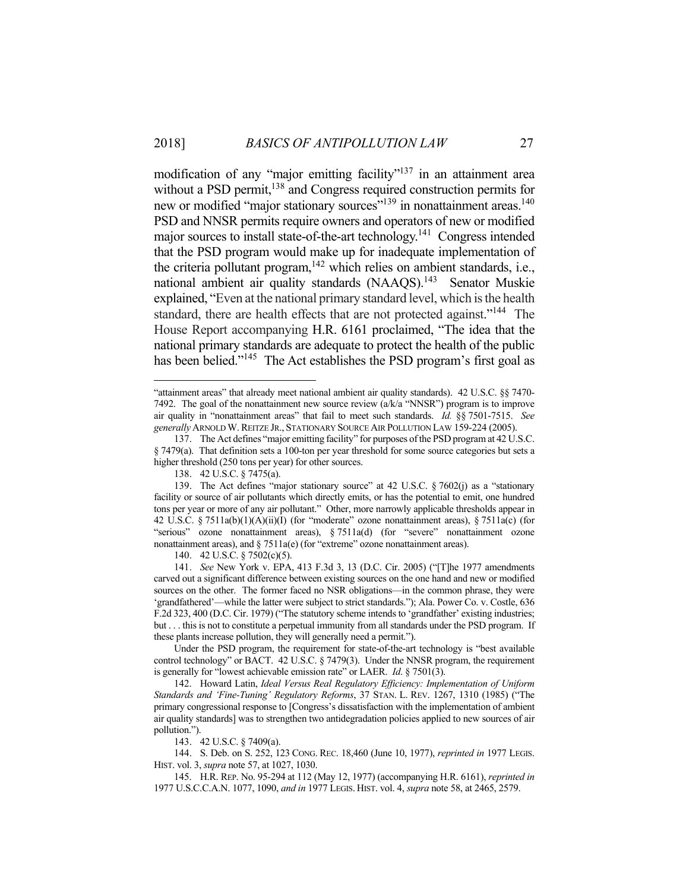modification of any "major emitting facility"<sup>137</sup> in an attainment area without a PSD permit,<sup>138</sup> and Congress required construction permits for new or modified "major stationary sources"<sup>139</sup> in nonattainment areas.<sup>140</sup> PSD and NNSR permits require owners and operators of new or modified major sources to install state-of-the-art technology.<sup>141</sup> Congress intended that the PSD program would make up for inadequate implementation of the criteria pollutant program, $142$  which relies on ambient standards, i.e., national ambient air quality standards (NAAQS).<sup>143</sup> Senator Muskie explained, "Even at the national primary standard level, which is the health standard, there are health effects that are not protected against."<sup>144</sup> The House Report accompanying H.R. 6161 proclaimed, "The idea that the national primary standards are adequate to protect the health of the public has been belied."<sup>145</sup> The Act establishes the PSD program's first goal as

<u>.</u>

143. 42 U.S.C. § 7409(a).

<sup>&</sup>quot;attainment areas" that already meet national ambient air quality standards). 42 U.S.C. §§ 7470- 7492. The goal of the nonattainment new source review  $(a/k/a$  "NNSR") program is to improve air quality in "nonattainment areas" that fail to meet such standards. *Id.* §§ 7501-7515. *See generally* ARNOLD W. REITZE JR., STATIONARY SOURCE AIR POLLUTION LAW 159-224 (2005).

 <sup>137.</sup> The Act defines "major emitting facility" for purposes of the PSD program at 42 U.S.C. § 7479(a). That definition sets a 100-ton per year threshold for some source categories but sets a higher threshold (250 tons per year) for other sources.

 <sup>138. 42</sup> U.S.C. § 7475(a).

 <sup>139.</sup> The Act defines "major stationary source" at 42 U.S.C. § 7602(j) as a "stationary facility or source of air pollutants which directly emits, or has the potential to emit, one hundred tons per year or more of any air pollutant." Other, more narrowly applicable thresholds appear in 42 U.S.C. § 7511a(b)(1)(A)(ii)(I) (for "moderate" ozone nonattainment areas), § 7511a(c) (for "serious" ozone nonattainment areas), § 7511a(d) (for "severe" nonattainment ozone nonattainment areas), and § 7511a(e) (for "extreme" ozone nonattainment areas).

 <sup>140. 42</sup> U.S.C. § 7502(c)(5).

 <sup>141.</sup> *See* New York v. EPA, 413 F.3d 3, 13 (D.C. Cir. 2005) ("[T]he 1977 amendments carved out a significant difference between existing sources on the one hand and new or modified sources on the other. The former faced no NSR obligations—in the common phrase, they were 'grandfathered'—while the latter were subject to strict standards."); Ala. Power Co. v. Costle, 636 F.2d 323, 400 (D.C. Cir. 1979) ("The statutory scheme intends to 'grandfather' existing industries; but . . . this is not to constitute a perpetual immunity from all standards under the PSD program. If these plants increase pollution, they will generally need a permit.").

Under the PSD program, the requirement for state-of-the-art technology is "best available control technology" or BACT. 42 U.S.C. § 7479(3). Under the NNSR program, the requirement is generally for "lowest achievable emission rate" or LAER. *Id*. § 7501(3).

 <sup>142.</sup> Howard Latin, *Ideal Versus Real Regulatory Efficiency: Implementation of Uniform Standards and 'Fine-Tuning' Regulatory Reforms*, 37 STAN. L. REV. 1267, 1310 (1985) ("The primary congressional response to [Congress's dissatisfaction with the implementation of ambient air quality standards] was to strengthen two antidegradation policies applied to new sources of air pollution.").

 <sup>144.</sup> S. Deb. on S. 252, 123 CONG. REC. 18,460 (June 10, 1977), *reprinted in* 1977 LEGIS. HIST. vol. 3, *supra* note 57, at 1027, 1030.

 <sup>145.</sup> H.R. REP. No. 95-294 at 112 (May 12, 1977) (accompanying H.R. 6161), *reprinted in* 1977 U.S.C.C.A.N. 1077, 1090, *and in* 1977 LEGIS. HIST. vol. 4, *supra* note 58, at 2465, 2579.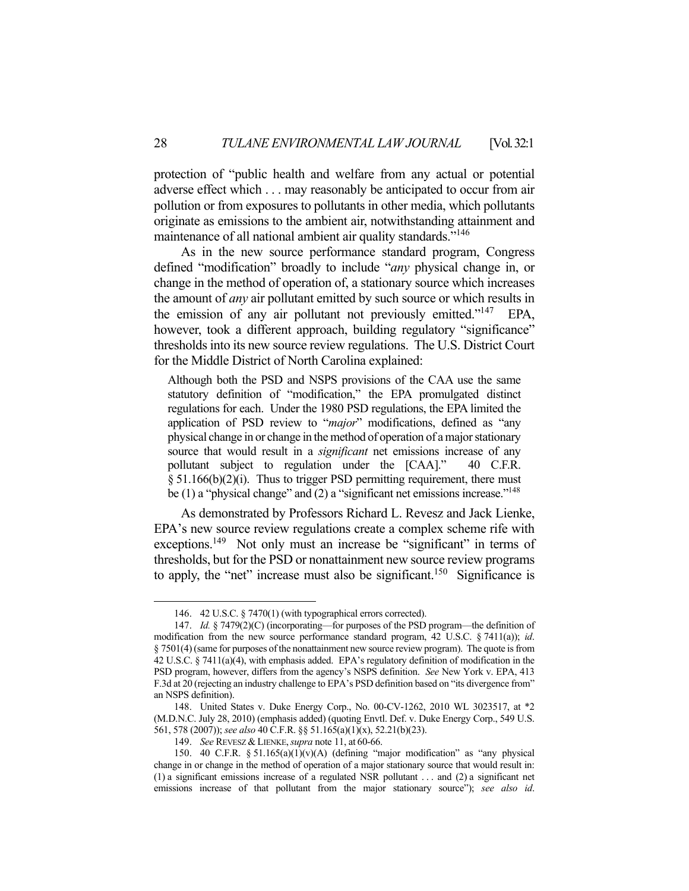protection of "public health and welfare from any actual or potential adverse effect which . . . may reasonably be anticipated to occur from air pollution or from exposures to pollutants in other media, which pollutants originate as emissions to the ambient air, notwithstanding attainment and maintenance of all national ambient air quality standards."<sup>146</sup>

 As in the new source performance standard program, Congress defined "modification" broadly to include "*any* physical change in, or change in the method of operation of, a stationary source which increases the amount of *any* air pollutant emitted by such source or which results in the emission of any air pollutant not previously emitted."<sup>147</sup> EPA, however, took a different approach, building regulatory "significance" thresholds into its new source review regulations. The U.S. District Court for the Middle District of North Carolina explained:

Although both the PSD and NSPS provisions of the CAA use the same statutory definition of "modification," the EPA promulgated distinct regulations for each. Under the 1980 PSD regulations, the EPA limited the application of PSD review to "*major*" modifications, defined as "any physical change in or change in the method of operation of a major stationary source that would result in a *significant* net emissions increase of any pollutant subject to regulation under the [CAA]." 40 C.F.R.  $§ 51.166(b)(2)(i)$ . Thus to trigger PSD permitting requirement, there must be (1) a "physical change" and (2) a "significant net emissions increase."<sup>148</sup>

 As demonstrated by Professors Richard L. Revesz and Jack Lienke, EPA's new source review regulations create a complex scheme rife with exceptions.<sup>149</sup> Not only must an increase be "significant" in terms of thresholds, but for the PSD or nonattainment new source review programs to apply, the "net" increase must also be significant.<sup>150</sup> Significance is

 <sup>146. 42</sup> U.S.C. § 7470(1) (with typographical errors corrected).

 <sup>147.</sup> *Id.* § 7479(2)(C) (incorporating—for purposes of the PSD program—the definition of modification from the new source performance standard program, 42 U.S.C. § 7411(a)); *id*. § 7501(4) (same for purposes of the nonattainment new source review program). The quote is from 42 U.S.C. § 7411(a)(4), with emphasis added. EPA's regulatory definition of modification in the PSD program, however, differs from the agency's NSPS definition. *See* New York v. EPA, 413 F.3d at 20 (rejecting an industry challenge to EPA's PSD definition based on "its divergence from" an NSPS definition).

 <sup>148.</sup> United States v. Duke Energy Corp., No. 00-CV-1262, 2010 WL 3023517, at \*2 (M.D.N.C. July 28, 2010) (emphasis added) (quoting Envtl. Def. v. Duke Energy Corp., 549 U.S. 561, 578 (2007)); *see also* 40 C.F.R. §§ 51.165(a)(1)(x), 52.21(b)(23).

 <sup>149.</sup> *See* REVESZ & LIENKE,*supra* note 11, at 60-66.

<sup>150. 40</sup> C.F.R.  $\S$  51.165(a)(1)(v)(A) (defining "major modification" as "any physical change in or change in the method of operation of a major stationary source that would result in: (1) a significant emissions increase of a regulated NSR pollutant . . . and (2) a significant net emissions increase of that pollutant from the major stationary source"); *see also id*.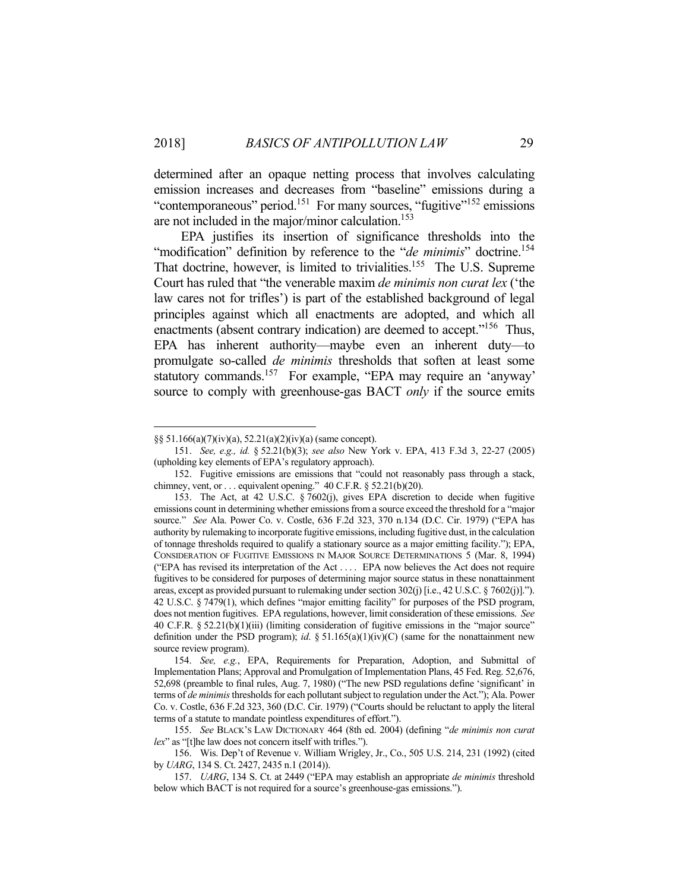determined after an opaque netting process that involves calculating emission increases and decreases from "baseline" emissions during a "contemporaneous" period.<sup>151</sup> For many sources, "fugitive"<sup>152</sup> emissions are not included in the major/minor calculation.<sup>153</sup>

 EPA justifies its insertion of significance thresholds into the "modification" definition by reference to the "*de minimis*" doctrine.<sup>154</sup> That doctrine, however, is limited to trivialities.<sup>155</sup> The U.S. Supreme Court has ruled that "the venerable maxim *de minimis non curat lex* ('the law cares not for trifles') is part of the established background of legal principles against which all enactments are adopted, and which all enactments (absent contrary indication) are deemed to accept."<sup>156</sup> Thus, EPA has inherent authority—maybe even an inherent duty—to promulgate so-called *de minimis* thresholds that soften at least some statutory commands.157 For example, "EPA may require an 'anyway' source to comply with greenhouse-gas BACT *only* if the source emits

<sup>§§ 51.166(</sup>a)(7)(iv)(a), 52.21(a)(2)(iv)(a) (same concept).

 <sup>151.</sup> *See, e.g., id.* § 52.21(b)(3); *see also* New York v. EPA, 413 F.3d 3, 22-27 (2005) (upholding key elements of EPA's regulatory approach).

 <sup>152.</sup> Fugitive emissions are emissions that "could not reasonably pass through a stack, chimney, vent, or  $\dots$  equivalent opening." 40 C.F.R. § 52.21(b)(20).

 <sup>153.</sup> The Act, at 42 U.S.C. § 7602(j), gives EPA discretion to decide when fugitive emissions count in determining whether emissions from a source exceed the threshold for a "major source." *See* Ala. Power Co. v. Costle, 636 F.2d 323, 370 n.134 (D.C. Cir. 1979) ("EPA has authority by rulemaking to incorporate fugitive emissions, including fugitive dust, in the calculation of tonnage thresholds required to qualify a stationary source as a major emitting facility."); EPA, CONSIDERATION OF FUGITIVE EMISSIONS IN MAJOR SOURCE DETERMINATIONS 5 (Mar. 8, 1994) ("EPA has revised its interpretation of the Act . . . . EPA now believes the Act does not require fugitives to be considered for purposes of determining major source status in these nonattainment areas, except as provided pursuant to rulemaking under section 302(j) [i.e., 42 U.S.C. § 7602(j)]."). 42 U.S.C. § 7479(1), which defines "major emitting facility" for purposes of the PSD program, does not mention fugitives. EPA regulations, however, limit consideration of these emissions. *See* 40 C.F.R. § 52.21(b)(1)(iii) (limiting consideration of fugitive emissions in the "major source" definition under the PSD program); *id*. § 51.165(a)(1)(iv)(C) (same for the nonattainment new source review program).

 <sup>154.</sup> *See, e.g.*, EPA, Requirements for Preparation, Adoption, and Submittal of Implementation Plans; Approval and Promulgation of Implementation Plans, 45 Fed. Reg. 52,676, 52,698 (preamble to final rules, Aug. 7, 1980) ("The new PSD regulations define 'significant' in terms of *de minimis* thresholds for each pollutant subject to regulation under the Act."); Ala. Power Co. v. Costle, 636 F.2d 323, 360 (D.C. Cir. 1979) ("Courts should be reluctant to apply the literal terms of a statute to mandate pointless expenditures of effort.").

 <sup>155.</sup> *See* BLACK'S LAW DICTIONARY 464 (8th ed. 2004) (defining "*de minimis non curat lex*" as "[t]he law does not concern itself with trifles.").

 <sup>156.</sup> Wis. Dep't of Revenue v. William Wrigley, Jr., Co., 505 U.S. 214, 231 (1992) (cited by *UARG*, 134 S. Ct. 2427, 2435 n.1 (2014)).

 <sup>157.</sup> *UARG*, 134 S. Ct. at 2449 ("EPA may establish an appropriate *de minimis* threshold below which BACT is not required for a source's greenhouse-gas emissions.").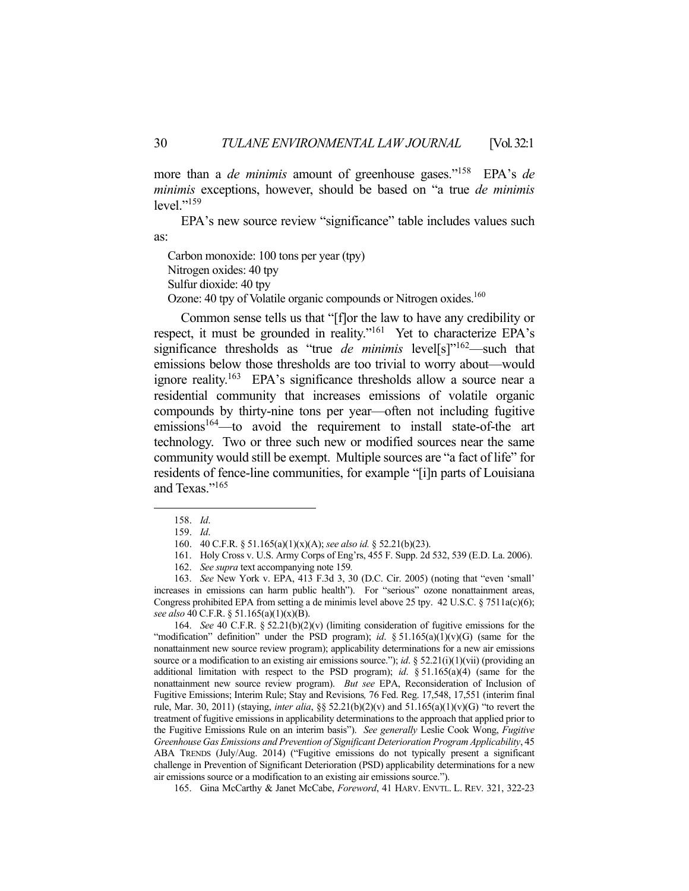more than a *de minimis* amount of greenhouse gases."158 EPA's *de minimis* exceptions, however, should be based on "a true *de minimis* level."<sup>159</sup>

EPA's new source review "significance" table includes values such as:

Carbon monoxide: 100 tons per year (tpy) Nitrogen oxides: 40 tpy Sulfur dioxide: 40 tpy Ozone: 40 tpy of Volatile organic compounds or Nitrogen oxides.<sup>160</sup>

 Common sense tells us that "[f]or the law to have any credibility or respect, it must be grounded in reality."<sup>161</sup> Yet to characterize EPA's significance thresholds as "true *de minimis* level[s]"<sup>162</sup>—such that emissions below those thresholds are too trivial to worry about—would ignore reality.163 EPA's significance thresholds allow a source near a residential community that increases emissions of volatile organic compounds by thirty-nine tons per year—often not including fugitive emissions<sup>164</sup>—to avoid the requirement to install state-of-the art technology. Two or three such new or modified sources near the same community would still be exempt. Multiple sources are "a fact of life" for residents of fence-line communities, for example "[i]n parts of Louisiana and Texas."<sup>165</sup>

1

 164. *See* 40 C.F.R. § 52.21(b)(2)(v) (limiting consideration of fugitive emissions for the "modification" definition" under the PSD program); *id*. § 51.165(a)(1)(v)(G) (same for the nonattainment new source review program); applicability determinations for a new air emissions source or a modification to an existing air emissions source."); *id*. § 52.21(i)(1)(vii) (providing an additional limitation with respect to the PSD program); *id*. § 51.165(a)(4) (same for the nonattainment new source review program). *But see* EPA, Reconsideration of Inclusion of Fugitive Emissions; Interim Rule; Stay and Revisions*,* 76 Fed. Reg. 17,548, 17,551 (interim final rule, Mar. 30, 2011) (staying, *inter alia*, §§ 52.21(b)(2)(v) and 51.165(a)(1)(v)(G) "to revert the treatment of fugitive emissions in applicability determinations to the approach that applied prior to the Fugitive Emissions Rule on an interim basis"). *See generally* Leslie Cook Wong, *Fugitive Greenhouse Gas Emissions and Prevention of Significant Deterioration Program Applicability*, 45 ABA TRENDS (July/Aug. 2014) ("Fugitive emissions do not typically present a significant challenge in Prevention of Significant Deterioration (PSD) applicability determinations for a new air emissions source or a modification to an existing air emissions source.").

165. Gina McCarthy & Janet McCabe, *Foreword*, 41 HARV. ENVTL. L. REV. 321, 322-23

 <sup>158.</sup> *Id*.

 <sup>159.</sup> *Id*.

 <sup>160. 40</sup> C.F.R. § 51.165(a)(1)(x)(A); *see also id.* § 52.21(b)(23).

 <sup>161.</sup> Holy Cross v. U.S. Army Corps of Eng'rs, 455 F. Supp. 2d 532, 539 (E.D. La. 2006).

 <sup>162.</sup> *See supra* text accompanying note 159*.*

 <sup>163.</sup> *See* New York v. EPA, 413 F.3d 3, 30 (D.C. Cir. 2005) (noting that "even 'small' increases in emissions can harm public health"). For "serious" ozone nonattainment areas, Congress prohibited EPA from setting a de minimis level above 25 tpy. 42 U.S.C. § 7511a(c)(6); *see also* 40 C.F.R. § 51.165(a)(1)(x)(B).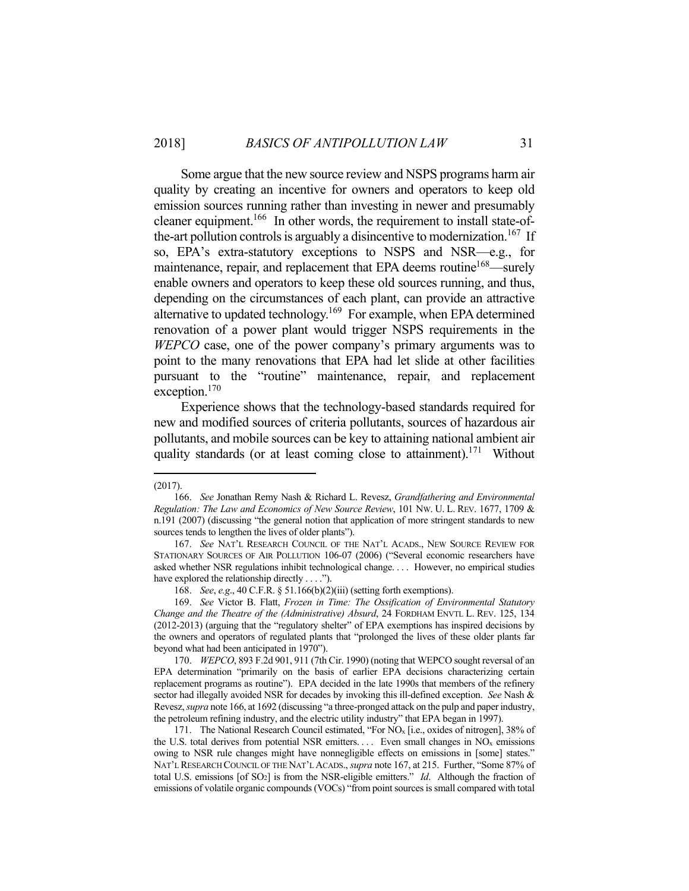Some argue that the new source review and NSPS programs harm air quality by creating an incentive for owners and operators to keep old emission sources running rather than investing in newer and presumably cleaner equipment.<sup>166</sup> In other words, the requirement to install state-ofthe-art pollution controls is arguably a disincentive to modernization.<sup>167</sup> If so, EPA's extra-statutory exceptions to NSPS and NSR—e.g., for maintenance, repair, and replacement that EPA deems routine<sup>168</sup>—surely enable owners and operators to keep these old sources running, and thus, depending on the circumstances of each plant, can provide an attractive alternative to updated technology.<sup>169</sup> For example, when EPA determined renovation of a power plant would trigger NSPS requirements in the *WEPCO* case, one of the power company's primary arguments was to point to the many renovations that EPA had let slide at other facilities pursuant to the "routine" maintenance, repair, and replacement exception.<sup>170</sup>

 Experience shows that the technology-based standards required for new and modified sources of criteria pollutants, sources of hazardous air pollutants, and mobile sources can be key to attaining national ambient air quality standards (or at least coming close to attainment).<sup>171</sup> Without

<sup>(2017).</sup> 

 <sup>166.</sup> *See* Jonathan Remy Nash & Richard L. Revesz, *Grandfathering and Environmental Regulation: The Law and Economics of New Source Review*, 101 NW. U. L. REV. 1677, 1709 & n.191 (2007) (discussing "the general notion that application of more stringent standards to new sources tends to lengthen the lives of older plants").

 <sup>167.</sup> *See* NAT'L RESEARCH COUNCIL OF THE NAT'L ACADS., NEW SOURCE REVIEW FOR STATIONARY SOURCES OF AIR POLLUTION 106-07 (2006) ("Several economic researchers have asked whether NSR regulations inhibit technological change. . . . However, no empirical studies have explored the relationship directly . . . .").

 <sup>168.</sup> *See*, *e.g*., 40 C.F.R. § 51.166(b)(2)(iii) (setting forth exemptions).

 <sup>169.</sup> *See* Victor B. Flatt, *Frozen in Time: The Ossification of Environmental Statutory Change and the Theatre of the (Administrative) Absurd*, 24 FORDHAM ENVTL L. REV. 125, 134 (2012-2013) (arguing that the "regulatory shelter" of EPA exemptions has inspired decisions by the owners and operators of regulated plants that "prolonged the lives of these older plants far beyond what had been anticipated in 1970").

 <sup>170.</sup> *WEPCO*, 893 F.2d 901, 911 (7th Cir. 1990) (noting that WEPCO sought reversal of an EPA determination "primarily on the basis of earlier EPA decisions characterizing certain replacement programs as routine"). EPA decided in the late 1990s that members of the refinery sector had illegally avoided NSR for decades by invoking this ill-defined exception. *See* Nash & Revesz, *supra* note 166, at 1692 (discussing "a three-pronged attack on the pulp and paper industry, the petroleum refining industry, and the electric utility industry" that EPA began in 1997).

<sup>171.</sup> The National Research Council estimated, "For NO<sub>x</sub> [i.e., oxides of nitrogen], 38% of the U.S. total derives from potential NSR emitters. . . . Even small changes in  $NO<sub>x</sub>$  emissions owing to NSR rule changes might have nonnegligible effects on emissions in [some] states." NAT'L RESEARCH COUNCIL OF THE NAT'L ACADS., *supra* note 167, at 215. Further, "Some 87% of total U.S. emissions [of SO2] is from the NSR-eligible emitters." *Id*. Although the fraction of emissions of volatile organic compounds (VOCs) "from point sources is small compared with total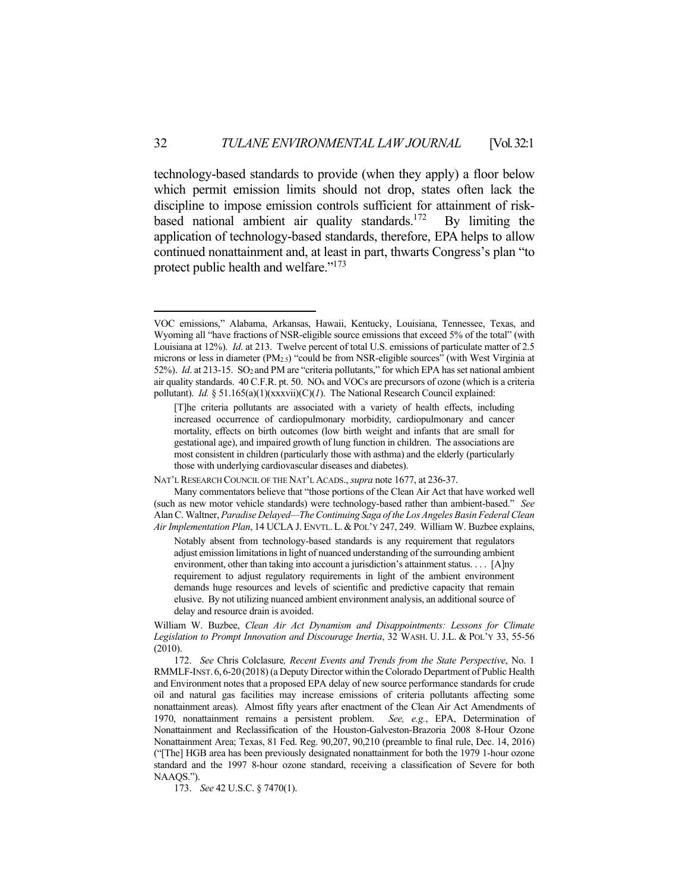technology-based standards to provide (when they apply) a floor below which permit emission limits should not drop, states often lack the discipline to impose emission controls sufficient for attainment of riskbased national ambient air quality standards.172 By limiting the application of technology-based standards, therefore, EPA helps to allow continued nonattainment and, at least in part, thwarts Congress's plan "to protect public health and welfare."173

VOC emissions," Alabama, Arkansas, Hawaii, Kentucky, Louisiana, Tennessee, Texas, and Wyoming all "have fractions of NSR-eligible source emissions that exceed 5% of the total" (with Louisiana at 12%). *Id*. at 213. Twelve percent of total U.S. emissions of particulate matter of 2.5 microns or less in diameter (PM2.5) "could be from NSR-eligible sources" (with West Virginia at 52%). *Id*. at 213-15. SO2 and PM are "criteria pollutants," for which EPA has set national ambient air quality standards.  $40 \text{ C.F.R.}$  pt. 50. NO<sub>x</sub> and VOCs are precursors of ozone (which is a criteria pollutant). *Id.* § 51.165(a)(1)(xxxvii)(C)(*1*). The National Research Council explained:

<sup>[</sup>T]he criteria pollutants are associated with a variety of health effects, including increased occurrence of cardiopulmonary morbidity, cardiopulmonary and cancer mortality, effects on birth outcomes (low birth weight and infants that are small for gestational age), and impaired growth of lung function in children. The associations are most consistent in children (particularly those with asthma) and the elderly (particularly those with underlying cardiovascular diseases and diabetes).

NAT'L RESEARCH COUNCIL OF THE NAT'L ACADS., *supra* note 1677, at 236-37.

Many commentators believe that "those portions of the Clean Air Act that have worked well (such as new motor vehicle standards) were technology-based rather than ambient-based." *See* Alan C. Waltner, *Paradise Delayed—The Continuing Saga of the Los Angeles Basin Federal Clean Air Implementation Plan*, 14 UCLA J. ENVTL.L.&POL'Y 247, 249. William W. Buzbee explains,

Notably absent from technology-based standards is any requirement that regulators adjust emission limitations in light of nuanced understanding of the surrounding ambient environment, other than taking into account a jurisdiction's attainment status. . . . [A]ny requirement to adjust regulatory requirements in light of the ambient environment demands huge resources and levels of scientific and predictive capacity that remain elusive. By not utilizing nuanced ambient environment analysis, an additional source of delay and resource drain is avoided.

William W. Buzbee, *Clean Air Act Dynamism and Disappointments: Lessons for Climate Legislation to Prompt Innovation and Discourage Inertia*, 32 WASH. U. J.L. & POL'Y 33, 55-56 (2010).

 <sup>172.</sup> *See* Chris Colclasure*, Recent Events and Trends from the State Perspective*, No. 1 RMMLF-INST. 6, 6-20 (2018) (a Deputy Director within the Colorado Department of Public Health and Environment notes that a proposed EPA delay of new source performance standards for crude oil and natural gas facilities may increase emissions of criteria pollutants affecting some nonattainment areas). Almost fifty years after enactment of the Clean Air Act Amendments of 1970, nonattainment remains a persistent problem. *See, e.g.*, EPA, Determination of Nonattainment and Reclassification of the Houston-Galveston-Brazoria 2008 8-Hour Ozone Nonattainment Area; Texas, 81 Fed. Reg. 90,207, 90,210 (preamble to final rule, Dec. 14, 2016) ("[The] HGB area has been previously designated nonattainment for both the 1979 1-hour ozone standard and the 1997 8-hour ozone standard, receiving a classification of Severe for both NAAQS.").

 <sup>173.</sup> *See* 42 U.S.C. § 7470(1).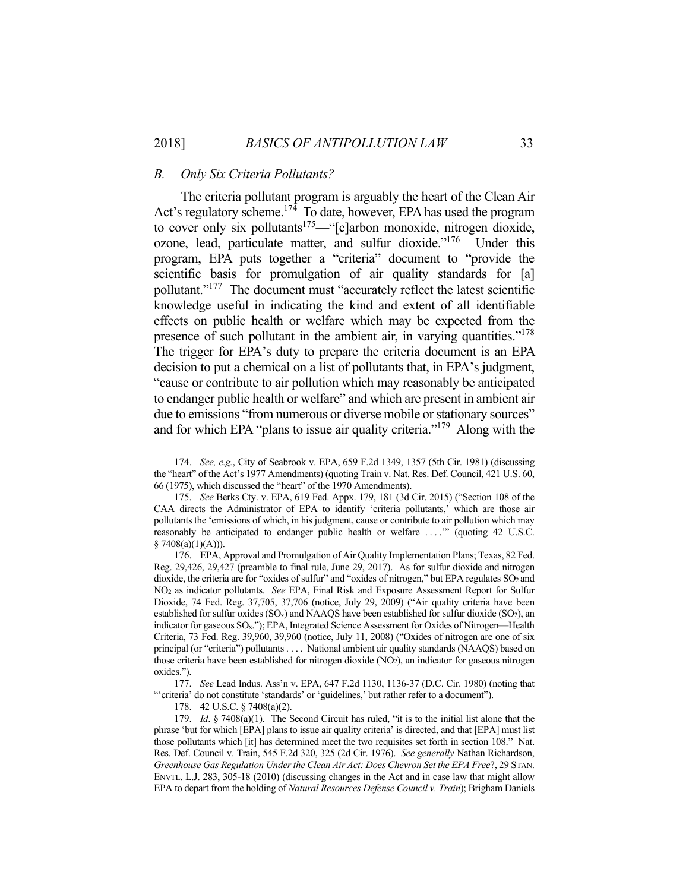#### *B. Only Six Criteria Pollutants?*

 The criteria pollutant program is arguably the heart of the Clean Air Act's regulatory scheme.<sup>174</sup> To date, however, EPA has used the program to cover only six pollutants<sup>175</sup>—"[c]arbon monoxide, nitrogen dioxide, ozone, lead, particulate matter, and sulfur dioxide."176 Under this program, EPA puts together a "criteria" document to "provide the scientific basis for promulgation of air quality standards for [a] pollutant."177 The document must "accurately reflect the latest scientific knowledge useful in indicating the kind and extent of all identifiable effects on public health or welfare which may be expected from the presence of such pollutant in the ambient air, in varying quantities."<sup>178</sup> The trigger for EPA's duty to prepare the criteria document is an EPA decision to put a chemical on a list of pollutants that, in EPA's judgment, "cause or contribute to air pollution which may reasonably be anticipated to endanger public health or welfare" and which are present in ambient air due to emissions "from numerous or diverse mobile or stationary sources" and for which EPA "plans to issue air quality criteria."<sup>179</sup> Along with the

 <sup>174.</sup> *See, e.g.*, City of Seabrook v. EPA, 659 F.2d 1349, 1357 (5th Cir. 1981) (discussing the "heart" of the Act's 1977 Amendments) (quoting Train v. Nat. Res. Def. Council, 421 U.S. 60, 66 (1975), which discussed the "heart" of the 1970 Amendments).

 <sup>175.</sup> *See* Berks Cty. v. EPA, 619 Fed. Appx. 179, 181 (3d Cir. 2015) ("Section 108 of the CAA directs the Administrator of EPA to identify 'criteria pollutants,' which are those air pollutants the 'emissions of which, in his judgment, cause or contribute to air pollution which may reasonably be anticipated to endanger public health or welfare . . . .'" (quoting 42 U.S.C.  $$7408(a)(1)(A))$ .

 <sup>176.</sup> EPA, Approval and Promulgation of Air Quality Implementation Plans; Texas, 82 Fed. Reg. 29,426, 29,427 (preamble to final rule, June 29, 2017). As for sulfur dioxide and nitrogen dioxide, the criteria are for "oxides of sulfur" and "oxides of nitrogen," but EPA regulates SO<sub>2</sub> and NO2 as indicator pollutants. *See* EPA, Final Risk and Exposure Assessment Report for Sulfur Dioxide, 74 Fed. Reg. 37,705, 37,706 (notice, July 29, 2009) ("Air quality criteria have been established for sulfur oxides  $(SO<sub>x</sub>)$  and NAAQS have been established for sulfur dioxide  $(SO<sub>2</sub>)$ , an indicator for gaseous SOx."); EPA, Integrated Science Assessment for Oxides of Nitrogen—Health Criteria, 73 Fed. Reg. 39,960, 39,960 (notice, July 11, 2008) ("Oxides of nitrogen are one of six principal (or "criteria") pollutants . . . . National ambient air quality standards (NAAQS) based on those criteria have been established for nitrogen dioxide (NO2), an indicator for gaseous nitrogen oxides.").

 <sup>177.</sup> *See* Lead Indus. Ass'n v. EPA, 647 F.2d 1130, 1136-37 (D.C. Cir. 1980) (noting that "'criteria' do not constitute 'standards' or 'guidelines,' but rather refer to a document").

 <sup>178. 42</sup> U.S.C. § 7408(a)(2).

 <sup>179.</sup> *Id*. § 7408(a)(1). The Second Circuit has ruled, "it is to the initial list alone that the phrase 'but for which [EPA] plans to issue air quality criteria' is directed, and that [EPA] must list those pollutants which [it] has determined meet the two requisites set forth in section 108." Nat. Res. Def. Council v. Train, 545 F.2d 320, 325 (2d Cir. 1976). *See generally* Nathan Richardson, *Greenhouse Gas Regulation Under the Clean Air Act: Does Chevron Set the EPA Free*?, 29 STAN. ENVTL. L.J. 283, 305-18 (2010) (discussing changes in the Act and in case law that might allow EPA to depart from the holding of *Natural Resources Defense Council v. Train*); Brigham Daniels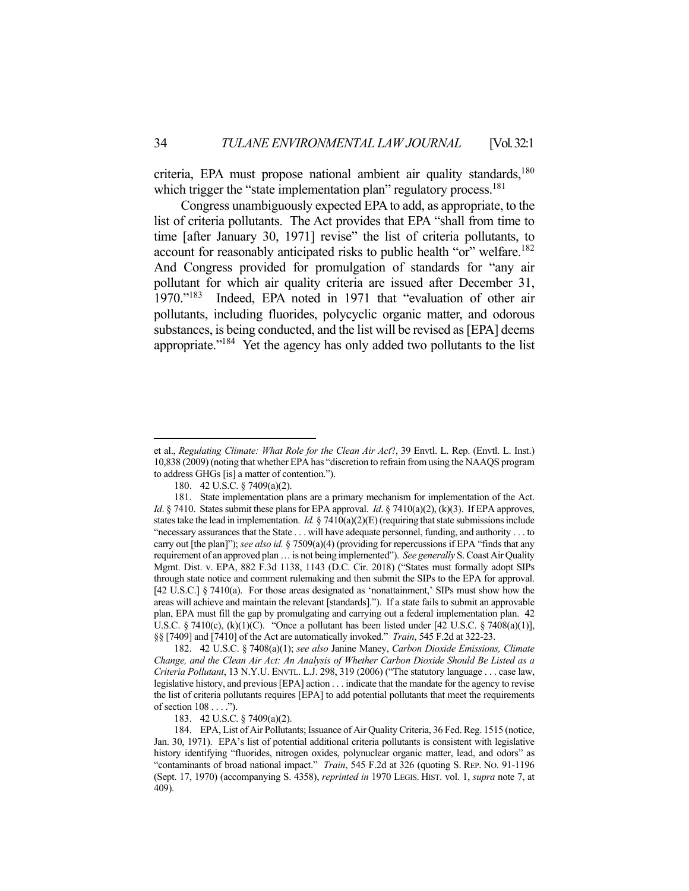criteria, EPA must propose national ambient air quality standards, $180$ which trigger the "state implementation plan" regulatory process.<sup>181</sup>

 Congress unambiguously expected EPA to add, as appropriate, to the list of criteria pollutants. The Act provides that EPA "shall from time to time [after January 30, 1971] revise" the list of criteria pollutants, to account for reasonably anticipated risks to public health "or" welfare.<sup>182</sup> And Congress provided for promulgation of standards for "any air pollutant for which air quality criteria are issued after December 31, 1970."183 Indeed, EPA noted in 1971 that "evaluation of other air pollutants, including fluorides, polycyclic organic matter, and odorous substances, is being conducted, and the list will be revised as [EPA] deems appropriate."<sup>184</sup> Yet the agency has only added two pollutants to the list

 182. 42 U.S.C. § 7408(a)(1); *see also* Janine Maney, *Carbon Dioxide Emissions, Climate Change, and the Clean Air Act: An Analysis of Whether Carbon Dioxide Should Be Listed as a Criteria Pollutant*, 13 N.Y.U. ENVTL. L.J. 298, 319 (2006) ("The statutory language . . . case law, legislative history, and previous [EPA] action . . . indicate that the mandate for the agency to revise the list of criteria pollutants requires [EPA] to add potential pollutants that meet the requirements of section 108 . . . .").

183. 42 U.S.C. § 7409(a)(2).

et al., *Regulating Climate: What Role for the Clean Air Act*?, 39 Envtl. L. Rep. (Envtl. L. Inst.) 10,838 (2009) (noting that whether EPA has "discretion to refrain from using the NAAQS program to address GHGs [is] a matter of contention.").

 <sup>180. 42</sup> U.S.C. § 7409(a)(2).

 <sup>181.</sup> State implementation plans are a primary mechanism for implementation of the Act. *Id.* § 7410. States submit these plans for EPA approval. *Id.* § 7410(a)(2), (k)(3). If EPA approves, states take the lead in implementation. *Id.* § 7410(a)(2)(E) (requiring that state submissions include "necessary assurances that the State . . . will have adequate personnel, funding, and authority . . . to carry out [the plan]"); *see also id.* § 7509(a)(4) (providing for repercussions if EPA "finds that any requirement of an approved plan … is not being implemented"). *See generally* S. Coast Air Quality Mgmt. Dist. v. EPA, 882 F.3d 1138, 1143 (D.C. Cir. 2018) ("States must formally adopt SIPs through state notice and comment rulemaking and then submit the SIPs to the EPA for approval. [42 U.S.C.] § 7410(a). For those areas designated as 'nonattainment,' SIPs must show how the areas will achieve and maintain the relevant [standards]."). If a state fails to submit an approvable plan, EPA must fill the gap by promulgating and carrying out a federal implementation plan. 42 U.S.C. § 7410(c),  $(k)(1)(C)$ . "Once a pollutant has been listed under [42 U.S.C. § 7408(a)(1)], §§ [7409] and [7410] of the Act are automatically invoked." *Train*, 545 F.2d at 322-23.

 <sup>184.</sup> EPA, List of Air Pollutants; Issuance of Air Quality Criteria, 36 Fed. Reg. 1515 (notice, Jan. 30, 1971). EPA's list of potential additional criteria pollutants is consistent with legislative history identifying "fluorides, nitrogen oxides, polynuclear organic matter, lead, and odors" as "contaminants of broad national impact." *Train*, 545 F.2d at 326 (quoting S. REP. NO. 91-1196 (Sept. 17, 1970) (accompanying S. 4358), *reprinted in* 1970 LEGIS. HIST. vol. 1, *supra* note 7, at 409).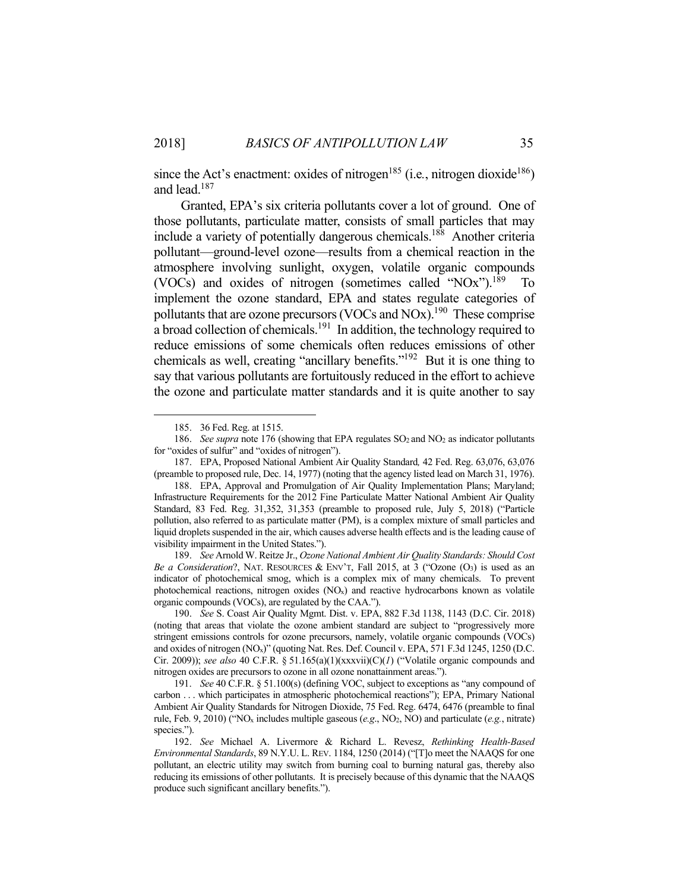since the Act's enactment: oxides of nitrogen<sup>185</sup> (i.e., nitrogen dioxide<sup>186</sup>) and lead.187

 Granted, EPA's six criteria pollutants cover a lot of ground. One of those pollutants, particulate matter, consists of small particles that may include a variety of potentially dangerous chemicals.188 Another criteria pollutant—ground-level ozone—results from a chemical reaction in the atmosphere involving sunlight, oxygen, volatile organic compounds (VOCs) and oxides of nitrogen (sometimes called "NOx").<sup>189</sup> To implement the ozone standard, EPA and states regulate categories of pollutants that are ozone precursors (VOCs and NOx).<sup>190</sup> These comprise a broad collection of chemicals.<sup>191</sup> In addition, the technology required to reduce emissions of some chemicals often reduces emissions of other chemicals as well, creating "ancillary benefits."192 But it is one thing to say that various pollutants are fortuitously reduced in the effort to achieve the ozone and particulate matter standards and it is quite another to say

1

 189. *See* Arnold W. Reitze Jr., *Ozone National Ambient Air Quality Standards: Should Cost Be a Consideration*?, NAT. RESOURCES & ENV'T, Fall 2015, at 3 ("Ozone (O<sub>3</sub>) is used as an indicator of photochemical smog, which is a complex mix of many chemicals. To prevent photochemical reactions, nitrogen oxides  $(NO<sub>x</sub>)$  and reactive hydrocarbons known as volatile organic compounds (VOCs), are regulated by the CAA.").

 <sup>185. 36</sup> Fed. Reg. at 1515.

<sup>186.</sup> *See supra* note 176 (showing that EPA regulates SO<sub>2</sub> and NO<sub>2</sub> as indicator pollutants for "oxides of sulfur" and "oxides of nitrogen").

 <sup>187.</sup> EPA, Proposed National Ambient Air Quality Standard*,* 42 Fed. Reg. 63,076, 63,076 (preamble to proposed rule, Dec. 14, 1977) (noting that the agency listed lead on March 31, 1976).

 <sup>188.</sup> EPA, Approval and Promulgation of Air Quality Implementation Plans; Maryland; Infrastructure Requirements for the 2012 Fine Particulate Matter National Ambient Air Quality Standard, 83 Fed. Reg. 31,352, 31,353 (preamble to proposed rule, July 5, 2018) ("Particle pollution, also referred to as particulate matter (PM), is a complex mixture of small particles and liquid droplets suspended in the air, which causes adverse health effects and is the leading cause of visibility impairment in the United States.").

 <sup>190.</sup> *See* S. Coast Air Quality Mgmt. Dist. v. EPA, 882 F.3d 1138, 1143 (D.C. Cir. 2018) (noting that areas that violate the ozone ambient standard are subject to "progressively more stringent emissions controls for ozone precursors, namely, volatile organic compounds (VOCs) and oxides of nitrogen (NOx)" (quoting Nat. Res. Def. Council v. EPA, 571 F.3d 1245, 1250 (D.C. Cir. 2009)); *see also* 40 C.F.R. § 51.165(a)(1)(xxxvii)(C)(*1*) ("Volatile organic compounds and nitrogen oxides are precursors to ozone in all ozone nonattainment areas.").

 <sup>191.</sup> *See* 40 C.F.R. § 51.100(s) (defining VOC, subject to exceptions as "any compound of carbon . . . which participates in atmospheric photochemical reactions"); EPA, Primary National Ambient Air Quality Standards for Nitrogen Dioxide, 75 Fed. Reg. 6474, 6476 (preamble to final rule, Feb. 9, 2010) ("NOx includes multiple gaseous (*e.g*., NO2, NO) and particulate (*e.g.*, nitrate) species.").

 <sup>192.</sup> *See* Michael A. Livermore & Richard L. Revesz, *Rethinking Health-Based Environmental Standards*, 89 N.Y.U. L. REV. 1184, 1250 (2014) ("[T]o meet the NAAQS for one pollutant, an electric utility may switch from burning coal to burning natural gas, thereby also reducing its emissions of other pollutants. It is precisely because of this dynamic that the NAAQS produce such significant ancillary benefits.").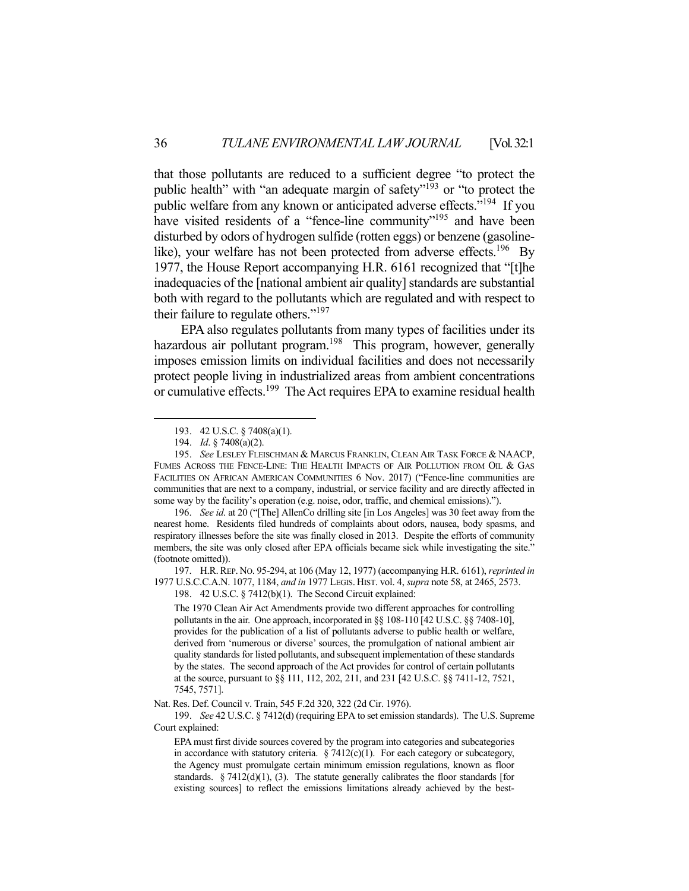that those pollutants are reduced to a sufficient degree "to protect the public health" with "an adequate margin of safety"<sup>193</sup> or "to protect the public welfare from any known or anticipated adverse effects."<sup>194</sup> If you have visited residents of a "fence-line community"<sup>195</sup> and have been disturbed by odors of hydrogen sulfide (rotten eggs) or benzene (gasolinelike), your welfare has not been protected from adverse effects.<sup>196</sup> By 1977, the House Report accompanying H.R. 6161 recognized that "[t]he inadequacies of the [national ambient air quality] standards are substantial both with regard to the pollutants which are regulated and with respect to their failure to regulate others."<sup>197</sup>

 EPA also regulates pollutants from many types of facilities under its hazardous air pollutant program.<sup>198</sup> This program, however, generally imposes emission limits on individual facilities and does not necessarily protect people living in industrialized areas from ambient concentrations or cumulative effects.<sup>199</sup> The Act requires EPA to examine residual health

 196. *See id*. at 20 ("[The] AllenCo drilling site [in Los Angeles] was 30 feet away from the nearest home. Residents filed hundreds of complaints about odors, nausea, body spasms, and respiratory illnesses before the site was finally closed in 2013. Despite the efforts of community members, the site was only closed after EPA officials became sick while investigating the site." (footnote omitted)).

 197. H.R.REP. NO. 95-294, at 106 (May 12, 1977) (accompanying H.R. 6161), *reprinted in* 1977 U.S.C.C.A.N. 1077, 1184, *and in* 1977 LEGIS. HIST. vol. 4, *supra* note 58, at 2465, 2573.

198. 42 U.S.C. § 7412(b)(1). The Second Circuit explained:

The 1970 Clean Air Act Amendments provide two different approaches for controlling pollutants in the air. One approach, incorporated in §§ 108-110 [42 U.S.C. §§ 7408-10], provides for the publication of a list of pollutants adverse to public health or welfare, derived from 'numerous or diverse' sources, the promulgation of national ambient air quality standards for listed pollutants, and subsequent implementation of these standards by the states. The second approach of the Act provides for control of certain pollutants at the source, pursuant to §§ 111, 112, 202, 211, and 231 [42 U.S.C. §§ 7411-12, 7521, 7545, 7571].

Nat. Res. Def. Council v. Train, 545 F.2d 320, 322 (2d Cir. 1976).

 199. *See* 42 U.S.C. § 7412(d) (requiring EPA to set emission standards). The U.S. Supreme Court explained:

EPA must first divide sources covered by the program into categories and subcategories in accordance with statutory criteria.  $\S 7412(c)(1)$ . For each category or subcategory, the Agency must promulgate certain minimum emission regulations, known as floor standards.  $\S$  7412(d)(1), (3). The statute generally calibrates the floor standards [for existing sources] to reflect the emissions limitations already achieved by the best-

<u>.</u>

 <sup>193. 42</sup> U.S.C. § 7408(a)(1).

 <sup>194.</sup> *Id*. § 7408(a)(2).

 <sup>195.</sup> *See* LESLEY FLEISCHMAN & MARCUS FRANKLIN, CLEAN AIR TASK FORCE & NAACP, FUMES ACROSS THE FENCE-LINE: THE HEALTH IMPACTS OF AIR POLLUTION FROM OIL & GAS FACILITIES ON AFRICAN AMERICAN COMMUNITIES 6 Nov. 2017) ("Fence-line communities are communities that are next to a company, industrial, or service facility and are directly affected in some way by the facility's operation (e.g. noise, odor, traffic, and chemical emissions).").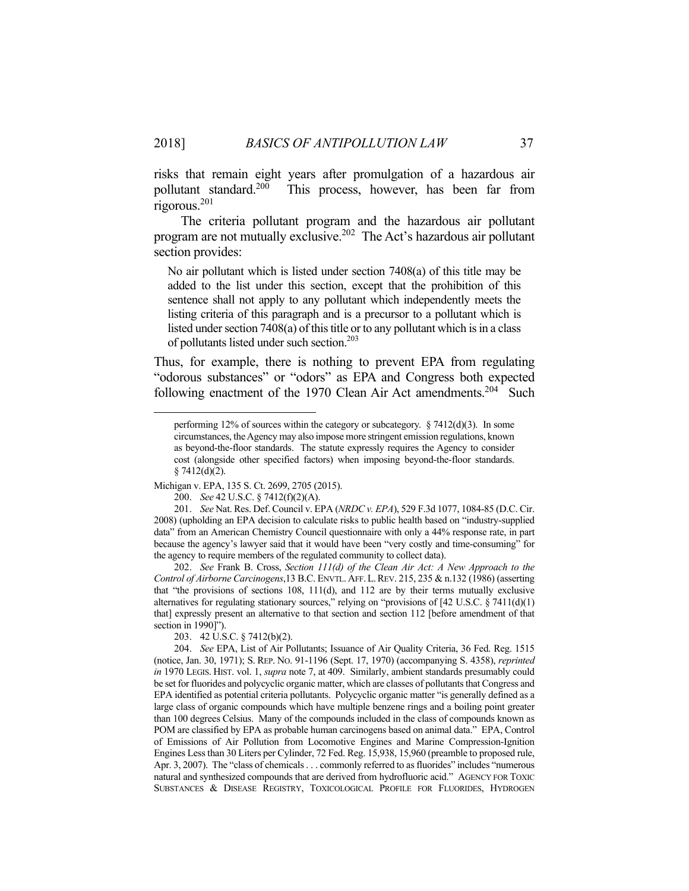risks that remain eight years after promulgation of a hazardous air pollutant standard.<sup>200</sup> This process, however, has been far from rigorous.201

 The criteria pollutant program and the hazardous air pollutant program are not mutually exclusive.202 The Act's hazardous air pollutant section provides:

No air pollutant which is listed under section 7408(a) of this title may be added to the list under this section, except that the prohibition of this sentence shall not apply to any pollutant which independently meets the listing criteria of this paragraph and is a precursor to a pollutant which is listed under section 7408(a) of this title or to any pollutant which is in a class of pollutants listed under such section.203

Thus, for example, there is nothing to prevent EPA from regulating "odorous substances" or "odors" as EPA and Congress both expected following enactment of the 1970 Clean Air Act amendments.<sup>204</sup> Such

 202. *See* Frank B. Cross, *Section 111(d) of the Clean Air Act: A New Approach to the Control of Airborne Carcinogens*,13 B.C. ENVTL. AFF.L.REV. 215, 235 & n.132 (1986) (asserting that "the provisions of sections  $108$ ,  $111(d)$ , and  $112$  are by their terms mutually exclusive alternatives for regulating stationary sources," relying on "provisions of  $[42 \text{ U.S.C.} \$ 7411(d)(1)$ that] expressly present an alternative to that section and section 112 [before amendment of that section in 1990]").

203. 42 U.S.C. § 7412(b)(2).

performing 12% of sources within the category or subcategory.  $\S 7412(d)(3)$ . In some circumstances, the Agency may also impose more stringent emission regulations, known as beyond-the-floor standards. The statute expressly requires the Agency to consider cost (alongside other specified factors) when imposing beyond-the-floor standards.  $§ 7412(d)(2).$ 

Michigan v. EPA, 135 S. Ct. 2699, 2705 (2015).

 <sup>200.</sup> *See* 42 U.S.C. § 7412(f)(2)(A).

 <sup>201.</sup> *See* Nat. Res. Def. Council v. EPA (*NRDC v. EPA*), 529 F.3d 1077, 1084-85 (D.C. Cir. 2008) (upholding an EPA decision to calculate risks to public health based on "industry-supplied data" from an American Chemistry Council questionnaire with only a 44% response rate, in part because the agency's lawyer said that it would have been "very costly and time-consuming" for the agency to require members of the regulated community to collect data).

 <sup>204.</sup> *See* EPA, List of Air Pollutants; Issuance of Air Quality Criteria, 36 Fed. Reg. 1515 (notice, Jan. 30, 1971); S. REP. NO. 91-1196 (Sept. 17, 1970) (accompanying S. 4358), *reprinted in* 1970 LEGIS. HIST. vol. 1, *supra* note 7, at 409. Similarly, ambient standards presumably could be set for fluorides and polycyclic organic matter, which are classes of pollutants that Congress and EPA identified as potential criteria pollutants. Polycyclic organic matter "is generally defined as a large class of organic compounds which have multiple benzene rings and a boiling point greater than 100 degrees Celsius. Many of the compounds included in the class of compounds known as POM are classified by EPA as probable human carcinogens based on animal data." EPA, Control of Emissions of Air Pollution from Locomotive Engines and Marine Compression-Ignition Engines Less than 30 Liters per Cylinder, 72 Fed. Reg. 15,938, 15,960 (preamble to proposed rule, Apr. 3, 2007). The "class of chemicals . . . commonly referred to as fluorides" includes "numerous natural and synthesized compounds that are derived from hydrofluoric acid." AGENCY FOR TOXIC SUBSTANCES & DISEASE REGISTRY, TOXICOLOGICAL PROFILE FOR FLUORIDES, HYDROGEN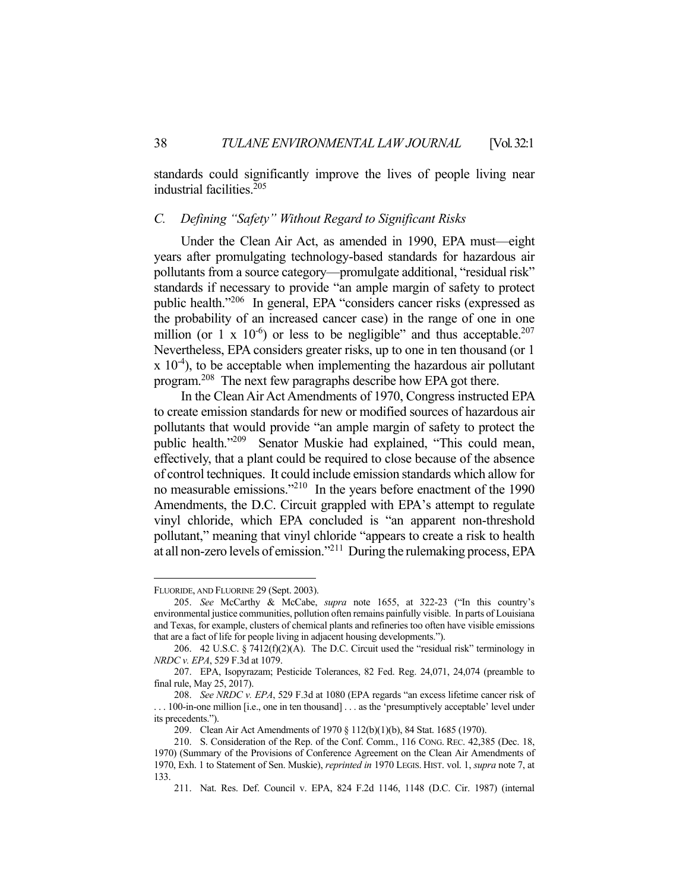standards could significantly improve the lives of people living near industrial facilities.205

#### *C. Defining "Safety" Without Regard to Significant Risks*

 Under the Clean Air Act, as amended in 1990, EPA must—eight years after promulgating technology-based standards for hazardous air pollutants from a source category—promulgate additional, "residual risk" standards if necessary to provide "an ample margin of safety to protect public health."206 In general, EPA "considers cancer risks (expressed as the probability of an increased cancer case) in the range of one in one million (or 1 x  $10^{-6}$ ) or less to be negligible" and thus acceptable.<sup>207</sup> Nevertheless, EPA considers greater risks, up to one in ten thousand (or 1  $x$  10<sup>-4</sup>), to be acceptable when implementing the hazardous air pollutant program.<sup>208</sup> The next few paragraphs describe how EPA got there.

 In the Clean Air Act Amendments of 1970, Congress instructed EPA to create emission standards for new or modified sources of hazardous air pollutants that would provide "an ample margin of safety to protect the public health."209 Senator Muskie had explained, "This could mean, effectively, that a plant could be required to close because of the absence of control techniques. It could include emission standards which allow for no measurable emissions."<sup>210</sup> In the years before enactment of the 1990 Amendments, the D.C. Circuit grappled with EPA's attempt to regulate vinyl chloride, which EPA concluded is "an apparent non-threshold pollutant," meaning that vinyl chloride "appears to create a risk to health at all non-zero levels of emission."211 During the rulemaking process, EPA

<u>.</u>

FLUORIDE, AND FLUORINE 29 (Sept. 2003).

 <sup>205.</sup> *See* McCarthy & McCabe, *supra* note 1655, at 322-23 ("In this country's environmental justice communities, pollution often remains painfully visible. In parts of Louisiana and Texas, for example, clusters of chemical plants and refineries too often have visible emissions that are a fact of life for people living in adjacent housing developments.").

 <sup>206. 42</sup> U.S.C. § 7412(f)(2)(A). The D.C. Circuit used the "residual risk" terminology in *NRDC v. EPA*, 529 F.3d at 1079.

 <sup>207.</sup> EPA, Isopyrazam; Pesticide Tolerances, 82 Fed. Reg. 24,071, 24,074 (preamble to final rule, May 25, 2017).

 <sup>208.</sup> *See NRDC v. EPA*, 529 F.3d at 1080 (EPA regards "an excess lifetime cancer risk of . . . 100-in-one million [i.e., one in ten thousand] . . . as the 'presumptively acceptable' level under its precedents.").

 <sup>209.</sup> Clean Air Act Amendments of 1970 § 112(b)(1)(b), 84 Stat. 1685 (1970).

 <sup>210.</sup> S. Consideration of the Rep. of the Conf. Comm., 116 CONG. REC. 42,385 (Dec. 18, 1970) (Summary of the Provisions of Conference Agreement on the Clean Air Amendments of 1970, Exh. 1 to Statement of Sen. Muskie), *reprinted in* 1970 LEGIS. HIST. vol. 1, *supra* note 7, at 133.

 <sup>211.</sup> Nat. Res. Def. Council v. EPA, 824 F.2d 1146, 1148 (D.C. Cir. 1987) (internal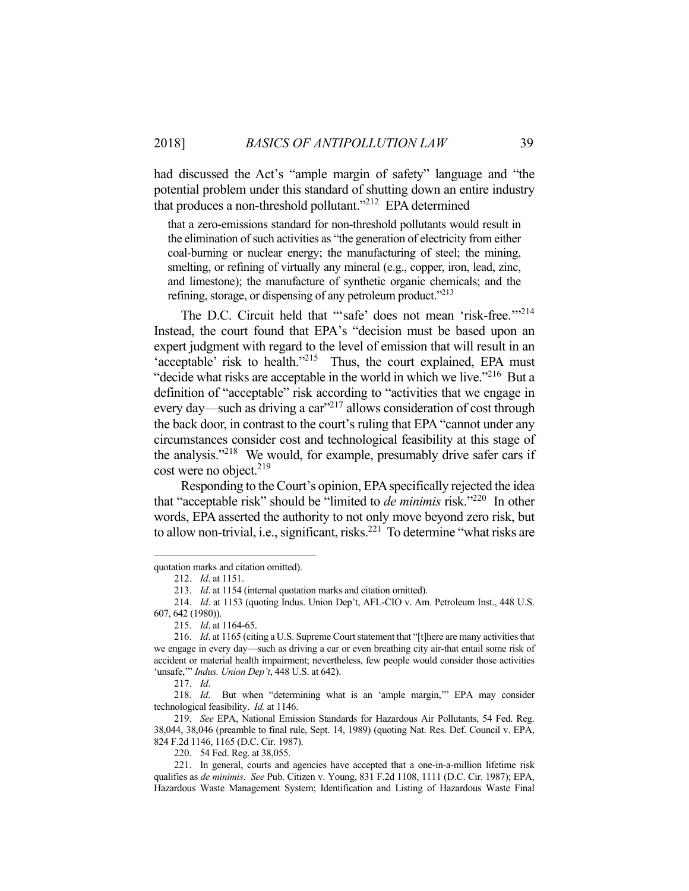had discussed the Act's "ample margin of safety" language and "the potential problem under this standard of shutting down an entire industry that produces a non-threshold pollutant."212 EPA determined

that a zero-emissions standard for non-threshold pollutants would result in the elimination of such activities as "the generation of electricity from either coal-burning or nuclear energy; the manufacturing of steel; the mining, smelting, or refining of virtually any mineral (e.g., copper, iron, lead, zinc, and limestone); the manufacture of synthetic organic chemicals; and the refining, storage, or dispensing of any petroleum product."<sup>213</sup>

The D.C. Circuit held that "'safe' does not mean 'risk-free."<sup>214</sup> Instead, the court found that EPA's "decision must be based upon an expert judgment with regard to the level of emission that will result in an 'acceptable' risk to health."<sup>215</sup> Thus, the court explained, EPA must "decide what risks are acceptable in the world in which we live."<sup>216</sup> But a definition of "acceptable" risk according to "activities that we engage in every day—such as driving a car"<sup>217</sup> allows consideration of cost through the back door, in contrast to the court's ruling that EPA "cannot under any circumstances consider cost and technological feasibility at this stage of the analysis."<sup>218</sup> We would, for example, presumably drive safer cars if cost were no object.<sup>219</sup>

 Responding to the Court's opinion, EPA specifically rejected the idea that "acceptable risk" should be "limited to *de minimis* risk."220 In other words, EPA asserted the authority to not only move beyond zero risk, but to allow non-trivial, i.e., significant, risks.221 To determine "what risks are

quotation marks and citation omitted).

 <sup>212.</sup> *Id*. at 1151.

 <sup>213.</sup> *Id*. at 1154 (internal quotation marks and citation omitted).

 <sup>214.</sup> *Id*. at 1153 (quoting Indus. Union Dep't, AFL-CIO v. Am. Petroleum Inst., 448 U.S. 607, 642 (1980)).

 <sup>215.</sup> *Id*. at 1164-65.

 <sup>216.</sup> *Id*. at 1165 (citing a U.S. Supreme Court statement that "[t]here are many activities that we engage in every day—such as driving a car or even breathing city air-that entail some risk of accident or material health impairment; nevertheless, few people would consider those activities 'unsafe,'" *Indus. Union Dep't*, 448 U.S. at 642).

 <sup>217.</sup> *Id*.

 <sup>218.</sup> *Id*. But when "determining what is an 'ample margin,'" EPA may consider technological feasibility. *Id.* at 1146.

 <sup>219.</sup> *See* EPA, National Emission Standards for Hazardous Air Pollutants, 54 Fed. Reg. 38,044, 38,046 (preamble to final rule, Sept. 14, 1989) (quoting Nat. Res. Def. Council v. EPA, 824 F.2d 1146, 1165 (D.C. Cir. 1987).

 <sup>220. 54</sup> Fed. Reg. at 38,055.

 <sup>221.</sup> In general, courts and agencies have accepted that a one-in-a-million lifetime risk qualifies as *de minimis*. *See* Pub. Citizen v. Young, 831 F.2d 1108, 1111 (D.C. Cir. 1987); EPA, Hazardous Waste Management System; Identification and Listing of Hazardous Waste Final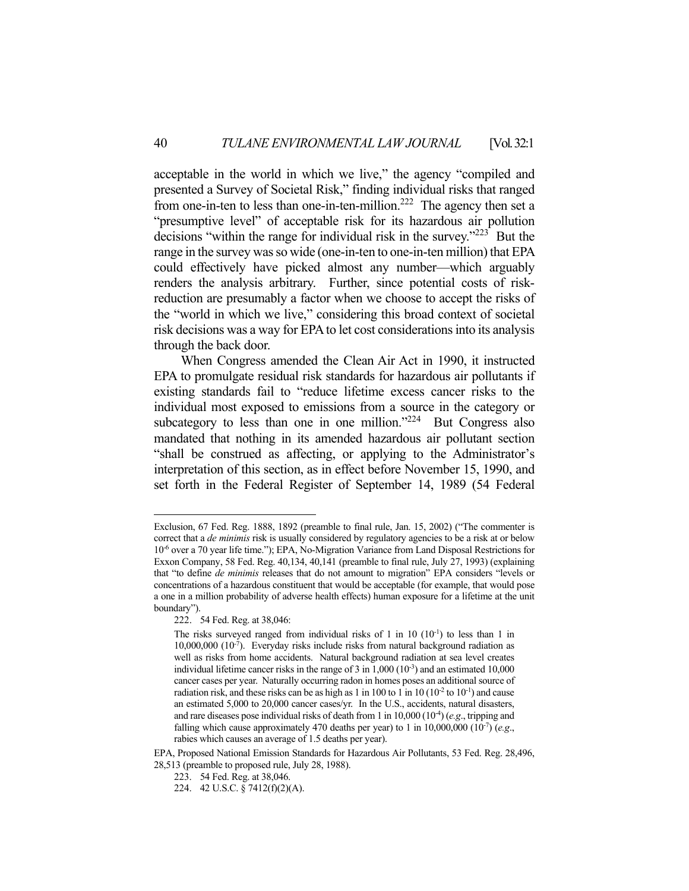acceptable in the world in which we live," the agency "compiled and presented a Survey of Societal Risk," finding individual risks that ranged from one-in-ten to less than one-in-ten-million.<sup>222</sup> The agency then set a "presumptive level" of acceptable risk for its hazardous air pollution decisions "within the range for individual risk in the survey."223 But the range in the survey was so wide (one-in-ten to one-in-ten million) that EPA could effectively have picked almost any number—which arguably renders the analysis arbitrary. Further, since potential costs of riskreduction are presumably a factor when we choose to accept the risks of the "world in which we live," considering this broad context of societal risk decisions was a way for EPA to let cost considerations into its analysis through the back door.

 When Congress amended the Clean Air Act in 1990, it instructed EPA to promulgate residual risk standards for hazardous air pollutants if existing standards fail to "reduce lifetime excess cancer risks to the individual most exposed to emissions from a source in the category or subcategory to less than one in one million."<sup>224</sup> But Congress also mandated that nothing in its amended hazardous air pollutant section "shall be construed as affecting, or applying to the Administrator's interpretation of this section, as in effect before November 15, 1990, and set forth in the Federal Register of September 14, 1989 (54 Federal

Exclusion, 67 Fed. Reg. 1888, 1892 (preamble to final rule, Jan. 15, 2002) ("The commenter is correct that a *de minimis* risk is usually considered by regulatory agencies to be a risk at or below 10-6 over a 70 year life time."); EPA, No-Migration Variance from Land Disposal Restrictions for Exxon Company, 58 Fed. Reg. 40,134, 40,141 (preamble to final rule, July 27, 1993) (explaining that "to define *de minimis* releases that do not amount to migration" EPA considers "levels or concentrations of a hazardous constituent that would be acceptable (for example, that would pose a one in a million probability of adverse health effects) human exposure for a lifetime at the unit boundary").

 <sup>222. 54</sup> Fed. Reg. at 38,046:

The risks surveyed ranged from individual risks of 1 in 10  $(10^{-1})$  to less than 1 in  $10,000,000$   $(10^{-7})$ . Everyday risks include risks from natural background radiation as well as risks from home accidents. Natural background radiation at sea level creates individual lifetime cancer risks in the range of  $3$  in  $1,000$   $(10^{-3})$  and an estimated  $10,000$ cancer cases per year. Naturally occurring radon in homes poses an additional source of radiation risk, and these risks can be as high as 1 in 100 to 1 in 10 ( $10^{-2}$  to  $10^{-1}$ ) and cause an estimated 5,000 to 20,000 cancer cases/yr. In the U.S., accidents, natural disasters, and rare diseases pose individual risks of death from 1 in  $10,000$  ( $10<sup>4</sup>$ ) (*e.g.*, tripping and falling which cause approximately 470 deaths per year) to 1 in 10,000,000 (10<sup>-7</sup>) (*e.g.*, rabies which causes an average of 1.5 deaths per year).

EPA, Proposed National Emission Standards for Hazardous Air Pollutants, 53 Fed. Reg. 28,496, 28,513 (preamble to proposed rule, July 28, 1988).

 <sup>223. 54</sup> Fed. Reg. at 38,046.

 <sup>224. 42</sup> U.S.C. § 7412(f)(2)(A).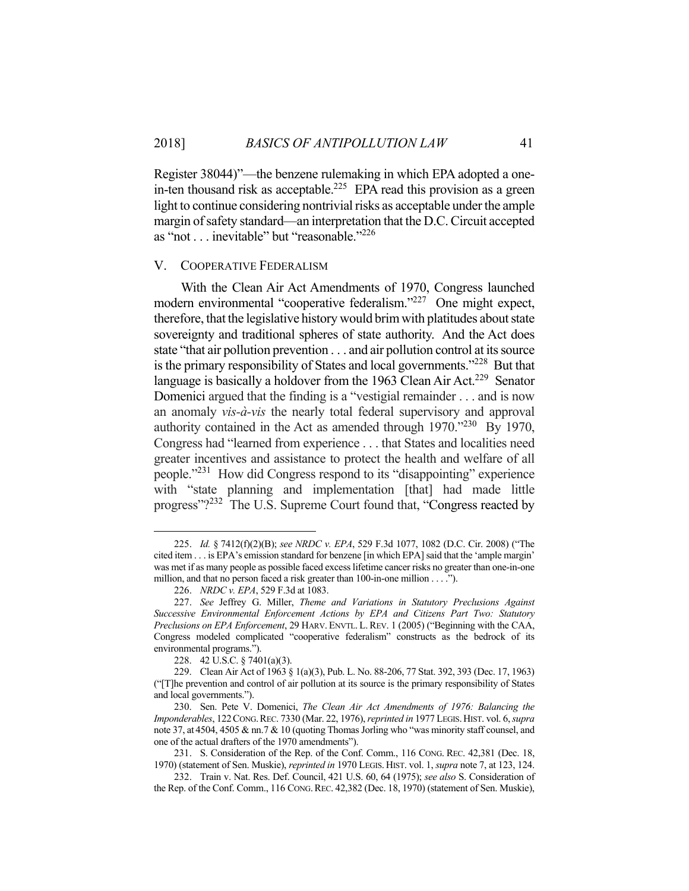Register 38044)"—the benzene rulemaking in which EPA adopted a onein-ten thousand risk as acceptable.<sup>225</sup> EPA read this provision as a green light to continue considering nontrivial risks as acceptable under the ample margin of safety standard—an interpretation that the D.C. Circuit accepted as "not . . . inevitable" but "reasonable."226

#### V. COOPERATIVE FEDERALISM

 With the Clean Air Act Amendments of 1970, Congress launched modern environmental "cooperative federalism."227 One might expect, therefore, that the legislative history would brim with platitudes about state sovereignty and traditional spheres of state authority. And the Act does state "that air pollution prevention . . . and air pollution control at its source is the primary responsibility of States and local governments."<sup>228</sup> But that language is basically a holdover from the 1963 Clean Air Act.<sup>229</sup> Senator Domenici argued that the finding is a "vestigial remainder . . . and is now an anomaly *vis-à-vis* the nearly total federal supervisory and approval authority contained in the Act as amended through 1970."230 By 1970, Congress had "learned from experience . . . that States and localities need greater incentives and assistance to protect the health and welfare of all people."231 How did Congress respond to its "disappointing" experience with "state planning and implementation [that] had made little progress"?<sup>232</sup> The U.S. Supreme Court found that, "Congress reacted by

 <sup>225.</sup> *Id.* § 7412(f)(2)(B); *see NRDC v. EPA*, 529 F.3d 1077, 1082 (D.C. Cir. 2008) ("The cited item . . . is EPA's emission standard for benzene [in which EPA] said that the 'ample margin' was met if as many people as possible faced excess lifetime cancer risks no greater than one-in-one million, and that no person faced a risk greater than 100-in-one million . . . .").

 <sup>226.</sup> *NRDC v. EPA*, 529 F.3d at 1083.

 <sup>227.</sup> *See* Jeffrey G. Miller, *Theme and Variations in Statutory Preclusions Against Successive Environmental Enforcement Actions by EPA and Citizens Part Two: Statutory Preclusions on EPA Enforcement*, 29 HARV. ENVTL. L.REV. 1 (2005) ("Beginning with the CAA, Congress modeled complicated "cooperative federalism" constructs as the bedrock of its environmental programs.").

 <sup>228. 42</sup> U.S.C. § 7401(a)(3).

 <sup>229.</sup> Clean Air Act of 1963 § 1(a)(3), Pub. L. No. 88-206, 77 Stat. 392, 393 (Dec. 17, 1963) ("[T]he prevention and control of air pollution at its source is the primary responsibility of States and local governments.").

 <sup>230.</sup> Sen. Pete V. Domenici, *The Clean Air Act Amendments of 1976: Balancing the Imponderables*, 122CONG.REC. 7330 (Mar. 22, 1976), *reprinted in* 1977 LEGIS.HIST. vol. 6, *supra* note 37, at 4504, 4505 & nn.7 & 10 (quoting Thomas Jorling who "was minority staff counsel, and one of the actual drafters of the 1970 amendments").

 <sup>231.</sup> S. Consideration of the Rep. of the Conf. Comm., 116 CONG. REC. 42,381 (Dec. 18, 1970) (statement of Sen. Muskie), *reprinted in* 1970 LEGIS. HIST. vol. 1, *supra* note 7, at 123, 124.

 <sup>232.</sup> Train v. Nat. Res. Def. Council, 421 U.S. 60, 64 (1975); *see also* S. Consideration of the Rep. of the Conf. Comm., 116 CONG.REC. 42,382 (Dec. 18, 1970) (statement of Sen. Muskie),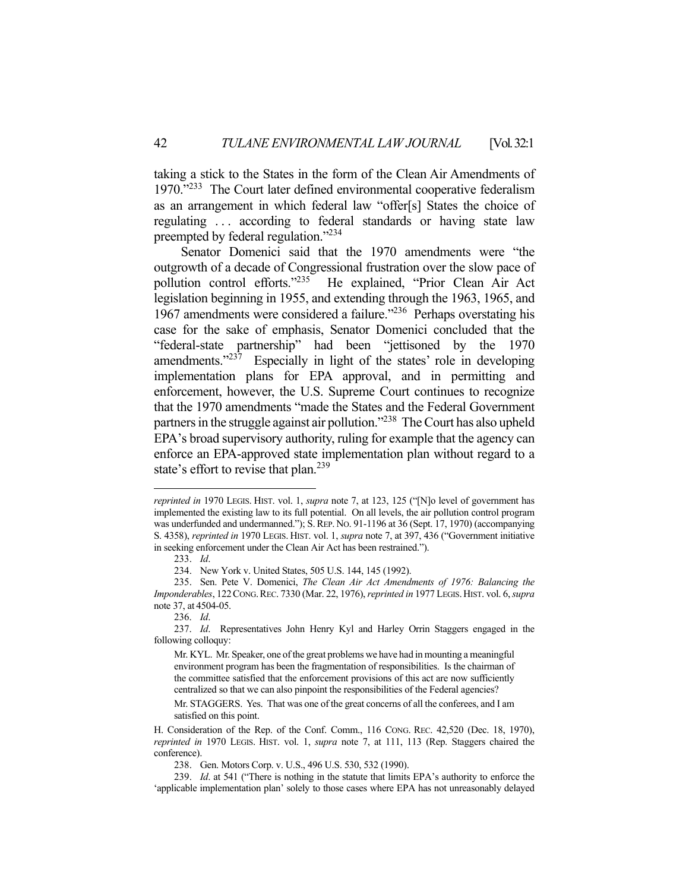taking a stick to the States in the form of the Clean Air Amendments of 1970."<sup>233</sup> The Court later defined environmental cooperative federalism as an arrangement in which federal law "offer[s] States the choice of regulating ... according to federal standards or having state law preempted by federal regulation."<sup>234</sup>

 Senator Domenici said that the 1970 amendments were "the outgrowth of a decade of Congressional frustration over the slow pace of pollution control efforts."235 He explained, "Prior Clean Air Act legislation beginning in 1955, and extending through the 1963, 1965, and 1967 amendments were considered a failure."236 Perhaps overstating his case for the sake of emphasis, Senator Domenici concluded that the "federal-state partnership" had been "jettisoned by the 1970 amendments."<sup>237</sup> Especially in light of the states' role in developing implementation plans for EPA approval, and in permitting and enforcement, however, the U.S. Supreme Court continues to recognize that the 1970 amendments "made the States and the Federal Government partners in the struggle against air pollution."238 The Court has also upheld EPA's broad supervisory authority, ruling for example that the agency can enforce an EPA-approved state implementation plan without regard to a state's effort to revise that plan.<sup>239</sup>

*reprinted in* 1970 LEGIS. HIST. vol. 1, *supra* note 7, at 123, 125 ("[N]o level of government has implemented the existing law to its full potential. On all levels, the air pollution control program was underfunded and undermanned."); S. REP. No. 91-1196 at 36 (Sept. 17, 1970) (accompanying S. 4358), *reprinted in* 1970 LEGIS. HIST. vol. 1, *supra* note 7, at 397, 436 ("Government initiative in seeking enforcement under the Clean Air Act has been restrained.").

 <sup>233.</sup> *Id*.

 <sup>234.</sup> New York v. United States, 505 U.S. 144, 145 (1992).

 <sup>235.</sup> Sen. Pete V. Domenici, *The Clean Air Act Amendments of 1976: Balancing the Imponderables*, 122CONG.REC. 7330 (Mar. 22, 1976), *reprinted in* 1977 LEGIS.HIST. vol. 6, *supra* note 37, at 4504-05.

 <sup>236.</sup> *Id*.

 <sup>237.</sup> *Id*. Representatives John Henry Kyl and Harley Orrin Staggers engaged in the following colloquy:

Mr. KYL. Mr. Speaker, one of the great problems we have had in mounting a meaningful environment program has been the fragmentation of responsibilities. Is the chairman of the committee satisfied that the enforcement provisions of this act are now sufficiently centralized so that we can also pinpoint the responsibilities of the Federal agencies?

Mr. STAGGERS. Yes. That was one of the great concerns of all the conferees, and I am satisfied on this point.

H. Consideration of the Rep. of the Conf. Comm., 116 CONG. REC. 42,520 (Dec. 18, 1970), *reprinted in* 1970 LEGIS. HIST. vol. 1, *supra* note 7, at 111, 113 (Rep. Staggers chaired the conference).

 <sup>238.</sup> Gen. Motors Corp. v. U.S., 496 U.S. 530, 532 (1990).

 <sup>239.</sup> *Id*. at 541 ("There is nothing in the statute that limits EPA's authority to enforce the 'applicable implementation plan' solely to those cases where EPA has not unreasonably delayed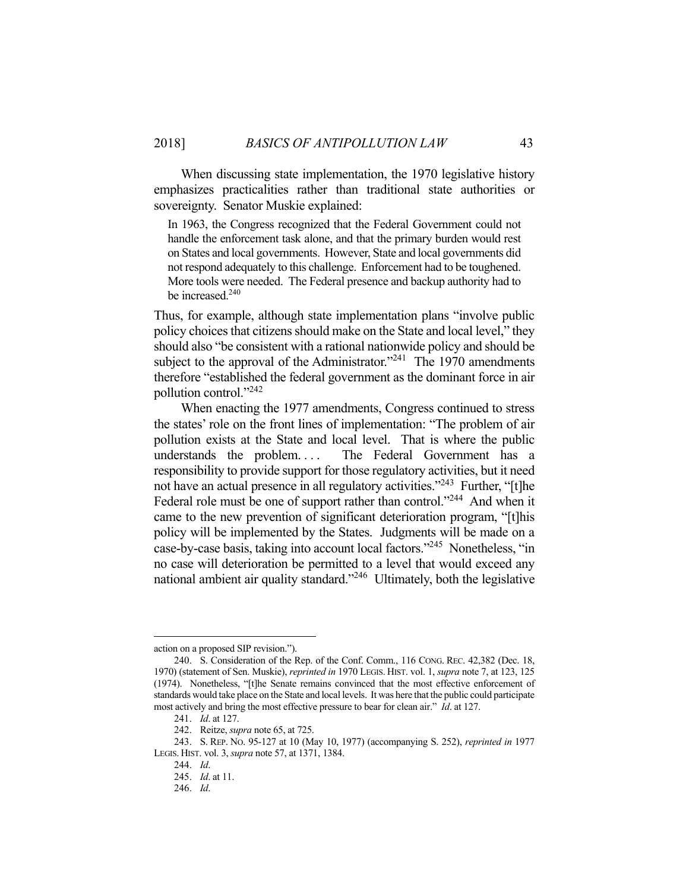When discussing state implementation, the 1970 legislative history emphasizes practicalities rather than traditional state authorities or sovereignty. Senator Muskie explained:

In 1963, the Congress recognized that the Federal Government could not handle the enforcement task alone, and that the primary burden would rest on States and local governments. However, State and local governments did not respond adequately to this challenge. Enforcement had to be toughened. More tools were needed. The Federal presence and backup authority had to be increased.<sup>240</sup>

Thus, for example, although state implementation plans "involve public policy choices that citizens should make on the State and local level," they should also "be consistent with a rational nationwide policy and should be subject to the approval of the Administrator."<sup>241</sup> The 1970 amendments therefore "established the federal government as the dominant force in air pollution control."242

 When enacting the 1977 amendments, Congress continued to stress the states' role on the front lines of implementation: "The problem of air pollution exists at the State and local level. That is where the public understands the problem.... The Federal Government has a responsibility to provide support for those regulatory activities, but it need not have an actual presence in all regulatory activities."<sup>243</sup> Further, "[t]he Federal role must be one of support rather than control."<sup>244</sup> And when it came to the new prevention of significant deterioration program, "[t]his policy will be implemented by the States. Judgments will be made on a case-by-case basis, taking into account local factors."245 Nonetheless, "in no case will deterioration be permitted to a level that would exceed any national ambient air quality standard."<sup>246</sup> Ultimately, both the legislative

<u>.</u>

action on a proposed SIP revision.").

 <sup>240.</sup> S. Consideration of the Rep. of the Conf. Comm., 116 CONG. REC. 42,382 (Dec. 18, 1970) (statement of Sen. Muskie), *reprinted in* 1970 LEGIS. HIST. vol. 1, *supra* note 7, at 123, 125 (1974). Nonetheless, "[t]he Senate remains convinced that the most effective enforcement of standards would take place on the State and local levels. It was here that the public could participate most actively and bring the most effective pressure to bear for clean air." *Id*. at 127.

 <sup>241.</sup> *Id*. at 127.

 <sup>242.</sup> Reitze, *supra* note 65, at 725.

 <sup>243.</sup> S. REP. NO. 95-127 at 10 (May 10, 1977) (accompanying S. 252), *reprinted in* 1977 LEGIS. HIST. vol. 3, *supra* note 57, at 1371, 1384.

 <sup>244.</sup> *Id*.

 <sup>245.</sup> *Id*. at 11.

 <sup>246.</sup> *Id*.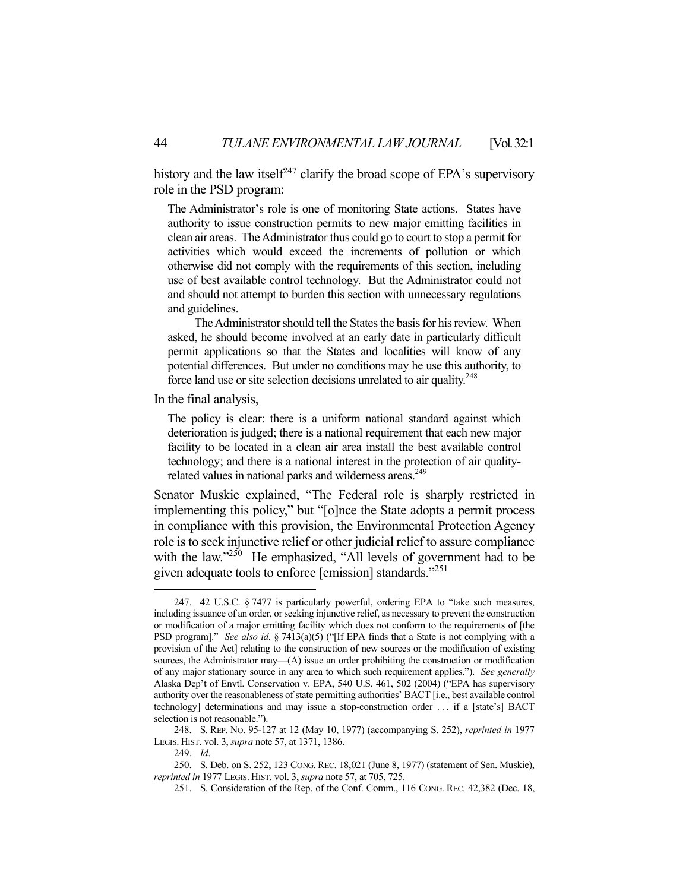history and the law itself<sup>247</sup> clarify the broad scope of EPA's supervisory role in the PSD program:

The Administrator's role is one of monitoring State actions. States have authority to issue construction permits to new major emitting facilities in clean air areas. The Administrator thus could go to court to stop a permit for activities which would exceed the increments of pollution or which otherwise did not comply with the requirements of this section, including use of best available control technology. But the Administrator could not and should not attempt to burden this section with unnecessary regulations and guidelines.

 The Administrator should tell the States the basis for his review. When asked, he should become involved at an early date in particularly difficult permit applications so that the States and localities will know of any potential differences. But under no conditions may he use this authority, to force land use or site selection decisions unrelated to air quality.<sup>248</sup>

In the final analysis,

The policy is clear: there is a uniform national standard against which deterioration is judged; there is a national requirement that each new major facility to be located in a clean air area install the best available control technology; and there is a national interest in the protection of air qualityrelated values in national parks and wilderness areas.<sup>249</sup>

Senator Muskie explained, "The Federal role is sharply restricted in implementing this policy," but "[o]nce the State adopts a permit process in compliance with this provision, the Environmental Protection Agency role is to seek injunctive relief or other judicial relief to assure compliance with the law."<sup>250</sup> He emphasized, "All levels of government had to be given adequate tools to enforce [emission] standards."251

 <sup>247. 42</sup> U.S.C. § 7477 is particularly powerful, ordering EPA to "take such measures, including issuance of an order, or seeking injunctive relief, as necessary to prevent the construction or modification of a major emitting facility which does not conform to the requirements of [the PSD program]." *See also id*. § 7413(a)(5) ("[If EPA finds that a State is not complying with a provision of the Act] relating to the construction of new sources or the modification of existing sources, the Administrator may—(A) issue an order prohibiting the construction or modification of any major stationary source in any area to which such requirement applies."). *See generally* Alaska Dep't of Envtl. Conservation v. EPA, 540 U.S. 461, 502 (2004) ("EPA has supervisory authority over the reasonableness of state permitting authorities' BACT [i.e., best available control technology] determinations and may issue a stop-construction order . . . if a [state's] BACT selection is not reasonable.").

 <sup>248.</sup> S. REP. NO. 95-127 at 12 (May 10, 1977) (accompanying S. 252), *reprinted in* 1977 LEGIS. HIST. vol. 3, *supra* note 57, at 1371, 1386.

 <sup>249.</sup> *Id*.

 <sup>250.</sup> S. Deb. on S. 252, 123 CONG. REC. 18,021 (June 8, 1977) (statement of Sen. Muskie), *reprinted in* 1977 LEGIS. HIST. vol. 3, *supra* note 57, at 705, 725.

 <sup>251.</sup> S. Consideration of the Rep. of the Conf. Comm., 116 CONG. REC. 42,382 (Dec. 18,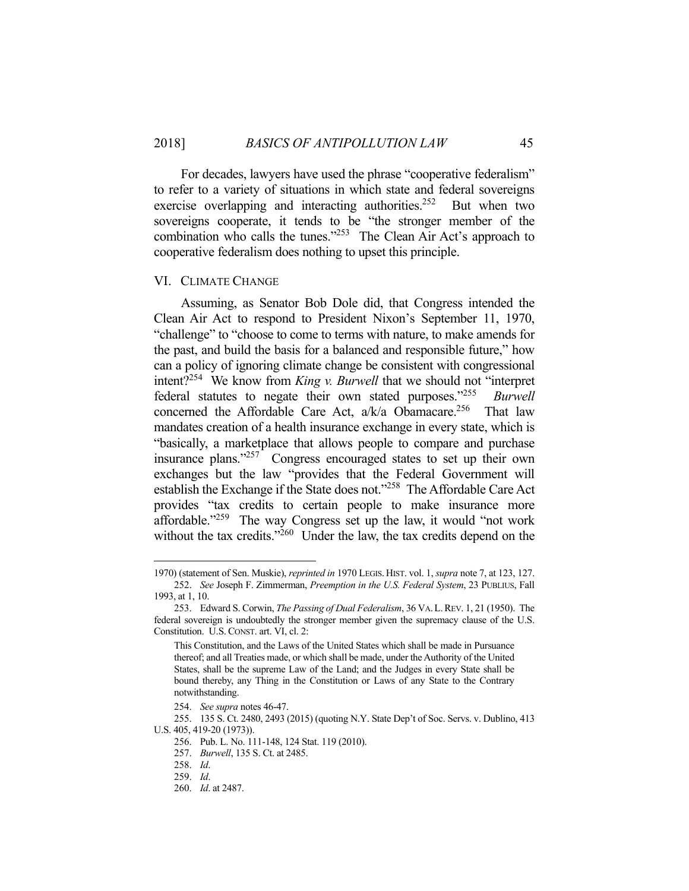For decades, lawyers have used the phrase "cooperative federalism" to refer to a variety of situations in which state and federal sovereigns exercise overlapping and interacting authorities.<sup>252</sup> But when two sovereigns cooperate, it tends to be "the stronger member of the combination who calls the tunes." $253$  The Clean Air Act's approach to cooperative federalism does nothing to upset this principle.

#### VI. CLIMATE CHANGE

 Assuming, as Senator Bob Dole did, that Congress intended the Clean Air Act to respond to President Nixon's September 11, 1970, "challenge" to "choose to come to terms with nature, to make amends for the past, and build the basis for a balanced and responsible future," how can a policy of ignoring climate change be consistent with congressional intent?254 We know from *King v. Burwell* that we should not "interpret federal statutes to negate their own stated purposes."255 *Burwell* concerned the Affordable Care Act,  $a/k/a$  Obamacare.<sup>256</sup> That law mandates creation of a health insurance exchange in every state, which is "basically, a marketplace that allows people to compare and purchase insurance plans."257 Congress encouraged states to set up their own exchanges but the law "provides that the Federal Government will establish the Exchange if the State does not."258 The Affordable Care Act provides "tax credits to certain people to make insurance more affordable." $259$  The way Congress set up the law, it would "not work without the tax credits."<sup>260</sup> Under the law, the tax credits depend on the

<sup>1970) (</sup>statement of Sen. Muskie), *reprinted in* 1970 LEGIS. HIST. vol. 1, *supra* note 7, at 123, 127. 252. *See* Joseph F. Zimmerman, *Preemption in the U.S. Federal System*, 23 PUBLIUS, Fall

<sup>1993,</sup> at 1, 10.

 <sup>253.</sup> Edward S. Corwin, *The Passing of Dual Federalism*, 36 VA.L.REV. 1, 21 (1950). The federal sovereign is undoubtedly the stronger member given the supremacy clause of the U.S. Constitution. U.S. CONST. art. VI, cl. 2:

This Constitution, and the Laws of the United States which shall be made in Pursuance thereof; and all Treaties made, or which shall be made, under the Authority of the United States, shall be the supreme Law of the Land; and the Judges in every State shall be bound thereby, any Thing in the Constitution or Laws of any State to the Contrary notwithstanding.

 <sup>254.</sup> *See supra* notes 46-47.

 <sup>255. 135</sup> S. Ct. 2480, 2493 (2015) (quoting N.Y. State Dep't of Soc. Servs. v. Dublino, 413 U.S. 405, 419-20 (1973)).

 <sup>256.</sup> Pub. L. No. 111-148, 124 Stat. 119 (2010).

 <sup>257.</sup> *Burwell*, 135 S. Ct. at 2485.

 <sup>258.</sup> *Id*.

 <sup>259.</sup> *Id*.

 <sup>260.</sup> *Id*. at 2487.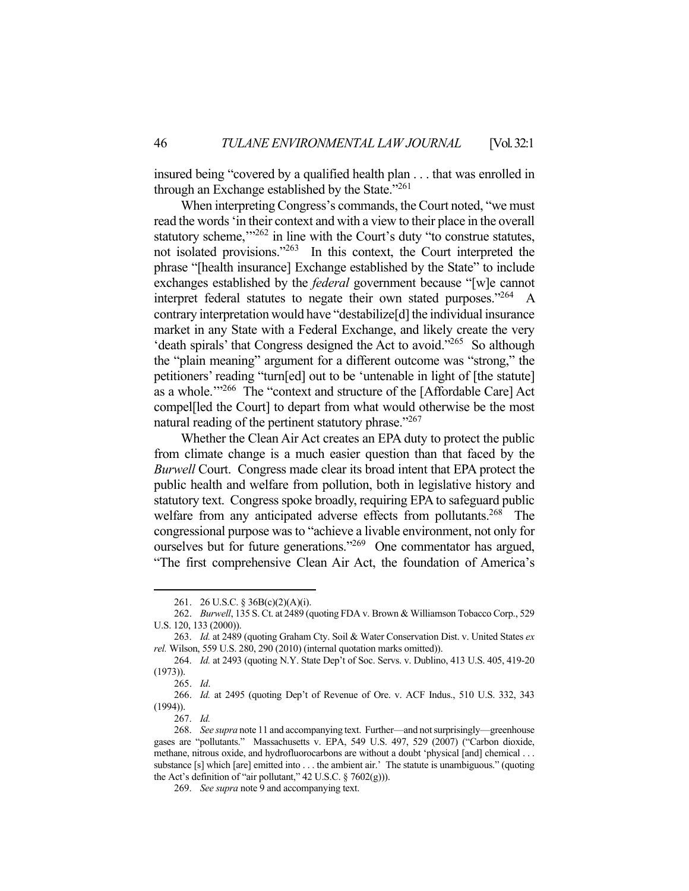insured being "covered by a qualified health plan . . . that was enrolled in through an Exchange established by the State."<sup>261</sup>

 When interpreting Congress's commands, the Court noted, "we must read the words 'in their context and with a view to their place in the overall statutory scheme,"<sup>262</sup> in line with the Court's duty "to construe statutes, not isolated provisions."<sup>263</sup> In this context, the Court interpreted the phrase "[health insurance] Exchange established by the State" to include exchanges established by the *federal* government because "[w]e cannot interpret federal statutes to negate their own stated purposes."264 A contrary interpretation would have "destabilize[d] the individual insurance market in any State with a Federal Exchange, and likely create the very 'death spirals' that Congress designed the Act to avoid."265 So although the "plain meaning" argument for a different outcome was "strong," the petitioners' reading "turn[ed] out to be 'untenable in light of [the statute] as a whole."<sup>266</sup> The "context and structure of the [Affordable Care] Act compel[led the Court] to depart from what would otherwise be the most natural reading of the pertinent statutory phrase."267

 Whether the Clean Air Act creates an EPA duty to protect the public from climate change is a much easier question than that faced by the *Burwell* Court. Congress made clear its broad intent that EPA protect the public health and welfare from pollution, both in legislative history and statutory text. Congress spoke broadly, requiring EPA to safeguard public welfare from any anticipated adverse effects from pollutants.<sup>268</sup> The congressional purpose was to "achieve a livable environment, not only for ourselves but for future generations."269 One commentator has argued, "The first comprehensive Clean Air Act, the foundation of America's

 <sup>261. 26</sup> U.S.C. § 36B(c)(2)(A)(i).

 <sup>262.</sup> *Burwell*, 135 S. Ct. at 2489 (quoting FDA v. Brown & Williamson Tobacco Corp., 529 U.S. 120, 133 (2000)).

 <sup>263.</sup> *Id.* at 2489 (quoting Graham Cty. Soil & Water Conservation Dist. v. United States *ex rel.* Wilson, 559 U.S. 280, 290 (2010) (internal quotation marks omitted)).

 <sup>264.</sup> *Id.* at 2493 (quoting N.Y. State Dep't of Soc. Servs. v. Dublino, 413 U.S. 405, 419-20 (1973)).

 <sup>265.</sup> *Id*.

 <sup>266.</sup> *Id.* at 2495 (quoting Dep't of Revenue of Ore. v. ACF Indus., 510 U.S. 332, 343 (1994)).

 <sup>267.</sup> *Id.*

 <sup>268.</sup> *See supra* note 11 and accompanying text. Further—and not surprisingly—greenhouse gases are "pollutants." Massachusetts v. EPA, 549 U.S. 497, 529 (2007) ("Carbon dioxide, methane, nitrous oxide, and hydrofluorocarbons are without a doubt 'physical [and] chemical . . . substance [s] which [are] emitted into . . . the ambient air.' The statute is unambiguous." (quoting the Act's definition of "air pollutant,"  $42$  U.S.C. §  $7602(g)$ )).

 <sup>269.</sup> *See supra* note 9 and accompanying text.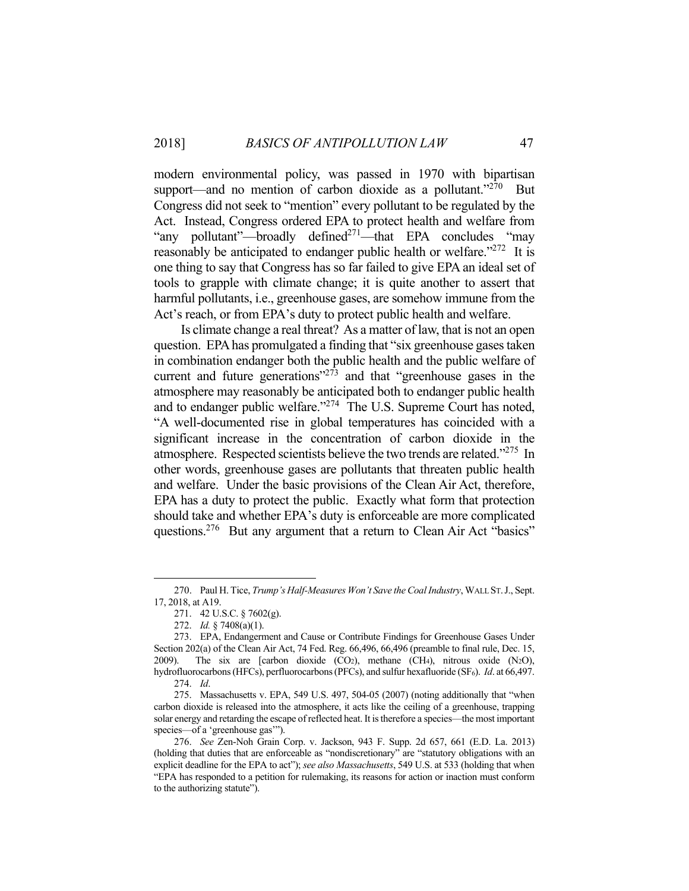modern environmental policy, was passed in 1970 with bipartisan support—and no mention of carbon dioxide as a pollutant. $270$  But Congress did not seek to "mention" every pollutant to be regulated by the Act. Instead, Congress ordered EPA to protect health and welfare from "any pollutant"—broadly defined<sup>271</sup>—that EPA concludes "may reasonably be anticipated to endanger public health or welfare.<sup>"272</sup> It is one thing to say that Congress has so far failed to give EPA an ideal set of tools to grapple with climate change; it is quite another to assert that harmful pollutants, i.e., greenhouse gases, are somehow immune from the Act's reach, or from EPA's duty to protect public health and welfare.

 Is climate change a real threat? As a matter of law, that is not an open question. EPA has promulgated a finding that "six greenhouse gases taken in combination endanger both the public health and the public welfare of current and future generations" $273$  and that "greenhouse gases in the atmosphere may reasonably be anticipated both to endanger public health and to endanger public welfare."<sup>274</sup> The U.S. Supreme Court has noted, "A well-documented rise in global temperatures has coincided with a significant increase in the concentration of carbon dioxide in the atmosphere. Respected scientists believe the two trends are related."275 In other words, greenhouse gases are pollutants that threaten public health and welfare. Under the basic provisions of the Clean Air Act, therefore, EPA has a duty to protect the public. Exactly what form that protection should take and whether EPA's duty is enforceable are more complicated questions.<sup>276</sup> But any argument that a return to Clean Air Act "basics"

<u>.</u>

 <sup>270.</sup> Paul H. Tice, *Trump's Half-Measures Won't Save the Coal Industry*, WALL ST.J., Sept. 17, 2018, at A19.

 <sup>271. 42</sup> U.S.C. § 7602(g).

 <sup>272.</sup> *Id.* § 7408(a)(1).

 <sup>273.</sup> EPA, Endangerment and Cause or Contribute Findings for Greenhouse Gases Under Section 202(a) of the Clean Air Act, 74 Fed. Reg. 66,496, 66,496 (preamble to final rule, Dec. 15, 2009). The six are [carbon dioxide  $(CO_2)$ , methane  $(CH_4)$ , nitrous oxide  $(N_2O)$ , hydrofluorocarbons (HFCs), perfluorocarbons (PFCs), and sulfur hexafluoride (SF<sub>6</sub>). *Id.* at 66,497. 274. *Id*.

 <sup>275.</sup> Massachusetts v. EPA, 549 U.S. 497, 504-05 (2007) (noting additionally that "when carbon dioxide is released into the atmosphere, it acts like the ceiling of a greenhouse, trapping solar energy and retarding the escape of reflected heat. It is therefore a species—the most important species—of a 'greenhouse gas'").

 <sup>276.</sup> *See* Zen-Noh Grain Corp. v. Jackson, 943 F. Supp. 2d 657, 661 (E.D. La. 2013) (holding that duties that are enforceable as "nondiscretionary" are "statutory obligations with an explicit deadline for the EPA to act"); *see also Massachusetts*, 549 U.S. at 533 (holding that when "EPA has responded to a petition for rulemaking, its reasons for action or inaction must conform to the authorizing statute").